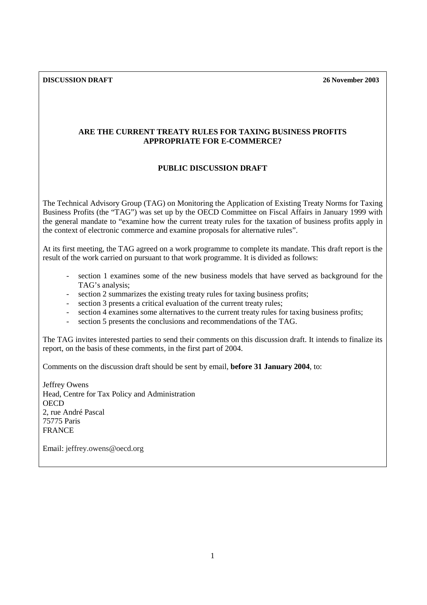**DISCUSSION DRAFT 26 November 2003** 

## **ARE THE CURRENT TREATY RULES FOR TAXING BUSINESS PROFITS APPROPRIATE FOR E-COMMERCE?**

# **PUBLIC DISCUSSION DRAFT**

The Technical Advisory Group (TAG) on Monitoring the Application of Existing Treaty Norms for Taxing Business Profits (the "TAG") was set up by the OECD Committee on Fiscal Affairs in January 1999 with the general mandate to "examine how the current treaty rules for the taxation of business profits apply in the context of electronic commerce and examine proposals for alternative rules".

At its first meeting, the TAG agreed on a work programme to complete its mandate. This draft report is the result of the work carried on pursuant to that work programme. It is divided as follows:

- section 1 examines some of the new business models that have served as background for the TAG's analysis;
- section 2 summarizes the existing treaty rules for taxing business profits;
- section 3 presents a critical evaluation of the current treaty rules;
- section 4 examines some alternatives to the current treaty rules for taxing business profits;
- section 5 presents the conclusions and recommendations of the TAG.

The TAG invites interested parties to send their comments on this discussion draft. It intends to finalize its report, on the basis of these comments, in the first part of 2004.

Comments on the discussion draft should be sent by email, **before 31 January 2004**, to:

Jeffrey Owens Head, Centre for Tax Policy and Administration **OECD** 2, rue André Pascal 75775 Paris **FRANCE** 

Email: jeffrey.owens@oecd.org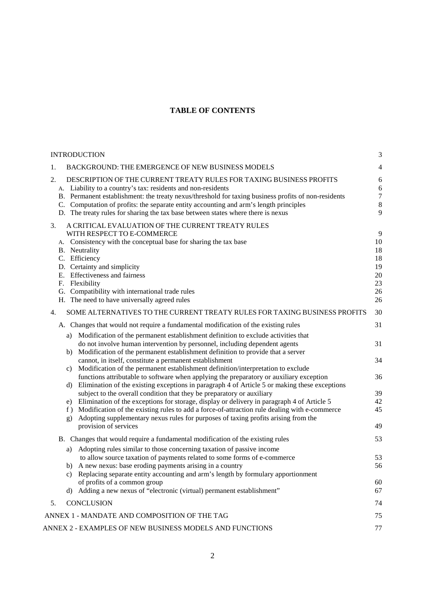# **TABLE OF CONTENTS**

| <b>INTRODUCTION</b>                                                                                                                                                                                                                                                                                                                                                                                                                                                                                       | $\mathfrak{Z}$                                    |
|-----------------------------------------------------------------------------------------------------------------------------------------------------------------------------------------------------------------------------------------------------------------------------------------------------------------------------------------------------------------------------------------------------------------------------------------------------------------------------------------------------------|---------------------------------------------------|
| BACKGROUND: THE EMERGENCE OF NEW BUSINESS MODELS<br>1.                                                                                                                                                                                                                                                                                                                                                                                                                                                    | $\overline{4}$                                    |
| 2.<br>DESCRIPTION OF THE CURRENT TREATY RULES FOR TAXING BUSINESS PROFITS<br>A. Liability to a country's tax: residents and non-residents<br>B. Permanent establishment: the treaty nexus/threshold for taxing business profits of non-residents<br>C. Computation of profits: the separate entity accounting and arm's length principles<br>D. The treaty rules for sharing the tax base between states where there is nexus                                                                             | 6<br>$\sqrt{6}$<br>$\tau$<br>$\,8\,$<br>9         |
| A CRITICAL EVALUATION OF THE CURRENT TREATY RULES<br>3.<br>WITH RESPECT TO E-COMMERCE<br>A. Consistency with the conceptual base for sharing the tax base<br>B. Neutrality<br>C. Efficiency<br>D. Certainty and simplicity<br>E. Effectiveness and fairness<br>F. Flexibility<br>G. Compatibility with international trade rules<br>H. The need to have universally agreed rules                                                                                                                          | 9<br>10<br>18<br>18<br>19<br>20<br>23<br>26<br>26 |
| SOME ALTERNATIVES TO THE CURRENT TREATY RULES FOR TAXING BUSINESS PROFITS<br>4.                                                                                                                                                                                                                                                                                                                                                                                                                           | 30                                                |
| A. Changes that would not require a fundamental modification of the existing rules                                                                                                                                                                                                                                                                                                                                                                                                                        | 31                                                |
| Modification of the permanent establishment definition to exclude activities that<br>a)<br>do not involve human intervention by personnel, including dependent agents<br>Modification of the permanent establishment definition to provide that a server<br>b)                                                                                                                                                                                                                                            | 31                                                |
| cannot, in itself, constitute a permanent establishment<br>Modification of the permanent establishment definition/interpretation to exclude<br>C)<br>functions attributable to software when applying the preparatory or auxiliary exception<br>Elimination of the existing exceptions in paragraph 4 of Article 5 or making these exceptions<br>d)<br>subject to the overall condition that they be preparatory or auxiliary                                                                             | 34<br>36<br>39                                    |
| Elimination of the exceptions for storage, display or delivery in paragraph 4 of Article 5<br>e)<br>Modification of the existing rules to add a force-of-attraction rule dealing with e-commerce<br>f)<br>Adopting supplementary nexus rules for purposes of taxing profits arising from the<br>g)                                                                                                                                                                                                        | 42<br>45                                          |
| provision of services                                                                                                                                                                                                                                                                                                                                                                                                                                                                                     | 49                                                |
| B. Changes that would require a fundamental modification of the existing rules<br>Adopting rules similar to those concerning taxation of passive income<br>a)<br>to allow source taxation of payments related to some forms of e-commerce<br>b) A new nexus: base eroding payments arising in a country<br>c) Replacing separate entity accounting and arm's length by formulary apportionment<br>of profits of a common group<br>d) Adding a new nexus of "electronic (virtual) permanent establishment" | 53<br>53<br>56<br>60<br>67                        |
| 5.<br><b>CONCLUSION</b>                                                                                                                                                                                                                                                                                                                                                                                                                                                                                   | 74                                                |
| ANNEX 1 - MANDATE AND COMPOSITION OF THE TAG                                                                                                                                                                                                                                                                                                                                                                                                                                                              | 75                                                |
| ANNEX 2 - EXAMPLES OF NEW BUSINESS MODELS AND FUNCTIONS                                                                                                                                                                                                                                                                                                                                                                                                                                                   | 77                                                |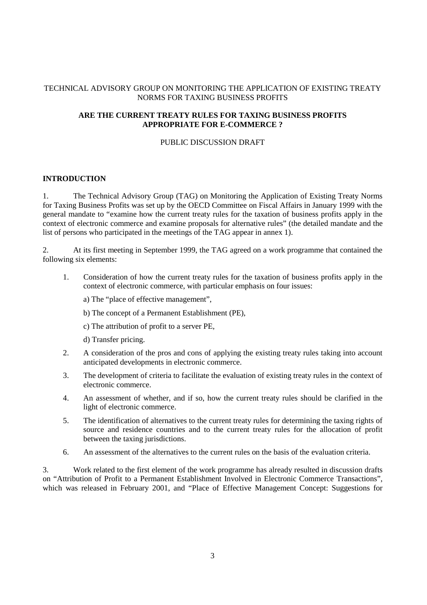## TECHNICAL ADVISORY GROUP ON MONITORING THE APPLICATION OF EXISTING TREATY NORMS FOR TAXING BUSINESS PROFITS

## **ARE THE CURRENT TREATY RULES FOR TAXING BUSINESS PROFITS APPROPRIATE FOR E-COMMERCE ?**

### PUBLIC DISCUSSION DRAFT

### **INTRODUCTION**

1. The Technical Advisory Group (TAG) on Monitoring the Application of Existing Treaty Norms for Taxing Business Profits was set up by the OECD Committee on Fiscal Affairs in January 1999 with the general mandate to "examine how the current treaty rules for the taxation of business profits apply in the context of electronic commerce and examine proposals for alternative rules" (the detailed mandate and the list of persons who participated in the meetings of the TAG appear in annex 1).

2. At its first meeting in September 1999, the TAG agreed on a work programme that contained the following six elements:

- 1. Consideration of how the current treaty rules for the taxation of business profits apply in the context of electronic commerce, with particular emphasis on four issues:
	- a) The "place of effective management",
	- b) The concept of a Permanent Establishment (PE),
	- c) The attribution of profit to a server PE,
	- d) Transfer pricing.
- 2. A consideration of the pros and cons of applying the existing treaty rules taking into account anticipated developments in electronic commerce.
- 3. The development of criteria to facilitate the evaluation of existing treaty rules in the context of electronic commerce.
- 4. An assessment of whether, and if so, how the current treaty rules should be clarified in the light of electronic commerce.
- 5. The identification of alternatives to the current treaty rules for determining the taxing rights of source and residence countries and to the current treaty rules for the allocation of profit between the taxing jurisdictions.
- 6. An assessment of the alternatives to the current rules on the basis of the evaluation criteria.

3. Work related to the first element of the work programme has already resulted in discussion drafts on "Attribution of Profit to a Permanent Establishment Involved in Electronic Commerce Transactions", which was released in February 2001, and "Place of Effective Management Concept: Suggestions for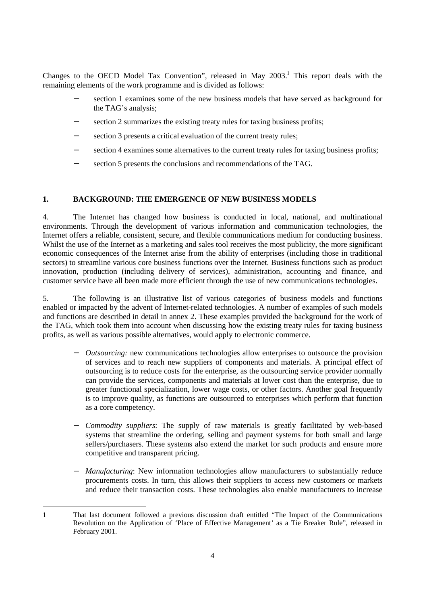Changes to the OECD Model Tax Convention", released in May  $2003$ .<sup>1</sup> This report deals with the remaining elements of the work programme and is divided as follows:

- section 1 examines some of the new business models that have served as background for the TAG's analysis;
- section 2 summarizes the existing treaty rules for taxing business profits;
- section 3 presents a critical evaluation of the current treaty rules;
- − section 4 examines some alternatives to the current treaty rules for taxing business profits;
- section 5 presents the conclusions and recommendations of the TAG.

## **1. BACKGROUND: THE EMERGENCE OF NEW BUSINESS MODELS**

4. The Internet has changed how business is conducted in local, national, and multinational environments. Through the development of various information and communication technologies, the Internet offers a reliable, consistent, secure, and flexible communications medium for conducting business. Whilst the use of the Internet as a marketing and sales tool receives the most publicity, the more significant economic consequences of the Internet arise from the ability of enterprises (including those in traditional sectors) to streamline various core business functions over the Internet. Business functions such as product innovation, production (including delivery of services), administration, accounting and finance, and customer service have all been made more efficient through the use of new communications technologies.

5. The following is an illustrative list of various categories of business models and functions enabled or impacted by the advent of Internet-related technologies. A number of examples of such models and functions are described in detail in annex 2. These examples provided the background for the work of the TAG, which took them into account when discussing how the existing treaty rules for taxing business profits, as well as various possible alternatives, would apply to electronic commerce.

- *Outsourcing:* new communications technologies allow enterprises to outsource the provision of services and to reach new suppliers of components and materials. A principal effect of outsourcing is to reduce costs for the enterprise, as the outsourcing service provider normally can provide the services, components and materials at lower cost than the enterprise, due to greater functional specialization, lower wage costs, or other factors. Another goal frequently is to improve quality, as functions are outsourced to enterprises which perform that function as a core competency.
- − *Commodity suppliers*: The supply of raw materials is greatly facilitated by web-based systems that streamline the ordering, selling and payment systems for both small and large sellers/purchasers. These systems also extend the market for such products and ensure more competitive and transparent pricing.
- *Manufacturing*: New information technologies allow manufacturers to substantially reduce procurements costs. In turn, this allows their suppliers to access new customers or markets and reduce their transaction costs. These technologies also enable manufacturers to increase

 $\overline{a}$ 1 That last document followed a previous discussion draft entitled "The Impact of the Communications Revolution on the Application of 'Place of Effective Management' as a Tie Breaker Rule", released in February 2001.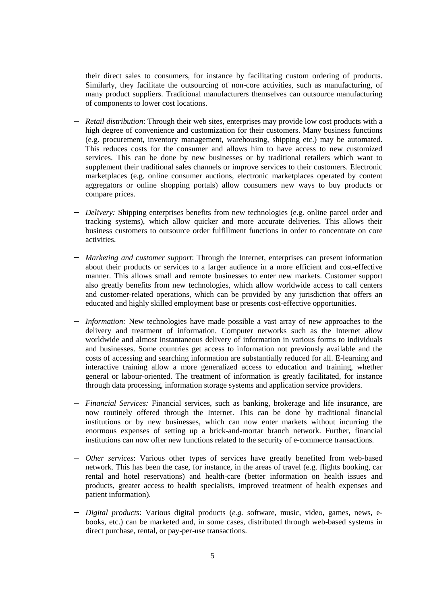their direct sales to consumers, for instance by facilitating custom ordering of products. Similarly, they facilitate the outsourcing of non-core activities, such as manufacturing, of many product suppliers. Traditional manufacturers themselves can outsource manufacturing of components to lower cost locations.

- *Retail distribution*: Through their web sites, enterprises may provide low cost products with a high degree of convenience and customization for their customers. Many business functions (e.g. procurement, inventory management, warehousing, shipping etc.) may be automated. This reduces costs for the consumer and allows him to have access to new customized services. This can be done by new businesses or by traditional retailers which want to supplement their traditional sales channels or improve services to their customers. Electronic marketplaces (e.g. online consumer auctions, electronic marketplaces operated by content aggregators or online shopping portals) allow consumers new ways to buy products or compare prices.
- *Delivery:* Shipping enterprises benefits from new technologies (e.g. online parcel order and tracking systems), which allow quicker and more accurate deliveries. This allows their business customers to outsource order fulfillment functions in order to concentrate on core activities.
- *Marketing and customer support*: Through the Internet, enterprises can present information about their products or services to a larger audience in a more efficient and cost-effective manner. This allows small and remote businesses to enter new markets. Customer support also greatly benefits from new technologies, which allow worldwide access to call centers and customer-related operations, which can be provided by any jurisdiction that offers an educated and highly skilled employment base or presents cost-effective opportunities.
- *Information:* New technologies have made possible a vast array of new approaches to the delivery and treatment of information. Computer networks such as the Internet allow worldwide and almost instantaneous delivery of information in various forms to individuals and businesses. Some countries get access to information not previously available and the costs of accessing and searching information are substantially reduced for all. E-learning and interactive training allow a more generalized access to education and training, whether general or labour-oriented. The treatment of information is greatly facilitated, for instance through data processing, information storage systems and application service providers.
- *Financial Services:* Financial services, such as banking, brokerage and life insurance, are now routinely offered through the Internet. This can be done by traditional financial institutions or by new businesses, which can now enter markets without incurring the enormous expenses of setting up a brick-and-mortar branch network. Further, financial institutions can now offer new functions related to the security of e-commerce transactions.
- *Other services*: Various other types of services have greatly benefited from web-based network. This has been the case, for instance, in the areas of travel (e.g. flights booking, car rental and hotel reservations) and health-care (better information on health issues and products, greater access to health specialists, improved treatment of health expenses and patient information).
- − *Digital products*: Various digital products (*e.g.* software, music, video, games, news, ebooks, etc.) can be marketed and, in some cases, distributed through web-based systems in direct purchase, rental, or pay-per-use transactions.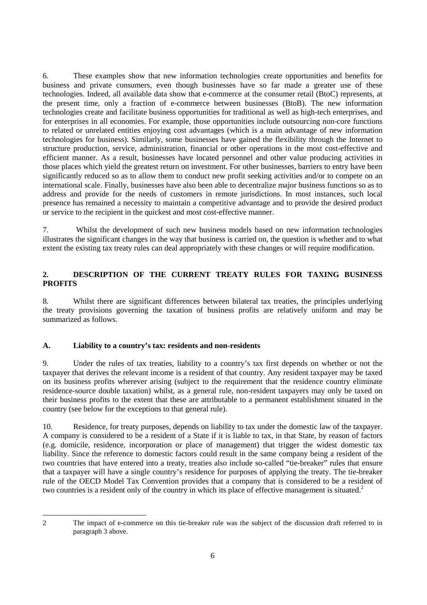6. These examples show that new information technologies create opportunities and benefits for business and private consumers, even though businesses have so far made a greater use of these technologies. Indeed, all available data show that e-commerce at the consumer retail (BtoC) represents, at the present time, only a fraction of e-commerce between businesses (BtoB). The new information technologies create and facilitate business opportunities for traditional as well as high-tech enterprises, and for enterprises in all economies. For example, those opportunities include outsourcing non-core functions to related or unrelated entities enjoying cost advantages (which is a main advantage of new information technologies for business). Similarly, some businesses have gained the flexibility through the Internet to structure production, service, administration, financial or other operations in the most cost-effective and efficient manner. As a result, businesses have located personnel and other value producing activities in those places which yield the greatest return on investment. For other businesses, barriers to entry have been significantly reduced so as to allow them to conduct new profit seeking activities and/or to compete on an international scale. Finally, businesses have also been able to decentralize major business functions so as to address and provide for the needs of customers in remote jurisdictions. In most instances, such local presence has remained a necessity to maintain a competitive advantage and to provide the desired product or service to the recipient in the quickest and most cost-effective manner.

7. Whilst the development of such new business models based on new information technologies illustrates the significant changes in the way that business is carried on, the question is whether and to what extent the existing tax treaty rules can deal appropriately with these changes or will require modification.

# **2. DESCRIPTION OF THE CURRENT TREATY RULES FOR TAXING BUSINESS PROFITS**

8. Whilst there are significant differences between bilateral tax treaties, the principles underlying the treaty provisions governing the taxation of business profits are relatively uniform and may be summarized as follows.

### **A. Liability to a country's tax: residents and non-residents**

9. Under the rules of tax treaties, liability to a country's tax first depends on whether or not the taxpayer that derives the relevant income is a resident of that country. Any resident taxpayer may be taxed on its business profits wherever arising (subject to the requirement that the residence country eliminate residence-source double taxation) whilst, as a general rule, non-resident taxpayers may only be taxed on their business profits to the extent that these are attributable to a permanent establishment situated in the country (see below for the exceptions to that general rule).

10. Residence, for treaty purposes, depends on liability to tax under the domestic law of the taxpayer. A company is considered to be a resident of a State if it is liable to tax, in that State, by reason of factors (e.g. domicile, residence, incorporation or place of management) that trigger the widest domestic tax liability. Since the reference to domestic factors could result in the same company being a resident of the two countries that have entered into a treaty, treaties also include so-called "tie-breaker" rules that ensure that a taxpayer will have a single country's residence for purposes of applying the treaty. The tie-breaker rule of the OECD Model Tax Convention provides that a company that is considered to be a resident of two countries is a resident only of the country in which its place of effective management is situated.<sup>2</sup>

 2 The impact of e-commerce on this tie-breaker rule was the subject of the discussion draft referred to in paragraph 3 above.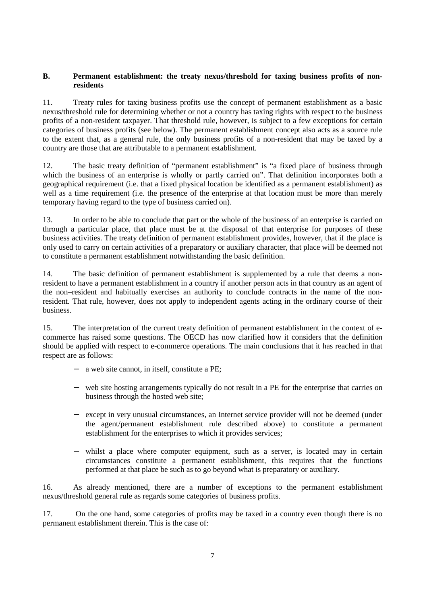## **B. Permanent establishment: the treaty nexus/threshold for taxing business profits of nonresidents**

11. Treaty rules for taxing business profits use the concept of permanent establishment as a basic nexus/threshold rule for determining whether or not a country has taxing rights with respect to the business profits of a non-resident taxpayer. That threshold rule, however, is subject to a few exceptions for certain categories of business profits (see below). The permanent establishment concept also acts as a source rule to the extent that, as a general rule, the only business profits of a non-resident that may be taxed by a country are those that are attributable to a permanent establishment.

12. The basic treaty definition of "permanent establishment" is "a fixed place of business through which the business of an enterprise is wholly or partly carried on". That definition incorporates both a geographical requirement (i.e. that a fixed physical location be identified as a permanent establishment) as well as a time requirement (i.e. the presence of the enterprise at that location must be more than merely temporary having regard to the type of business carried on).

13. In order to be able to conclude that part or the whole of the business of an enterprise is carried on through a particular place, that place must be at the disposal of that enterprise for purposes of these business activities. The treaty definition of permanent establishment provides, however, that if the place is only used to carry on certain activities of a preparatory or auxiliary character, that place will be deemed not to constitute a permanent establishment notwithstanding the basic definition.

14. The basic definition of permanent establishment is supplemented by a rule that deems a nonresident to have a permanent establishment in a country if another person acts in that country as an agent of the non–resident and habitually exercises an authority to conclude contracts in the name of the nonresident. That rule, however, does not apply to independent agents acting in the ordinary course of their business.

15. The interpretation of the current treaty definition of permanent establishment in the context of ecommerce has raised some questions. The OECD has now clarified how it considers that the definition should be applied with respect to e-commerce operations. The main conclusions that it has reached in that respect are as follows:

- − a web site cannot, in itself, constitute a PE;
- − web site hosting arrangements typically do not result in a PE for the enterprise that carries on business through the hosted web site;
- − except in very unusual circumstances, an Internet service provider will not be deemed (under the agent/permanent establishment rule described above) to constitute a permanent establishment for the enterprises to which it provides services;
- whilst a place where computer equipment, such as a server, is located may in certain circumstances constitute a permanent establishment, this requires that the functions performed at that place be such as to go beyond what is preparatory or auxiliary.

16. As already mentioned, there are a number of exceptions to the permanent establishment nexus/threshold general rule as regards some categories of business profits.

17. On the one hand, some categories of profits may be taxed in a country even though there is no permanent establishment therein. This is the case of: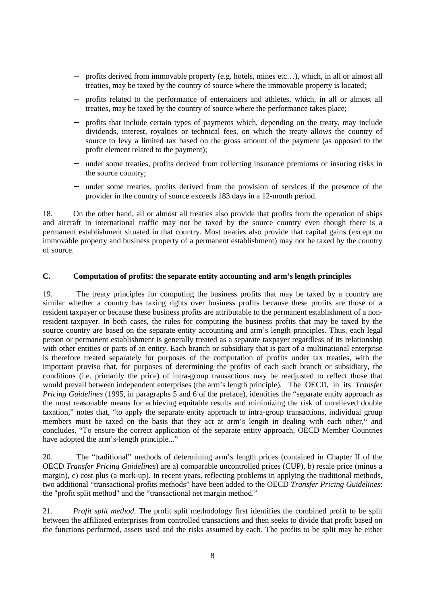- profits derived from immovable property (e.g. hotels, mines etc...), which, in all or almost all treaties, may be taxed by the country of source where the immovable property is located;
- − profits related to the performance of entertainers and athletes, which, in all or almost all treaties, may be taxed by the country of source where the performance takes place;
- − profits that include certain types of payments which, depending on the treaty, may include dividends, interest, royalties or technical fees, on which the treaty allows the country of source to levy a limited tax based on the gross amount of the payment (as opposed to the profit element related to the payment);
- under some treaties, profits derived from collecting insurance premiums or insuring risks in the source country;
- under some treaties, profits derived from the provision of services if the presence of the provider in the country of source exceeds 183 days in a 12-month period.

18. On the other hand, all or almost all treaties also provide that profits from the operation of ships and aircraft in international traffic may not be taxed by the source country even though there is a permanent establishment situated in that country. Most treaties also provide that capital gains (except on immovable property and business property of a permanent establishment) may not be taxed by the country of source.

### **C. Computation of profits: the separate entity accounting and arm's length principles**

19. The treaty principles for computing the business profits that may be taxed by a country are similar whether a country has taxing rights over business profits because these profits are those of a resident taxpayer or because these business profits are attributable to the permanent establishment of a nonresident taxpayer. In both cases, the rules for computing the business profits that may be taxed by the source country are based on the separate entity accounting and arm's length principles. Thus, each legal person or permanent establishment is generally treated as a separate taxpayer regardless of its relationship with other entities or parts of an entity. Each branch or subsidiary that is part of a multinational enterprise is therefore treated separately for purposes of the computation of profits under tax treaties, with the important proviso that, for purposes of determining the profits of each such branch or subsidiary, the conditions (i.e. primarily the price) of intra-group transactions may be readjusted to reflect those that would prevail between independent enterprises (the arm's length principle). The OECD, in its *Transfer Pricing Guidelines* (1995, in paragraphs 5 and 6 of the preface), identifies the "separate entity approach as the most reasonable means for achieving equitable results and minimizing the risk of unrelieved double taxation," notes that, "to apply the separate entity approach to intra-group transactions, individual group members must be taxed on the basis that they act at arm's length in dealing with each other.<sup>"</sup> and concludes, "To ensure the correct application of the separate entity approach, OECD Member Countries have adopted the arm's-length principle..."

20. The "traditional" methods of determining arm's length prices (contained in Chapter II of the OECD *Transfer Pricing Guidelines*) are a) comparable uncontrolled prices (CUP), b) resale price (minus a margin), c) cost plus (a mark-up). In recent years, reflecting problems in applying the traditional methods, two additional "transactional profits methods" have been added to the OECD *Transfer Pricing Guidelines*: the "profit split method" and the "transactional net margin method."

21. *Profit split method*. The profit split methodology first identifies the combined profit to be split between the affiliated enterprises from controlled transactions and then seeks to divide that profit based on the functions performed, assets used and the risks assumed by each. The profits to be split may be either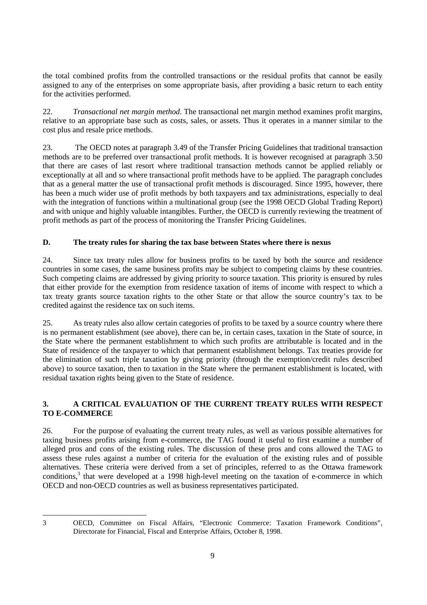the total combined profits from the controlled transactions or the residual profits that cannot be easily assigned to any of the enterprises on some appropriate basis, after providing a basic return to each entity for the activities performed.

22. *Transactional net margin method*. The transactional net margin method examines profit margins, relative to an appropriate base such as costs, sales, or assets. Thus it operates in a manner similar to the cost plus and resale price methods.

23. The OECD notes at paragraph 3.49 of the Transfer Pricing Guidelines that traditional transaction methods are to be preferred over transactional profit methods. It is however recognised at paragraph 3.50 that there are cases of last resort where traditional transaction methods cannot be applied reliably or exceptionally at all and so where transactional profit methods have to be applied. The paragraph concludes that as a general matter the use of transactional profit methods is discouraged. Since 1995, however, there has been a much wider use of profit methods by both taxpayers and tax administrations, especially to deal with the integration of functions within a multinational group (see the 1998 OECD Global Trading Report) and with unique and highly valuable intangibles. Further, the OECD is currently reviewing the treatment of profit methods as part of the process of monitoring the Transfer Pricing Guidelines.

## **D. The treaty rules for sharing the tax base between States where there is nexus**

24. Since tax treaty rules allow for business profits to be taxed by both the source and residence countries in some cases, the same business profits may be subject to competing claims by these countries. Such competing claims are addressed by giving priority to source taxation. This priority is ensured by rules that either provide for the exemption from residence taxation of items of income with respect to which a tax treaty grants source taxation rights to the other State or that allow the source country's tax to be credited against the residence tax on such items.

25. As treaty rules also allow certain categories of profits to be taxed by a source country where there is no permanent establishment (see above), there can be, in certain cases, taxation in the State of source, in the State where the permanent establishment to which such profits are attributable is located and in the State of residence of the taxpayer to which that permanent establishment belongs. Tax treaties provide for the elimination of such triple taxation by giving priority (through the exemption/credit rules described above) to source taxation, then to taxation in the State where the permanent establishment is located, with residual taxation rights being given to the State of residence.

## **3. A CRITICAL EVALUATION OF THE CURRENT TREATY RULES WITH RESPECT TO E-COMMERCE**

26. For the purpose of evaluating the current treaty rules, as well as various possible alternatives for taxing business profits arising from e-commerce, the TAG found it useful to first examine a number of alleged pros and cons of the existing rules. The discussion of these pros and cons allowed the TAG to assess these rules against a number of criteria for the evaluation of the existing rules and of possible alternatives. These criteria were derived from a set of principles, referred to as the Ottawa framework conditions,<sup>3</sup> that were developed at a 1998 high-level meeting on the taxation of e-commerce in which OECD and non-OECD countries as well as business representatives participated.

<sup>3</sup> OECD, Committee on Fiscal Affairs, "Electronic Commerce: Taxation Framework Conditions", Directorate for Financial, Fiscal and Enterprise Affairs, October 8, 1998.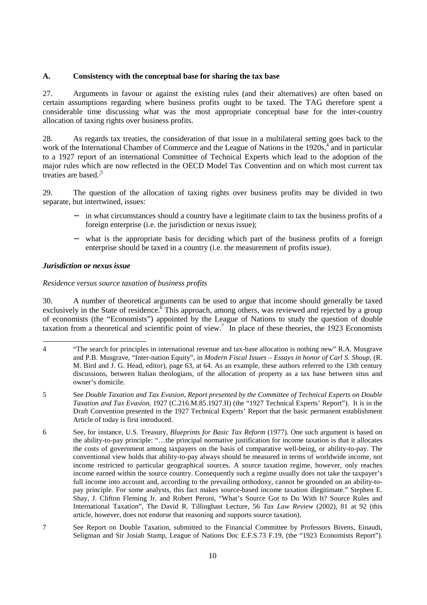### **A. Consistency with the conceptual base for sharing the tax base**

27. Arguments in favour or against the existing rules (and their alternatives) are often based on certain assumptions regarding where business profits ought to be taxed. The TAG therefore spent a considerable time discussing what was the most appropriate conceptual base for the inter-country allocation of taxing rights over business profits.

28. As regards tax treaties, the consideration of that issue in a multilateral setting goes back to the work of the International Chamber of Commerce and the League of Nations in the 1920s,<sup>4</sup> and in particular to a 1927 report of an international Committee of Technical Experts which lead to the adoption of the major rules which are now reflected in the OECD Model Tax Convention and on which most current tax treaties are based. <sup>5</sup>

29. The question of the allocation of taxing rights over business profits may be divided in two separate, but intertwined, issues:

- in what circumstances should a country have a legitimate claim to tax the business profits of a foreign enterprise (i.e. the jurisdiction or nexus issue);
- − what is the appropriate basis for deciding which part of the business profits of a foreign enterprise should be taxed in a country (i.e. the measurement of profits issue).

### *Jurisdiction or nexus issue*

 $\overline{a}$ 

#### *Residence versus source taxation of business profits*

30. A number of theoretical arguments can be used to argue that income should generally be taxed exclusively in the State of residence.  $\bar{6}$  This approach, among others, was reviewed and rejected by a group of economists (the "Economists") appointed by the League of Nations to study the question of double taxation from a theoretical and scientific point of view.<sup>7</sup> In place of these theories, the 1923 Economists

7 See Report on Double Taxation, submitted to the Financial Committee by Professors Bivens, Einaudi, Seligman and Sir Josiah Stamp, League of Nations Doc E.F.S.73 F.19, (the "1923 Economists Report").

<sup>4 &</sup>quot;The search for principles in international revenue and tax-base allocation is nothing new" R.A. Musgrave and P.B. Musgrave, "Inter-nation Equity", in *Modern Fiscal Issues - Essays in honor of Carl S. Shoup*, (R. M. Bird and J. G. Head, editor), page 63, at 64. As an example, these authors referred to the 13th century discussions, between Italian theologians, of the allocation of property as a tax base between situs and owner's domicile.

<sup>5</sup> See *Double Taxation and Tax Evasion, Report presented by the Committee of Technical Experts on Double Taxation and Tax Evasion*, 1927 (C.216.M.85.1927.II) (the "1927 Technical Experts' Report"). It is in the Draft Convention presented in the 1927 Technical Experts' Report that the basic permanent establishment Article of today is first introduced.

<sup>6</sup> See, for instance, U.S. Treasury, *Blueprints for Basic Tax Reform* (1977). One such argument is based on the ability-to-pay principle: "…the principal normative justification for income taxation is that it allocates the costs of government among taxpayers on the basis of comparative well-being, or ability-to-pay. The conventional view holds that ability-to-pay always should be measured in terms of worldwide income, not income restricted to particular geographical sources. A source taxation regime, however, only reaches income earned within the source country. Consequently such a regime usually does not take the taxpayer's full income into account and, according to the prevailing orthodoxy, cannot be grounded on an ability-topay principle. For some analysts, this fact makes source-based income taxation illegitimate." Stephen E. Shay, J. Clifton Fleming Jr. and Robert Peroni, "What's Source Got to Do With It? Source Rules and International Taxation", The David R. Tillinghast Lecture, 56 *Tax Law Review* (2002), 81 at 92 (this article, however, does not endorse that reasoning and supports source taxation).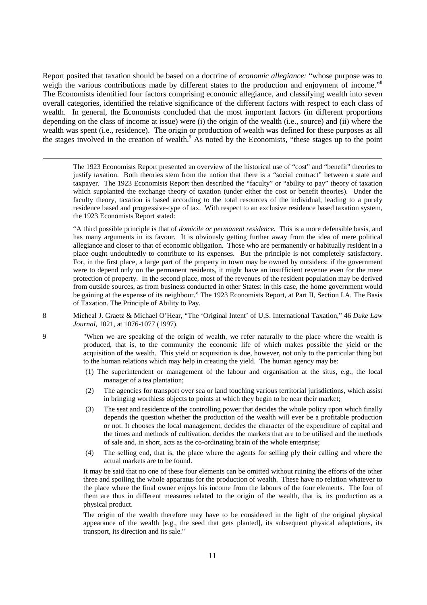Report posited that taxation should be based on a doctrine of *economic allegiance:* "whose purpose was to weigh the various contributions made by different states to the production and enjoyment of income."<sup>8</sup> The Economists identified four factors comprising economic allegiance, and classifying wealth into seven overall categories, identified the relative significance of the different factors with respect to each class of wealth. In general, the Economists concluded that the most important factors (in different proportions depending on the class of income at issue) were (i) the origin of the wealth (i.e., source) and (ii) where the wealth was spent (i.e., residence). The origin or production of wealth was defined for these purposes as all the stages involved in the creation of wealth. As noted by the Economists, "these stages up to the point

The 1923 Economists Report presented an overview of the historical use of "cost" and "benefit" theories to justify taxation. Both theories stem from the notion that there is a "social contract" between a state and taxpayer. The 1923 Economists Report then described the "faculty" or "ability to pay" theory of taxation which supplanted the exchange theory of taxation (under either the cost or benefit theories). Under the faculty theory, taxation is based according to the total resources of the individual, leading to a purely residence based and progressive-type of tax. With respect to an exclusive residence based taxation system, the 1923 Economists Report stated:

 "A third possible principle is that of *domicile or permanent residence.* This is a more defensible basis, and has many arguments in its favour. It is obviously getting further away from the idea of mere political allegiance and closer to that of economic obligation. Those who are permanently or habitually resident in a place ought undoubtedly to contribute to its expenses. But the principle is not completely satisfactory. For, in the first place, a large part of the property in town may be owned by outsiders: if the government were to depend only on the permanent residents, it might have an insufficient revenue even for the mere protection of property. In the second place, most of the revenues of the resident population may be derived from outside sources, as from business conducted in other States: in this case, the home government would be gaining at the expense of its neighbour." The 1923 Economists Report, at Part II, Section I.A. The Basis of Taxation. The Principle of Ability to Pay.

1

8 Micheal J. Graetz & Michael O'Hear, "The 'Original Intent' of U.S. International Taxation," 46 *Duke Law Journal*, 1021, at 1076-1077 (1997).

9 "When we are speaking of the origin of wealth, we refer naturally to the place where the wealth is produced, that is, to the community the economic life of which makes possible the yield or the acquisition of the wealth. This yield or acquisition is due, however, not only to the particular thing but to the human relations which may help in creating the yield. The human agency may be:

- (1) The superintendent or management of the labour and organisation at the situs, e.g., the local manager of a tea plantation;
- (2) The agencies for transport over sea or land touching various territorial jurisdictions, which assist in bringing worthless objects to points at which they begin to be near their market;
- (3) The seat and residence of the controlling power that decides the whole policy upon which finally depends the question whether the production of the wealth will ever be a profitable production or not. It chooses the local management, decides the character of the expenditure of capital and the times and methods of cultivation, decides the markets that are to be utilised and the methods of sale and, in short, acts as the co-ordinating brain of the whole enterprise;
- (4) The selling end, that is, the place where the agents for selling ply their calling and where the actual markets are to be found.

 It may be said that no one of these four elements can be omitted without ruining the efforts of the other three and spoiling the whole apparatus for the production of wealth. These have no relation whatever to the place where the final owner enjoys his income from the labours of the four elements. The four of them are thus in different measures related to the origin of the wealth, that is, its production as a physical product.

 The origin of the wealth therefore may have to be considered in the light of the original physical appearance of the wealth [e.g., the seed that gets planted], its subsequent physical adaptations, its transport, its direction and its sale."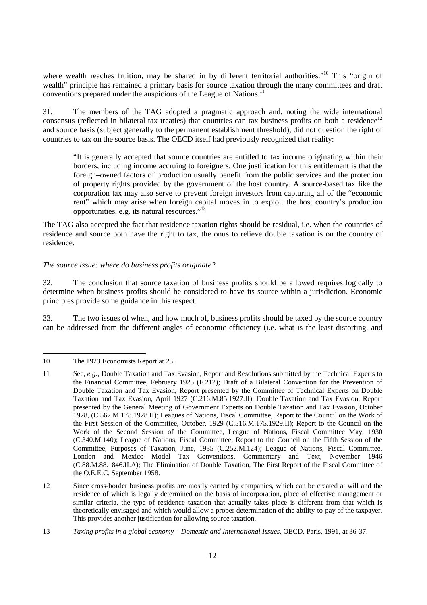where wealth reaches fruition, may be shared in by different territorial authorities."<sup>10</sup> This "origin of wealth" principle has remained a primary basis for source taxation through the many committees and draft conventions prepared under the auspicious of the League of Nations.<sup>11</sup>

31. The members of the TAG adopted a pragmatic approach and, noting the wide international consensus (reflected in bilateral tax treaties) that countries can tax business profits on both a residence<sup>12</sup> and source basis (subject generally to the permanent establishment threshold), did not question the right of countries to tax on the source basis. The OECD itself had previously recognized that reality:

"It is generally accepted that source countries are entitled to tax income originating within their borders, including income accruing to foreigners. One justification for this entitlement is that the foreign–owned factors of production usually benefit from the public services and the protection of property rights provided by the government of the host country. A source-based tax like the corporation tax may also serve to prevent foreign investors from capturing all of the "economic rent" which may arise when foreign capital moves in to exploit the host country's production opportunities, e.g. its natural resources."13

The TAG also accepted the fact that residence taxation rights should be residual, i.e. when the countries of residence and source both have the right to tax, the onus to relieve double taxation is on the country of residence.

### *The source issue: where do business profits originate?*

32. The conclusion that source taxation of business profits should be allowed requires logically to determine when business profits should be considered to have its source within a jurisdiction. Economic principles provide some guidance in this respect.

33. The two issues of when, and how much of, business profits should be taxed by the source country can be addressed from the different angles of economic efficiency (i.e. what is the least distorting, and

<sup>10</sup> The 1923 Economists Report at 23.

<sup>11</sup> See, *e.g.,* Double Taxation and Tax Evasion, Report and Resolutions submitted by the Technical Experts to the Financial Committee, February 1925 (F.212); Draft of a Bilateral Convention for the Prevention of Double Taxation and Tax Evasion, Report presented by the Committee of Technical Experts on Double Taxation and Tax Evasion, April 1927 (C.216.M.85.1927.II); Double Taxation and Tax Evasion, Report presented by the General Meeting of Government Experts on Double Taxation and Tax Evasion, October 1928, (C.562.M.178.1928 II); Leagues of Nations, Fiscal Committee, Report to the Council on the Work of the First Session of the Committee, October, 1929 (C.516.M.175.1929.II); Report to the Council on the Work of the Second Session of the Committee, League of Nations, Fiscal Committee May, 1930 (C.340.M.140); League of Nations, Fiscal Committee, Report to the Council on the Fifth Session of the Committee, Purposes of Taxation, June, 1935 (C.252.M.124); League of Nations, Fiscal Committee, London and Mexico Model Tax Conventions, Commentary and Text, November 1946 (C.88.M.88.1846.II.A); The Elimination of Double Taxation, The First Report of the Fiscal Committee of the O.E.E.C, September 1958.

<sup>12</sup> Since cross-border business profits are mostly earned by companies, which can be created at will and the residence of which is legally determined on the basis of incorporation, place of effective management or similar criteria, the type of residence taxation that actually takes place is different from that which is theoretically envisaged and which would allow a proper determination of the ability-to-pay of the taxpayer. This provides another justification for allowing source taxation.

<sup>13</sup> *Taxing profits in a global economy – Domestic and International Issues*, OECD, Paris, 1991, at 36-37.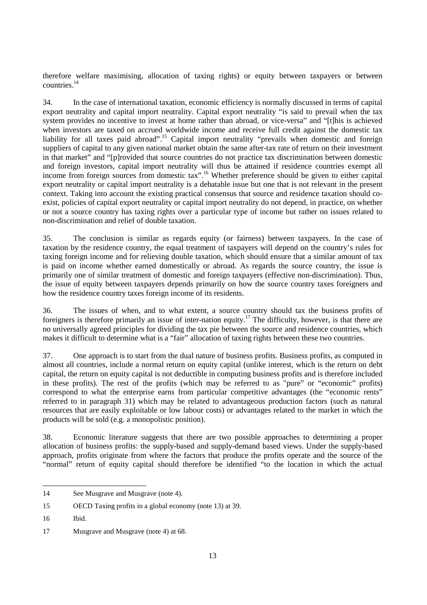therefore welfare maximising, allocation of taxing rights) or equity between taxpayers or between countries.14

34. In the case of international taxation, economic efficiency is normally discussed in terms of capital export neutrality and capital import neutrality. Capital export neutrality "is said to prevail when the tax system provides no incentive to invest at home rather than abroad, or vice-versa" and "[t]his is achieved when investors are taxed on accrued worldwide income and receive full credit against the domestic tax liability for all taxes paid abroad".<sup>15</sup> Capital import neutrality "prevails when domestic and foreign suppliers of capital to any given national market obtain the same after-tax rate of return on their investment in that market" and "[p]rovided that source countries do not practice tax discrimination between domestic and foreign investors, capital import neutrality will thus be attained if residence countries exempt all income from foreign sources from domestic tax".16 Whether preference should be given to either capital export neutrality or capital import neutrality is a debatable issue but one that is not relevant in the present context. Taking into account the existing practical consensus that source and residence taxation should coexist, policies of capital export neutrality or capital import neutrality do not depend, in practice, on whether or not a source country has taxing rights over a particular type of income but rather on issues related to non-discrimination and relief of double taxation.

35. The conclusion is similar as regards equity (or fairness) between taxpayers. In the case of taxation by the residence country, the equal treatment of taxpayers will depend on the country's rules for taxing foreign income and for relieving double taxation, which should ensure that a similar amount of tax is paid on income whether earned domestically or abroad. As regards the source country, the issue is primarily one of similar treatment of domestic and foreign taxpayers (effective non-discrimination). Thus, the issue of equity between taxpayers depends primarily on how the source country taxes foreigners and how the residence country taxes foreign income of its residents.

36. The issues of when, and to what extent, a source country should tax the business profits of foreigners is therefore primarily an issue of inter-nation equity.<sup>17</sup> The difficulty, however, is that there are no universally agreed principles for dividing the tax pie between the source and residence countries, which makes it difficult to determine what is a "fair" allocation of taxing rights between these two countries.

37. One approach is to start from the dual nature of business profits. Business profits, as computed in almost all countries, include a normal return on equity capital (unlike interest, which is the return on debt capital, the return on equity capital is not deductible in computing business profits and is therefore included in these profits). The rest of the profits (which may be referred to as "pure" or "economic" profits) correspond to what the enterprise earns from particular competitive advantages (the "economic rents" referred to in paragraph 31) which may be related to advantageous production factors (such as natural resources that are easily exploitable or low labour costs) or advantages related to the market in which the products will be sold (e.g. a monopolistic position).

38. Economic literature suggests that there are two possible approaches to determining a proper allocation of business profits: the supply-based and supply-demand based views. Under the supply-based approach, profits originate from where the factors that produce the profits operate and the source of the "normal" return of equity capital should therefore be identified "to the location in which the actual

<sup>14</sup> See Musgrave and Musgrave (note 4).

<sup>15</sup> OECD Taxing profits in a global economy (note 13) at 39.

<sup>16</sup> Ibid.

<sup>17</sup> Musgrave and Musgrave (note 4) at 68.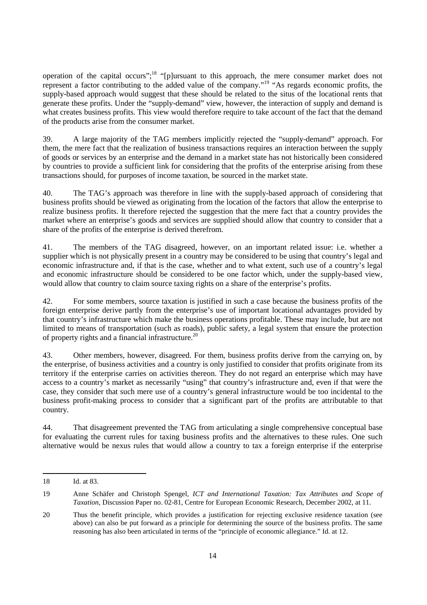operation of the capital occurs";<sup>18</sup> "[p]ursuant to this approach, the mere consumer market does not represent a factor contributing to the added value of the company."19 "As regards economic profits, the supply-based approach would suggest that these should be related to the situs of the locational rents that generate these profits. Under the "supply-demand" view, however, the interaction of supply and demand is what creates business profits. This view would therefore require to take account of the fact that the demand of the products arise from the consumer market.

39. A large majority of the TAG members implicitly rejected the "supply-demand" approach. For them, the mere fact that the realization of business transactions requires an interaction between the supply of goods or services by an enterprise and the demand in a market state has not historically been considered by countries to provide a sufficient link for considering that the profits of the enterprise arising from these transactions should, for purposes of income taxation, be sourced in the market state.

40. The TAG's approach was therefore in line with the supply-based approach of considering that business profits should be viewed as originating from the location of the factors that allow the enterprise to realize business profits. It therefore rejected the suggestion that the mere fact that a country provides the market where an enterprise's goods and services are supplied should allow that country to consider that a share of the profits of the enterprise is derived therefrom.

41. The members of the TAG disagreed, however, on an important related issue: i.e. whether a supplier which is not physically present in a country may be considered to be using that country's legal and economic infrastructure and, if that is the case, whether and to what extent, such use of a country's legal and economic infrastructure should be considered to be one factor which, under the supply-based view, would allow that country to claim source taxing rights on a share of the enterprise's profits.

42. For some members, source taxation is justified in such a case because the business profits of the foreign enterprise derive partly from the enterprise's use of important locational advantages provided by that country's infrastructure which make the business operations profitable. These may include, but are not limited to means of transportation (such as roads), public safety, a legal system that ensure the protection of property rights and a financial infrastructure.<sup>20</sup>

43. Other members, however, disagreed. For them, business profits derive from the carrying on, by the enterprise, of business activities and a country is only justified to consider that profits originate from its territory if the enterprise carries on activities thereon. They do not regard an enterprise which may have access to a country's market as necessarily "using" that country's infrastructure and, even if that were the case, they consider that such mere use of a country's general infrastructure would be too incidental to the business profit-making process to consider that a significant part of the profits are attributable to that country.

44. That disagreement prevented the TAG from articulating a single comprehensive conceptual base for evaluating the current rules for taxing business profits and the alternatives to these rules. One such alternative would be nexus rules that would allow a country to tax a foreign enterprise if the enterprise

<sup>18</sup> Id. at 83.

<sup>19</sup> Anne Schäfer and Christoph Spengel*, ICT and International Taxation: Tax Attributes and Scope of Taxation*, Discussion Paper no. 02-81, Centre for European Economic Research, December 2002, at 11.

<sup>20</sup> Thus the benefit principle, which provides a justification for rejecting exclusive residence taxation (see above) can also be put forward as a principle for determining the source of the business profits. The same reasoning has also been articulated in terms of the "principle of economic allegiance." Id. at 12.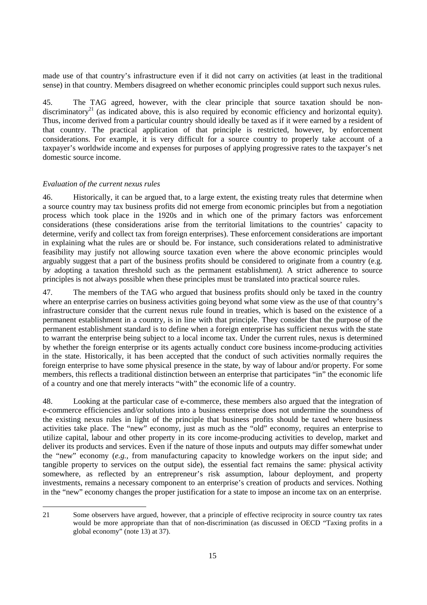made use of that country's infrastructure even if it did not carry on activities (at least in the traditional sense) in that country. Members disagreed on whether economic principles could support such nexus rules.

45. The TAG agreed, however, with the clear principle that source taxation should be nondiscriminatory<sup>21</sup> (as indicated above, this is also required by economic efficiency and horizontal equity). Thus, income derived from a particular country should ideally be taxed as if it were earned by a resident of that country. The practical application of that principle is restricted, however, by enforcement considerations. For example, it is very difficult for a source country to properly take account of a taxpayer's worldwide income and expenses for purposes of applying progressive rates to the taxpayer's net domestic source income.

#### *Evaluation of the current nexus rules*

46. Historically, it can be argued that, to a large extent, the existing treaty rules that determine when a source country may tax business profits did not emerge from economic principles but from a negotiation process which took place in the 1920s and in which one of the primary factors was enforcement considerations (these considerations arise from the territorial limitations to the countries' capacity to determine, verify and collect tax from foreign enterprises). These enforcement considerations are important in explaining what the rules are or should be. For instance, such considerations related to administrative feasibility may justify not allowing source taxation even where the above economic principles would arguably suggest that a part of the business profits should be considered to originate from a country (e.g. by adopting a taxation threshold such as the permanent establishment*).* A strict adherence to source principles is not always possible when these principles must be translated into practical source rules.

47. The members of the TAG who argued that business profits should only be taxed in the country where an enterprise carries on business activities going beyond what some view as the use of that country's infrastructure consider that the current nexus rule found in treaties, which is based on the existence of a permanent establishment in a country, is in line with that principle. They consider that the purpose of the permanent establishment standard is to define when a foreign enterprise has sufficient nexus with the state to warrant the enterprise being subject to a local income tax. Under the current rules, nexus is determined by whether the foreign enterprise or its agents actually conduct core business income-producing activities in the state. Historically, it has been accepted that the conduct of such activities normally requires the foreign enterprise to have some physical presence in the state, by way of labour and/or property. For some members, this reflects a traditional distinction between an enterprise that participates "in" the economic life of a country and one that merely interacts "with" the economic life of a country.

48. Looking at the particular case of e-commerce, these members also argued that the integration of e-commerce efficiencies and/or solutions into a business enterprise does not undermine the soundness of the existing nexus rules in light of the principle that business profits should be taxed where business activities take place. The "new" economy, just as much as the "old" economy, requires an enterprise to utilize capital, labour and other property in its core income-producing activities to develop, market and deliver its products and services. Even if the nature of those inputs and outputs may differ somewhat under the "new" economy (*e.g.,* from manufacturing capacity to knowledge workers on the input side; and tangible property to services on the output side), the essential fact remains the same: physical activity somewhere, as reflected by an entrepreneur's risk assumption, labour deployment, and property investments, remains a necessary component to an enterprise's creation of products and services. Nothing in the "new" economy changes the proper justification for a state to impose an income tax on an enterprise.

<sup>21</sup> Some observers have argued, however, that a principle of effective reciprocity in source country tax rates would be more appropriate than that of non-discrimination (as discussed in OECD "Taxing profits in a global economy" (note 13) at 37).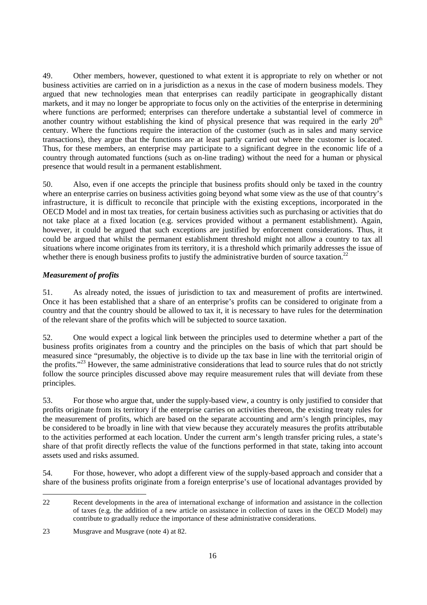49. Other members, however, questioned to what extent it is appropriate to rely on whether or not business activities are carried on in a jurisdiction as a nexus in the case of modern business models. They argued that new technologies mean that enterprises can readily participate in geographically distant markets, and it may no longer be appropriate to focus only on the activities of the enterprise in determining where functions are performed; enterprises can therefore undertake a substantial level of commerce in another country without establishing the kind of physical presence that was required in the early  $20<sup>th</sup>$ century. Where the functions require the interaction of the customer (such as in sales and many service transactions), they argue that the functions are at least partly carried out where the customer is located. Thus, for these members, an enterprise may participate to a significant degree in the economic life of a country through automated functions (such as on-line trading) without the need for a human or physical presence that would result in a permanent establishment.

50. Also, even if one accepts the principle that business profits should only be taxed in the country where an enterprise carries on business activities going beyond what some view as the use of that country's infrastructure, it is difficult to reconcile that principle with the existing exceptions, incorporated in the OECD Model and in most tax treaties, for certain business activities such as purchasing or activities that do not take place at a fixed location (e.g. services provided without a permanent establishment). Again, however, it could be argued that such exceptions are justified by enforcement considerations. Thus, it could be argued that whilst the permanent establishment threshold might not allow a country to tax all situations where income originates from its territory, it is a threshold which primarily addresses the issue of whether there is enough business profits to justify the administrative burden of source taxation.<sup>22</sup>

# *Measurement of profits*

51. As already noted, the issues of jurisdiction to tax and measurement of profits are intertwined. Once it has been established that a share of an enterprise's profits can be considered to originate from a country and that the country should be allowed to tax it, it is necessary to have rules for the determination of the relevant share of the profits which will be subjected to source taxation.

52. One would expect a logical link between the principles used to determine whether a part of the business profits originates from a country and the principles on the basis of which that part should be measured since "presumably, the objective is to divide up the tax base in line with the territorial origin of the profits."23 However, the same administrative considerations that lead to source rules that do not strictly follow the source principles discussed above may require measurement rules that will deviate from these principles.

53. For those who argue that, under the supply-based view, a country is only justified to consider that profits originate from its territory if the enterprise carries on activities thereon, the existing treaty rules for the measurement of profits, which are based on the separate accounting and arm's length principles, may be considered to be broadly in line with that view because they accurately measures the profits attributable to the activities performed at each location. Under the current arm's length transfer pricing rules, a state's share of that profit directly reflects the value of the functions performed in that state, taking into account assets used and risks assumed.

54. For those, however, who adopt a different view of the supply-based approach and consider that a share of the business profits originate from a foreign enterprise's use of locational advantages provided by

<sup>22</sup> Recent developments in the area of international exchange of information and assistance in the collection of taxes (e.g. the addition of a new article on assistance in collection of taxes in the OECD Model) may contribute to gradually reduce the importance of these administrative considerations.

<sup>23</sup> Musgrave and Musgrave (note 4) at 82.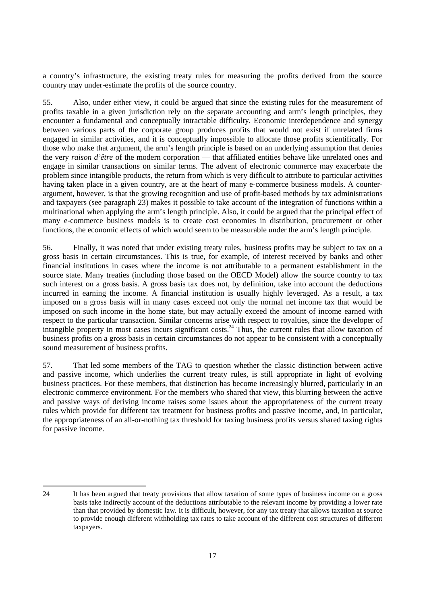a country's infrastructure, the existing treaty rules for measuring the profits derived from the source country may under-estimate the profits of the source country.

55. Also, under either view, it could be argued that since the existing rules for the measurement of profits taxable in a given jurisdiction rely on the separate accounting and arm's length principles, they encounter a fundamental and conceptually intractable difficulty. Economic interdependence and synergy between various parts of the corporate group produces profits that would not exist if unrelated firms engaged in similar activities, and it is conceptually impossible to allocate those profits scientifically. For those who make that argument, the arm's length principle is based on an underlying assumption that denies the very *raison d'être* of the modern corporation — that affiliated entities behave like unrelated ones and engage in similar transactions on similar terms. The advent of electronic commerce may exacerbate the problem since intangible products, the return from which is very difficult to attribute to particular activities having taken place in a given country, are at the heart of many e-commerce business models. A counterargument, however, is that the growing recognition and use of profit-based methods by tax administrations and taxpayers (see paragraph 23) makes it possible to take account of the integration of functions within a multinational when applying the arm's length principle. Also, it could be argued that the principal effect of many e-commerce business models is to create cost economies in distribution, procurement or other functions, the economic effects of which would seem to be measurable under the arm's length principle.

56. Finally, it was noted that under existing treaty rules, business profits may be subject to tax on a gross basis in certain circumstances. This is true, for example, of interest received by banks and other financial institutions in cases where the income is not attributable to a permanent establishment in the source state. Many treaties (including those based on the OECD Model) allow the source country to tax such interest on a gross basis. A gross basis tax does not, by definition, take into account the deductions incurred in earning the income. A financial institution is usually highly leveraged. As a result, a tax imposed on a gross basis will in many cases exceed not only the normal net income tax that would be imposed on such income in the home state, but may actually exceed the amount of income earned with respect to the particular transaction. Similar concerns arise with respect to royalties, since the developer of intangible property in most cases incurs significant costs.<sup>24</sup> Thus, the current rules that allow taxation of business profits on a gross basis in certain circumstances do not appear to be consistent with a conceptually sound measurement of business profits.

57. That led some members of the TAG to question whether the classic distinction between active and passive income, which underlies the current treaty rules, is still appropriate in light of evolving business practices. For these members, that distinction has become increasingly blurred, particularly in an electronic commerce environment. For the members who shared that view, this blurring between the active and passive ways of deriving income raises some issues about the appropriateness of the current treaty rules which provide for different tax treatment for business profits and passive income, and, in particular, the appropriateness of an all-or-nothing tax threshold for taxing business profits versus shared taxing rights for passive income.

 $\overline{a}$ 24 It has been argued that treaty provisions that allow taxation of some types of business income on a gross basis take indirectly account of the deductions attributable to the relevant income by providing a lower rate than that provided by domestic law. It is difficult, however, for any tax treaty that allows taxation at source to provide enough different withholding tax rates to take account of the different cost structures of different taxpayers.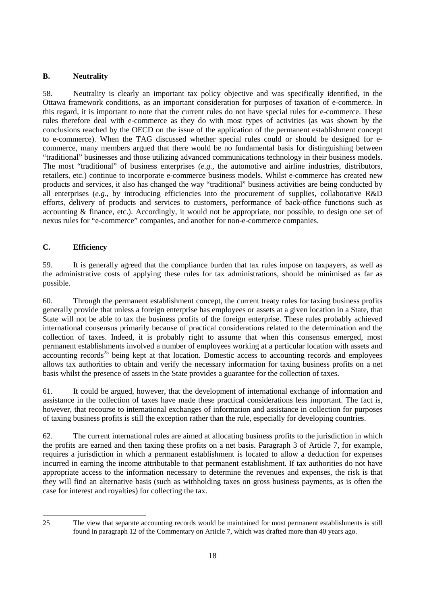## **B. Neutrality**

58. Neutrality is clearly an important tax policy objective and was specifically identified, in the Ottawa framework conditions, as an important consideration for purposes of taxation of e-commerce. In this regard, it is important to note that the current rules do not have special rules for e-commerce. These rules therefore deal with e-commerce as they do with most types of activities (as was shown by the conclusions reached by the OECD on the issue of the application of the permanent establishment concept to e-commerce). When the TAG discussed whether special rules could or should be designed for ecommerce, many members argued that there would be no fundamental basis for distinguishing between "traditional" businesses and those utilizing advanced communications technology in their business models. The most "traditional" of business enterprises (*e.g.,* the automotive and airline industries, distributors, retailers, etc.) continue to incorporate e-commerce business models. Whilst e-commerce has created new products and services, it also has changed the way "traditional" business activities are being conducted by all enterprises (*e.g.,* by introducing efficiencies into the procurement of supplies, collaborative R&D efforts, delivery of products and services to customers, performance of back-office functions such as accounting & finance, etc.). Accordingly, it would not be appropriate, nor possible, to design one set of nexus rules for "e-commerce" companies, and another for non-e-commerce companies.

## **C. Efficiency**

59. It is generally agreed that the compliance burden that tax rules impose on taxpayers, as well as the administrative costs of applying these rules for tax administrations, should be minimised as far as possible.

60. Through the permanent establishment concept, the current treaty rules for taxing business profits generally provide that unless a foreign enterprise has employees or assets at a given location in a State, that State will not be able to tax the business profits of the foreign enterprise. These rules probably achieved international consensus primarily because of practical considerations related to the determination and the collection of taxes. Indeed, it is probably right to assume that when this consensus emerged, most permanent establishments involved a number of employees working at a particular location with assets and accounting records<sup>25</sup> being kept at that location. Domestic access to accounting records and employees allows tax authorities to obtain and verify the necessary information for taxing business profits on a net basis whilst the presence of assets in the State provides a guarantee for the collection of taxes.

61. It could be argued, however, that the development of international exchange of information and assistance in the collection of taxes have made these practical considerations less important. The fact is, however, that recourse to international exchanges of information and assistance in collection for purposes of taxing business profits is still the exception rather than the rule, especially for developing countries.

62. The current international rules are aimed at allocating business profits to the jurisdiction in which the profits are earned and then taxing these profits on a net basis. Paragraph 3 of Article 7, for example, requires a jurisdiction in which a permanent establishment is located to allow a deduction for expenses incurred in earning the income attributable to that permanent establishment. If tax authorities do not have appropriate access to the information necessary to determine the revenues and expenses, the risk is that they will find an alternative basis (such as withholding taxes on gross business payments, as is often the case for interest and royalties) for collecting the tax.

<sup>25</sup> The view that separate accounting records would be maintained for most permanent establishments is still found in paragraph 12 of the Commentary on Article 7, which was drafted more than 40 years ago.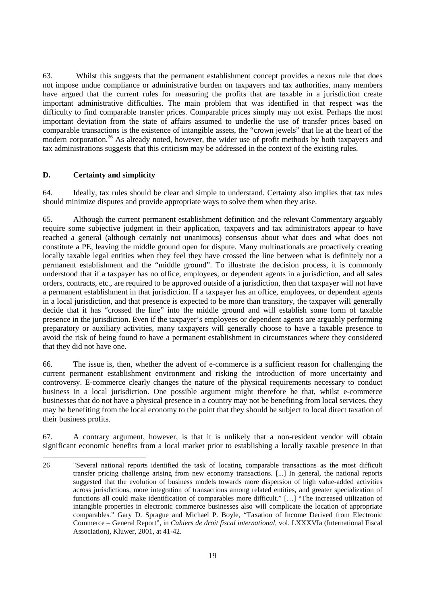63. Whilst this suggests that the permanent establishment concept provides a nexus rule that does not impose undue compliance or administrative burden on taxpayers and tax authorities, many members have argued that the current rules for measuring the profits that are taxable in a jurisdiction create important administrative difficulties. The main problem that was identified in that respect was the difficulty to find comparable transfer prices. Comparable prices simply may not exist. Perhaps the most important deviation from the state of affairs assumed to underlie the use of transfer prices based on comparable transactions is the existence of intangible assets, the "crown jewels" that lie at the heart of the modern corporation.<sup>26</sup> As already noted, however, the wider use of profit methods by both taxpayers and tax administrations suggests that this criticism may be addressed in the context of the existing rules.

### **D. Certainty and simplicity**

 $\overline{a}$ 

64. Ideally, tax rules should be clear and simple to understand. Certainty also implies that tax rules should minimize disputes and provide appropriate ways to solve them when they arise.

65. Although the current permanent establishment definition and the relevant Commentary arguably require some subjective judgment in their application, taxpayers and tax administrators appear to have reached a general (although certainly not unanimous) consensus about what does and what does not constitute a PE, leaving the middle ground open for dispute. Many multinationals are proactively creating locally taxable legal entities when they feel they have crossed the line between what is definitely not a permanent establishment and the "middle ground". To illustrate the decision process, it is commonly understood that if a taxpayer has no office, employees, or dependent agents in a jurisdiction, and all sales orders, contracts, etc., are required to be approved outside of a jurisdiction, then that taxpayer will not have a permanent establishment in that jurisdiction. If a taxpayer has an office, employees, or dependent agents in a local jurisdiction, and that presence is expected to be more than transitory, the taxpayer will generally decide that it has "crossed the line" into the middle ground and will establish some form of taxable presence in the jurisdiction. Even if the taxpayer's employees or dependent agents are arguably performing preparatory or auxiliary activities, many taxpayers will generally choose to have a taxable presence to avoid the risk of being found to have a permanent establishment in circumstances where they considered that they did not have one.

66. The issue is, then, whether the advent of e-commerce is a sufficient reason for challenging the current permanent establishment environment and risking the introduction of more uncertainty and controversy. E-commerce clearly changes the nature of the physical requirements necessary to conduct business in a local jurisdiction. One possible argument might therefore be that, whilst e-commerce businesses that do not have a physical presence in a country may not be benefiting from local services, they may be benefiting from the local economy to the point that they should be subject to local direct taxation of their business profits.

67. A contrary argument, however, is that it is unlikely that a non-resident vendor will obtain significant economic benefits from a local market prior to establishing a locally taxable presence in that

<sup>26 &</sup>quot;Several national reports identified the task of locating comparable transactions as the most difficult transfer pricing challenge arising from new economy transactions. [...] In general, the national reports suggested that the evolution of business models towards more dispersion of high value-added activities across jurisdictions, more integration of transactions among related entities, and greater specialization of functions all could make identification of comparables more difficult." […] "The increased utilization of intangible properties in electronic commerce businesses also will complicate the location of appropriate comparables." Gary D. Sprague and Michael P. Boyle, "Taxation of Income Derived from Electronic Commerce – General Report", in *Cahiers de droit fiscal international*, vol. LXXXVIa (International Fiscal Association), Kluwer, 2001, at 41-42.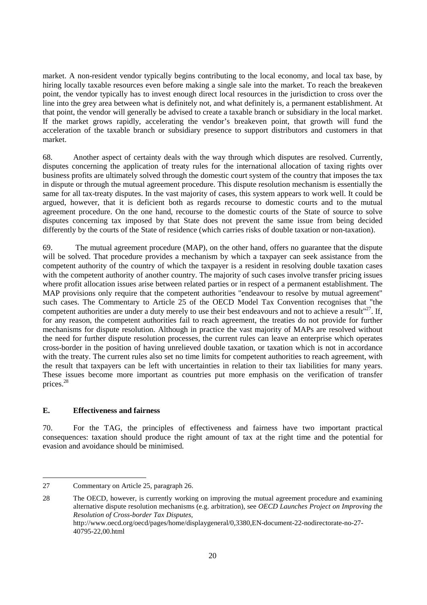market. A non-resident vendor typically begins contributing to the local economy, and local tax base, by hiring locally taxable resources even before making a single sale into the market. To reach the breakeven point, the vendor typically has to invest enough direct local resources in the jurisdiction to cross over the line into the grey area between what is definitely not, and what definitely is, a permanent establishment. At that point, the vendor will generally be advised to create a taxable branch or subsidiary in the local market. If the market grows rapidly, accelerating the vendor's breakeven point, that growth will fund the acceleration of the taxable branch or subsidiary presence to support distributors and customers in that market.

68. Another aspect of certainty deals with the way through which disputes are resolved. Currently, disputes concerning the application of treaty rules for the international allocation of taxing rights over business profits are ultimately solved through the domestic court system of the country that imposes the tax in dispute or through the mutual agreement procedure. This dispute resolution mechanism is essentially the same for all tax-treaty disputes. In the vast majority of cases, this system appears to work well. It could be argued, however, that it is deficient both as regards recourse to domestic courts and to the mutual agreement procedure. On the one hand, recourse to the domestic courts of the State of source to solve disputes concerning tax imposed by that State does not prevent the same issue from being decided differently by the courts of the State of residence (which carries risks of double taxation or non-taxation).

69. The mutual agreement procedure (MAP), on the other hand, offers no guarantee that the dispute will be solved. That procedure provides a mechanism by which a taxpayer can seek assistance from the competent authority of the country of which the taxpayer is a resident in resolving double taxation cases with the competent authority of another country. The majority of such cases involve transfer pricing issues where profit allocation issues arise between related parties or in respect of a permanent establishment. The MAP provisions only require that the competent authorities "endeavour to resolve by mutual agreement" such cases. The Commentary to Article 25 of the OECD Model Tax Convention recognises that "the competent authorities are under a duty merely to use their best endeavours and not to achieve a result"<sup>27</sup>. If, for any reason, the competent authorities fail to reach agreement, the treaties do not provide for further mechanisms for dispute resolution. Although in practice the vast majority of MAPs are resolved without the need for further dispute resolution processes, the current rules can leave an enterprise which operates cross-border in the position of having unrelieved double taxation, or taxation which is not in accordance with the treaty. The current rules also set no time limits for competent authorities to reach agreement, with the result that taxpayers can be left with uncertainties in relation to their tax liabilities for many years. These issues become more important as countries put more emphasis on the verification of transfer prices.28

### **E. Effectiveness and fairness**

 $\overline{a}$ 

70. For the TAG, the principles of effectiveness and fairness have two important practical consequences: taxation should produce the right amount of tax at the right time and the potential for evasion and avoidance should be minimised.

<sup>27</sup> Commentary on Article 25, paragraph 26.

<sup>28</sup> The OECD, however, is currently working on improving the mutual agreement procedure and examining alternative dispute resolution mechanisms (e.g. arbitration), see *OECD Launches Project on Improving the Resolution of Cross-border Tax Disputes,*  http://www.oecd.org/oecd/pages/home/displaygeneral/0,3380,EN-document-22-nodirectorate-no-27- 40795-22,00.html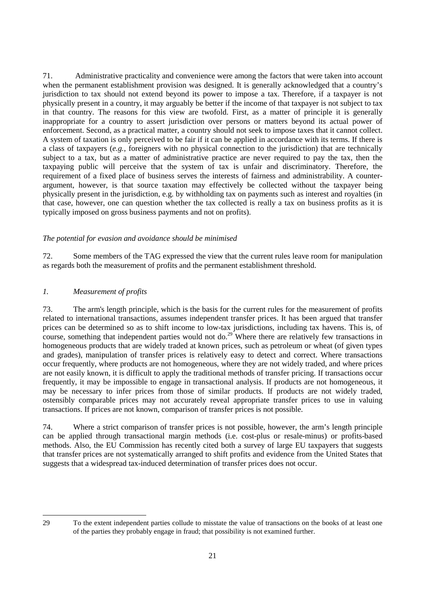71. Administrative practicality and convenience were among the factors that were taken into account when the permanent establishment provision was designed. It is generally acknowledged that a country's jurisdiction to tax should not extend beyond its power to impose a tax. Therefore, if a taxpayer is not physically present in a country, it may arguably be better if the income of that taxpayer is not subject to tax in that country. The reasons for this view are twofold. First, as a matter of principle it is generally inappropriate for a country to assert jurisdiction over persons or matters beyond its actual power of enforcement. Second, as a practical matter, a country should not seek to impose taxes that it cannot collect. A system of taxation is only perceived to be fair if it can be applied in accordance with its terms. If there is a class of taxpayers (*e.g.,* foreigners with no physical connection to the jurisdiction) that are technically subject to a tax, but as a matter of administrative practice are never required to pay the tax, then the taxpaying public will perceive that the system of tax is unfair and discriminatory. Therefore, the requirement of a fixed place of business serves the interests of fairness and administrability. A counterargument, however, is that source taxation may effectively be collected without the taxpayer being physically present in the jurisdiction, e.g. by withholding tax on payments such as interest and royalties (in that case, however, one can question whether the tax collected is really a tax on business profits as it is typically imposed on gross business payments and not on profits).

## *The potential for evasion and avoidance should be minimised*

72. Some members of the TAG expressed the view that the current rules leave room for manipulation as regards both the measurement of profits and the permanent establishment threshold.

### *1. Measurement of profits*

73. The arm's length principle, which is the basis for the current rules for the measurement of profits related to international transactions, assumes independent transfer prices. It has been argued that transfer prices can be determined so as to shift income to low-tax jurisdictions, including tax havens. This is, of course, something that independent parties would not do.<sup>29</sup> Where there are relatively few transactions in homogeneous products that are widely traded at known prices, such as petroleum or wheat (of given types and grades), manipulation of transfer prices is relatively easy to detect and correct. Where transactions occur frequently, where products are not homogeneous, where they are not widely traded, and where prices are not easily known, it is difficult to apply the traditional methods of transfer pricing. If transactions occur frequently, it may be impossible to engage in transactional analysis. If products are not homogeneous, it may be necessary to infer prices from those of similar products. If products are not widely traded, ostensibly comparable prices may not accurately reveal appropriate transfer prices to use in valuing transactions. If prices are not known, comparison of transfer prices is not possible.

74. Where a strict comparison of transfer prices is not possible, however, the arm's length principle can be applied through transactional margin methods (i.e. cost-plus or resale-minus) or profits-based methods. Also, the EU Commission has recently cited both a survey of large EU taxpayers that suggests that transfer prices are not systematically arranged to shift profits and evidence from the United States that suggests that a widespread tax-induced determination of transfer prices does not occur.

<sup>29</sup> To the extent independent parties collude to misstate the value of transactions on the books of at least one of the parties they probably engage in fraud; that possibility is not examined further.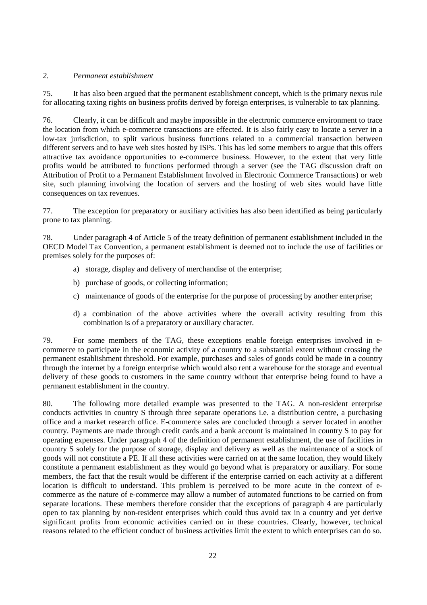# *2. Permanent establishment*

75. It has also been argued that the permanent establishment concept, which is the primary nexus rule for allocating taxing rights on business profits derived by foreign enterprises, is vulnerable to tax planning.

76. Clearly, it can be difficult and maybe impossible in the electronic commerce environment to trace the location from which e-commerce transactions are effected. It is also fairly easy to locate a server in a low-tax jurisdiction, to split various business functions related to a commercial transaction between different servers and to have web sites hosted by ISPs. This has led some members to argue that this offers attractive tax avoidance opportunities to e-commerce business. However, to the extent that very little profits would be attributed to functions performed through a server (see the TAG discussion draft on Attribution of Profit to a Permanent Establishment Involved in Electronic Commerce Transactions) or web site, such planning involving the location of servers and the hosting of web sites would have little consequences on tax revenues.

77. The exception for preparatory or auxiliary activities has also been identified as being particularly prone to tax planning.

78. Under paragraph 4 of Article 5 of the treaty definition of permanent establishment included in the OECD Model Tax Convention, a permanent establishment is deemed not to include the use of facilities or premises solely for the purposes of:

- a) storage, display and delivery of merchandise of the enterprise;
- b) purchase of goods, or collecting information;
- c) maintenance of goods of the enterprise for the purpose of processing by another enterprise;
- d) a combination of the above activities where the overall activity resulting from this combination is of a preparatory or auxiliary character.

79. For some members of the TAG, these exceptions enable foreign enterprises involved in ecommerce to participate in the economic activity of a country to a substantial extent without crossing the permanent establishment threshold. For example, purchases and sales of goods could be made in a country through the internet by a foreign enterprise which would also rent a warehouse for the storage and eventual delivery of these goods to customers in the same country without that enterprise being found to have a permanent establishment in the country.

80. The following more detailed example was presented to the TAG. A non-resident enterprise conducts activities in country S through three separate operations i.e. a distribution centre, a purchasing office and a market research office. E-commerce sales are concluded through a server located in another country. Payments are made through credit cards and a bank account is maintained in country S to pay for operating expenses. Under paragraph 4 of the definition of permanent establishment, the use of facilities in country S solely for the purpose of storage, display and delivery as well as the maintenance of a stock of goods will not constitute a PE. If all these activities were carried on at the same location, they would likely constitute a permanent establishment as they would go beyond what is preparatory or auxiliary. For some members, the fact that the result would be different if the enterprise carried on each activity at a different location is difficult to understand. This problem is perceived to be more acute in the context of ecommerce as the nature of e-commerce may allow a number of automated functions to be carried on from separate locations. These members therefore consider that the exceptions of paragraph 4 are particularly open to tax planning by non-resident enterprises which could thus avoid tax in a country and yet derive significant profits from economic activities carried on in these countries. Clearly, however, technical reasons related to the efficient conduct of business activities limit the extent to which enterprises can do so.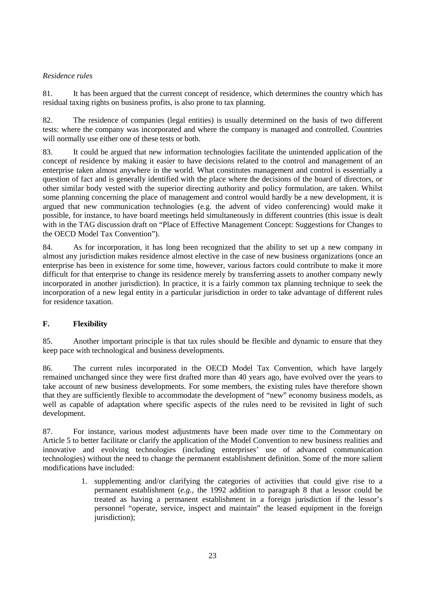# *Residence rules*

81. It has been argued that the current concept of residence, which determines the country which has residual taxing rights on business profits, is also prone to tax planning.

82. The residence of companies (legal entities) is usually determined on the basis of two different tests: where the company was incorporated and where the company is managed and controlled. Countries will normally use either one of these tests or both.

83. It could be argued that new information technologies facilitate the unintended application of the concept of residence by making it easier to have decisions related to the control and management of an enterprise taken almost anywhere in the world. What constitutes management and control is essentially a question of fact and is generally identified with the place where the decisions of the board of directors, or other similar body vested with the superior directing authority and policy formulation, are taken. Whilst some planning concerning the place of management and control would hardly be a new development, it is argued that new communication technologies (e.g. the advent of video conferencing) would make it possible, for instance, to have board meetings held simultaneously in different countries (this issue is dealt with in the TAG discussion draft on "Place of Effective Management Concept: Suggestions for Changes to the OECD Model Tax Convention").

84. As for incorporation, it has long been recognized that the ability to set up a new company in almost any jurisdiction makes residence almost elective in the case of new business organizations (once an enterprise has been in existence for some time, however, various factors could contribute to make it more difficult for that enterprise to change its residence merely by transferring assets to another company newly incorporated in another jurisdiction). In practice, it is a fairly common tax planning technique to seek the incorporation of a new legal entity in a particular jurisdiction in order to take advantage of different rules for residence taxation.

# **F. Flexibility**

85. Another important principle is that tax rules should be flexible and dynamic to ensure that they keep pace with technological and business developments.

86. The current rules incorporated in the OECD Model Tax Convention, which have largely remained unchanged since they were first drafted more than 40 years ago, have evolved over the years to take account of new business developments. For some members, the existing rules have therefore shown that they are sufficiently flexible to accommodate the development of "new" economy business models, as well as capable of adaptation where specific aspects of the rules need to be revisited in light of such development.

87. For instance, various modest adjustments have been made over time to the Commentary on Article 5 to better facilitate or clarify the application of the Model Convention to new business realities and innovative and evolving technologies (including enterprises' use of advanced communication technologies) without the need to change the permanent establishment definition. Some of the more salient modifications have included:

> 1. supplementing and/or clarifying the categories of activities that could give rise to a permanent establishment (*e.g.,* the 1992 addition to paragraph 8 that a lessor could be treated as having a permanent establishment in a foreign jurisdiction if the lessor's personnel "operate, service, inspect and maintain" the leased equipment in the foreign jurisdiction):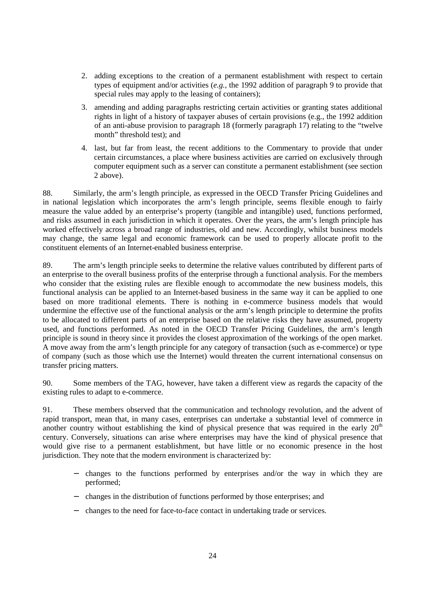- 2. adding exceptions to the creation of a permanent establishment with respect to certain types of equipment and/or activities (*e.g.,* the 1992 addition of paragraph 9 to provide that special rules may apply to the leasing of containers);
- 3. amending and adding paragraphs restricting certain activities or granting states additional rights in light of a history of taxpayer abuses of certain provisions (e.g., the 1992 addition of an anti-abuse provision to paragraph 18 (formerly paragraph 17) relating to the "twelve month" threshold test); and
- 4. last, but far from least, the recent additions to the Commentary to provide that under certain circumstances, a place where business activities are carried on exclusively through computer equipment such as a server can constitute a permanent establishment (see section 2 above).

88. Similarly, the arm's length principle, as expressed in the OECD Transfer Pricing Guidelines and in national legislation which incorporates the arm's length principle, seems flexible enough to fairly measure the value added by an enterprise's property (tangible and intangible) used, functions performed, and risks assumed in each jurisdiction in which it operates. Over the years, the arm's length principle has worked effectively across a broad range of industries, old and new. Accordingly, whilst business models may change, the same legal and economic framework can be used to properly allocate profit to the constituent elements of an Internet-enabled business enterprise.

89. The arm's length principle seeks to determine the relative values contributed by different parts of an enterprise to the overall business profits of the enterprise through a functional analysis. For the members who consider that the existing rules are flexible enough to accommodate the new business models, this functional analysis can be applied to an Internet-based business in the same way it can be applied to one based on more traditional elements. There is nothing in e-commerce business models that would undermine the effective use of the functional analysis or the arm's length principle to determine the profits to be allocated to different parts of an enterprise based on the relative risks they have assumed, property used, and functions performed. As noted in the OECD Transfer Pricing Guidelines, the arm's length principle is sound in theory since it provides the closest approximation of the workings of the open market. A move away from the arm's length principle for any category of transaction (such as e-commerce) or type of company (such as those which use the Internet) would threaten the current international consensus on transfer pricing matters.

90. Some members of the TAG, however, have taken a different view as regards the capacity of the existing rules to adapt to e-commerce.

91. These members observed that the communication and technology revolution, and the advent of rapid transport, mean that, in many cases, enterprises can undertake a substantial level of commerce in another country without establishing the kind of physical presence that was required in the early  $20<sup>th</sup>$ century. Conversely, situations can arise where enterprises may have the kind of physical presence that would give rise to a permanent establishment, but have little or no economic presence in the host jurisdiction. They note that the modern environment is characterized by:

- − changes to the functions performed by enterprises and/or the way in which they are performed;
- − changes in the distribution of functions performed by those enterprises; and
- − changes to the need for face-to-face contact in undertaking trade or services.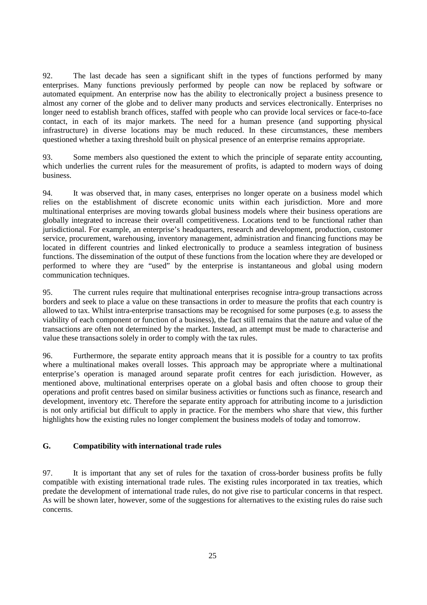92. The last decade has seen a significant shift in the types of functions performed by many enterprises. Many functions previously performed by people can now be replaced by software or automated equipment. An enterprise now has the ability to electronically project a business presence to almost any corner of the globe and to deliver many products and services electronically. Enterprises no longer need to establish branch offices, staffed with people who can provide local services or face-to-face contact, in each of its major markets. The need for a human presence (and supporting physical infrastructure) in diverse locations may be much reduced. In these circumstances, these members questioned whether a taxing threshold built on physical presence of an enterprise remains appropriate.

93. Some members also questioned the extent to which the principle of separate entity accounting, which underlies the current rules for the measurement of profits, is adapted to modern ways of doing business.

94. It was observed that, in many cases, enterprises no longer operate on a business model which relies on the establishment of discrete economic units within each jurisdiction. More and more multinational enterprises are moving towards global business models where their business operations are globally integrated to increase their overall competitiveness. Locations tend to be functional rather than jurisdictional. For example, an enterprise's headquarters, research and development, production, customer service, procurement, warehousing, inventory management, administration and financing functions may be located in different countries and linked electronically to produce a seamless integration of business functions. The dissemination of the output of these functions from the location where they are developed or performed to where they are "used" by the enterprise is instantaneous and global using modern communication techniques.

95. The current rules require that multinational enterprises recognise intra-group transactions across borders and seek to place a value on these transactions in order to measure the profits that each country is allowed to tax. Whilst intra-enterprise transactions may be recognised for some purposes (e.g. to assess the viability of each component or function of a business), the fact still remains that the nature and value of the transactions are often not determined by the market. Instead, an attempt must be made to characterise and value these transactions solely in order to comply with the tax rules.

96. Furthermore, the separate entity approach means that it is possible for a country to tax profits where a multinational makes overall losses. This approach may be appropriate where a multinational enterprise's operation is managed around separate profit centres for each jurisdiction. However, as mentioned above, multinational enterprises operate on a global basis and often choose to group their operations and profit centres based on similar business activities or functions such as finance, research and development, inventory etc. Therefore the separate entity approach for attributing income to a jurisdiction is not only artificial but difficult to apply in practice. For the members who share that view, this further highlights how the existing rules no longer complement the business models of today and tomorrow.

### **G. Compatibility with international trade rules**

97. It is important that any set of rules for the taxation of cross-border business profits be fully compatible with existing international trade rules. The existing rules incorporated in tax treaties, which predate the development of international trade rules, do not give rise to particular concerns in that respect. As will be shown later, however, some of the suggestions for alternatives to the existing rules do raise such concerns.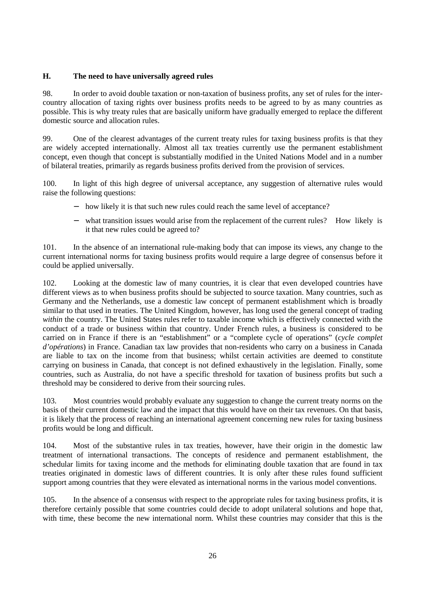## **H. The need to have universally agreed rules**

98. In order to avoid double taxation or non-taxation of business profits, any set of rules for the intercountry allocation of taxing rights over business profits needs to be agreed to by as many countries as possible. This is why treaty rules that are basically uniform have gradually emerged to replace the different domestic source and allocation rules.

99. One of the clearest advantages of the current treaty rules for taxing business profits is that they are widely accepted internationally. Almost all tax treaties currently use the permanent establishment concept, even though that concept is substantially modified in the United Nations Model and in a number of bilateral treaties, primarily as regards business profits derived from the provision of services.

100. In light of this high degree of universal acceptance, any suggestion of alternative rules would raise the following questions:

- − how likely it is that such new rules could reach the same level of acceptance?
- − what transition issues would arise from the replacement of the current rules? How likely is it that new rules could be agreed to?

101. In the absence of an international rule-making body that can impose its views, any change to the current international norms for taxing business profits would require a large degree of consensus before it could be applied universally.

102. Looking at the domestic law of many countries, it is clear that even developed countries have different views as to when business profits should be subjected to source taxation. Many countries, such as Germany and the Netherlands, use a domestic law concept of permanent establishment which is broadly similar to that used in treaties. The United Kingdom, however, has long used the general concept of trading *within* the country. The United States rules refer to taxable income which is effectively connected with the conduct of a trade or business within that country. Under French rules, a business is considered to be carried on in France if there is an "establishment" or a "complete cycle of operations" (*cycle complet d'opérations*) in France. Canadian tax law provides that non-residents who carry on a business in Canada are liable to tax on the income from that business; whilst certain activities are deemed to constitute carrying on business in Canada, that concept is not defined exhaustively in the legislation. Finally, some countries, such as Australia, do not have a specific threshold for taxation of business profits but such a threshold may be considered to derive from their sourcing rules.

103. Most countries would probably evaluate any suggestion to change the current treaty norms on the basis of their current domestic law and the impact that this would have on their tax revenues. On that basis, it is likely that the process of reaching an international agreement concerning new rules for taxing business profits would be long and difficult.

104. Most of the substantive rules in tax treaties, however, have their origin in the domestic law treatment of international transactions. The concepts of residence and permanent establishment, the schedular limits for taxing income and the methods for eliminating double taxation that are found in tax treaties originated in domestic laws of different countries. It is only after these rules found sufficient support among countries that they were elevated as international norms in the various model conventions.

105. In the absence of a consensus with respect to the appropriate rules for taxing business profits, it is therefore certainly possible that some countries could decide to adopt unilateral solutions and hope that, with time, these become the new international norm. Whilst these countries may consider that this is the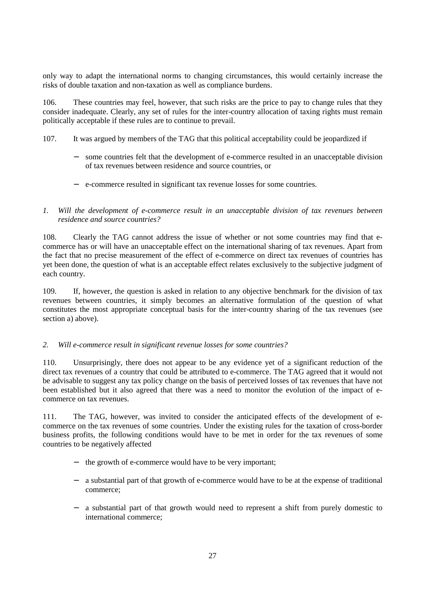only way to adapt the international norms to changing circumstances, this would certainly increase the risks of double taxation and non-taxation as well as compliance burdens.

106. These countries may feel, however, that such risks are the price to pay to change rules that they consider inadequate. Clearly, any set of rules for the inter-country allocation of taxing rights must remain politically acceptable if these rules are to continue to prevail.

- 107. It was argued by members of the TAG that this political acceptability could be jeopardized if
	- − some countries felt that the development of e-commerce resulted in an unacceptable division of tax revenues between residence and source countries, or
	- − e-commerce resulted in significant tax revenue losses for some countries.
- *1. Will the development of e-commerce result in an unacceptable division of tax revenues between residence and source countries?*

108. Clearly the TAG cannot address the issue of whether or not some countries may find that ecommerce has or will have an unacceptable effect on the international sharing of tax revenues. Apart from the fact that no precise measurement of the effect of e-commerce on direct tax revenues of countries has yet been done, the question of what is an acceptable effect relates exclusively to the subjective judgment of each country.

109. If, however, the question is asked in relation to any objective benchmark for the division of tax revenues between countries, it simply becomes an alternative formulation of the question of what constitutes the most appropriate conceptual basis for the inter-country sharing of the tax revenues (see section a) above).

#### *2. Will e-commerce result in significant revenue losses for some countries?*

110. Unsurprisingly, there does not appear to be any evidence yet of a significant reduction of the direct tax revenues of a country that could be attributed to e-commerce. The TAG agreed that it would not be advisable to suggest any tax policy change on the basis of perceived losses of tax revenues that have not been established but it also agreed that there was a need to monitor the evolution of the impact of ecommerce on tax revenues.

111. The TAG, however, was invited to consider the anticipated effects of the development of ecommerce on the tax revenues of some countries. Under the existing rules for the taxation of cross-border business profits, the following conditions would have to be met in order for the tax revenues of some countries to be negatively affected

- − the growth of e-commerce would have to be very important;
- a substantial part of that growth of e-commerce would have to be at the expense of traditional commerce;
- − a substantial part of that growth would need to represent a shift from purely domestic to international commerce;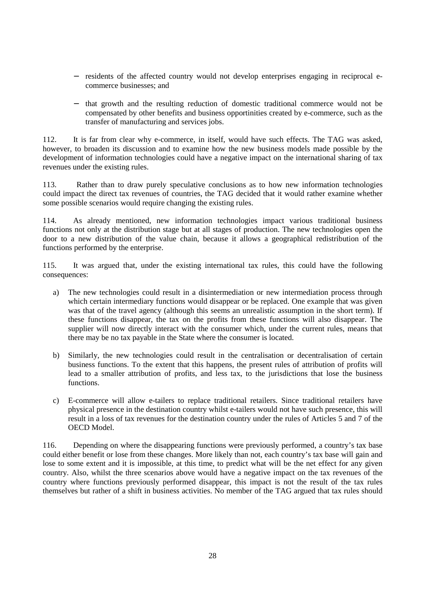- − residents of the affected country would not develop enterprises engaging in reciprocal ecommerce businesses; and
- − that growth and the resulting reduction of domestic traditional commerce would not be compensated by other benefits and business opportinities created by e-commerce, such as the transfer of manufacturing and services jobs.

112. It is far from clear why e-commerce, in itself, would have such effects. The TAG was asked, however, to broaden its discussion and to examine how the new business models made possible by the development of information technologies could have a negative impact on the international sharing of tax revenues under the existing rules.

113. Rather than to draw purely speculative conclusions as to how new information technologies could impact the direct tax revenues of countries, the TAG decided that it would rather examine whether some possible scenarios would require changing the existing rules.

114. As already mentioned, new information technologies impact various traditional business functions not only at the distribution stage but at all stages of production. The new technologies open the door to a new distribution of the value chain, because it allows a geographical redistribution of the functions performed by the enterprise.

115. It was argued that, under the existing international tax rules, this could have the following consequences:

- a) The new technologies could result in a disintermediation or new intermediation process through which certain intermediary functions would disappear or be replaced. One example that was given was that of the travel agency (although this seems an unrealistic assumption in the short term). If these functions disappear, the tax on the profits from these functions will also disappear. The supplier will now directly interact with the consumer which, under the current rules, means that there may be no tax payable in the State where the consumer is located.
- b) Similarly, the new technologies could result in the centralisation or decentralisation of certain business functions. To the extent that this happens, the present rules of attribution of profits will lead to a smaller attribution of profits, and less tax, to the jurisdictions that lose the business functions.
- c) E-commerce will allow e-tailers to replace traditional retailers. Since traditional retailers have physical presence in the destination country whilst e-tailers would not have such presence, this will result in a loss of tax revenues for the destination country under the rules of Articles 5 and 7 of the OECD Model.

116. Depending on where the disappearing functions were previously performed, a country's tax base could either benefit or lose from these changes. More likely than not, each country's tax base will gain and lose to some extent and it is impossible, at this time, to predict what will be the net effect for any given country. Also, whilst the three scenarios above would have a negative impact on the tax revenues of the country where functions previously performed disappear, this impact is not the result of the tax rules themselves but rather of a shift in business activities. No member of the TAG argued that tax rules should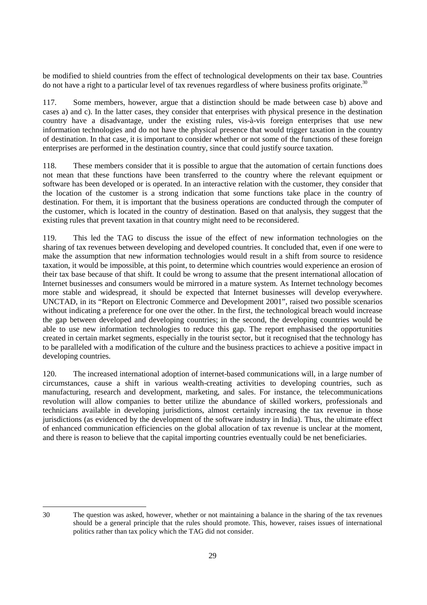be modified to shield countries from the effect of technological developments on their tax base. Countries do not have a right to a particular level of tax revenues regardless of where business profits originate.<sup>30</sup>

117. Some members, however, argue that a distinction should be made between case b) above and cases a) and c). In the latter cases, they consider that enterprises with physical presence in the destination country have a disadvantage, under the existing rules, vis-à-vis foreign enterprises that use new information technologies and do not have the physical presence that would trigger taxation in the country of destination. In that case, it is important to consider whether or not some of the functions of these foreign enterprises are performed in the destination country, since that could justify source taxation.

118. These members consider that it is possible to argue that the automation of certain functions does not mean that these functions have been transferred to the country where the relevant equipment or software has been developed or is operated. In an interactive relation with the customer, they consider that the location of the customer is a strong indication that some functions take place in the country of destination. For them, it is important that the business operations are conducted through the computer of the customer, which is located in the country of destination. Based on that analysis, they suggest that the existing rules that prevent taxation in that country might need to be reconsidered.

119. This led the TAG to discuss the issue of the effect of new information technologies on the sharing of tax revenues between developing and developed countries. It concluded that, even if one were to make the assumption that new information technologies would result in a shift from source to residence taxation, it would be impossible, at this point, to determine which countries would experience an erosion of their tax base because of that shift. It could be wrong to assume that the present international allocation of Internet businesses and consumers would be mirrored in a mature system. As Internet technology becomes more stable and widespread, it should be expected that Internet businesses will develop everywhere. UNCTAD, in its "Report on Electronic Commerce and Development 2001", raised two possible scenarios without indicating a preference for one over the other. In the first, the technological breach would increase the gap between developed and developing countries; in the second, the developing countries would be able to use new information technologies to reduce this gap. The report emphasised the opportunities created in certain market segments, especially in the tourist sector, but it recognised that the technology has to be paralleled with a modification of the culture and the business practices to achieve a positive impact in developing countries.

120. The increased international adoption of internet-based communications will, in a large number of circumstances, cause a shift in various wealth-creating activities to developing countries, such as manufacturing, research and development, marketing, and sales. For instance, the telecommunications revolution will allow companies to better utilize the abundance of skilled workers, professionals and technicians available in developing jurisdictions, almost certainly increasing the tax revenue in those jurisdictions (as evidenced by the development of the software industry in India). Thus, the ultimate effect of enhanced communication efficiencies on the global allocation of tax revenue is unclear at the moment, and there is reason to believe that the capital importing countries eventually could be net beneficiaries.

<sup>30</sup> The question was asked, however, whether or not maintaining a balance in the sharing of the tax revenues should be a general principle that the rules should promote. This, however, raises issues of international politics rather than tax policy which the TAG did not consider.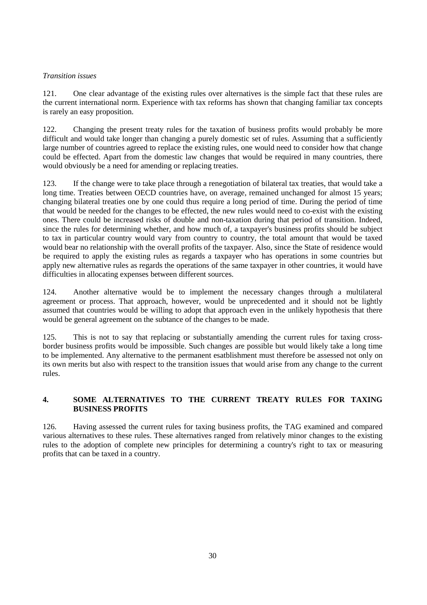## *Transition issues*

121. One clear advantage of the existing rules over alternatives is the simple fact that these rules are the current international norm. Experience with tax reforms has shown that changing familiar tax concepts is rarely an easy proposition.

122. Changing the present treaty rules for the taxation of business profits would probably be more difficult and would take longer than changing a purely domestic set of rules. Assuming that a sufficiently large number of countries agreed to replace the existing rules, one would need to consider how that change could be effected. Apart from the domestic law changes that would be required in many countries, there would obviously be a need for amending or replacing treaties.

123. If the change were to take place through a renegotiation of bilateral tax treaties, that would take a long time. Treaties between OECD countries have, on average, remained unchanged for almost 15 years; changing bilateral treaties one by one could thus require a long period of time. During the period of time that would be needed for the changes to be effected, the new rules would need to co-exist with the existing ones. There could be increased risks of double and non-taxation during that period of transition. Indeed, since the rules for determining whether, and how much of, a taxpayer's business profits should be subject to tax in particular country would vary from country to country, the total amount that would be taxed would bear no relationship with the overall profits of the taxpayer. Also, since the State of residence would be required to apply the existing rules as regards a taxpayer who has operations in some countries but apply new alternative rules as regards the operations of the same taxpayer in other countries, it would have difficulties in allocating expenses between different sources.

124. Another alternative would be to implement the necessary changes through a multilateral agreement or process. That approach, however, would be unprecedented and it should not be lightly assumed that countries would be willing to adopt that approach even in the unlikely hypothesis that there would be general agreement on the subtance of the changes to be made.

125. This is not to say that replacing or substantially amending the current rules for taxing crossborder business profits would be impossible. Such changes are possible but would likely take a long time to be implemented. Any alternative to the permanent esatblishment must therefore be assessed not only on its own merits but also with respect to the transition issues that would arise from any change to the current rules.

# **4. SOME ALTERNATIVES TO THE CURRENT TREATY RULES FOR TAXING BUSINESS PROFITS**

126. Having assessed the current rules for taxing business profits, the TAG examined and compared various alternatives to these rules. These alternatives ranged from relatively minor changes to the existing rules to the adoption of complete new principles for determining a country's right to tax or measuring profits that can be taxed in a country.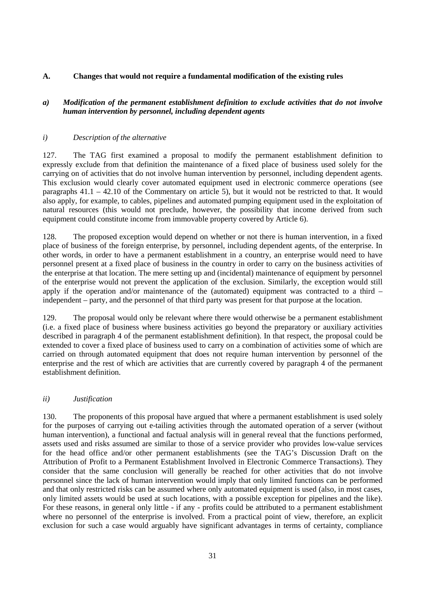## **A. Changes that would not require a fundamental modification of the existing rules**

## *a) Modification of the permanent establishment definition to exclude activities that do not involve human intervention by personnel, including dependent agents*

### *i) Description of the alternative*

127. The TAG first examined a proposal to modify the permanent establishment definition to expressly exclude from that definition the maintenance of a fixed place of business used solely for the carrying on of activities that do not involve human intervention by personnel, including dependent agents. This exclusion would clearly cover automated equipment used in electronic commerce operations (see paragraphs  $41.1 - 42.10$  of the Commentary on article 5), but it would not be restricted to that. It would also apply, for example, to cables, pipelines and automated pumping equipment used in the exploitation of natural resources (this would not preclude, however, the possibility that income derived from such equipment could constitute income from immovable property covered by Article 6).

128. The proposed exception would depend on whether or not there is human intervention, in a fixed place of business of the foreign enterprise, by personnel, including dependent agents, of the enterprise. In other words, in order to have a permanent establishment in a country, an enterprise would need to have personnel present at a fixed place of business in the country in order to carry on the business activities of the enterprise at that location. The mere setting up and (incidental) maintenance of equipment by personnel of the enterprise would not prevent the application of the exclusion. Similarly, the exception would still apply if the operation and/or maintenance of the (automated) equipment was contracted to a third – independent – party, and the personnel of that third party was present for that purpose at the location.

129. The proposal would only be relevant where there would otherwise be a permanent establishment (i.e. a fixed place of business where business activities go beyond the preparatory or auxiliary activities described in paragraph 4 of the permanent establishment definition). In that respect, the proposal could be extended to cover a fixed place of business used to carry on a combination of activities some of which are carried on through automated equipment that does not require human intervention by personnel of the enterprise and the rest of which are activities that are currently covered by paragraph 4 of the permanent establishment definition.

#### *ii) Justification*

130. The proponents of this proposal have argued that where a permanent establishment is used solely for the purposes of carrying out e-tailing activities through the automated operation of a server (without human intervention), a functional and factual analysis will in general reveal that the functions performed, assets used and risks assumed are similar to those of a service provider who provides low-value services for the head office and/or other permanent establishments (see the TAG's Discussion Draft on the Attribution of Profit to a Permanent Establishment Involved in Electronic Commerce Transactions). They consider that the same conclusion will generally be reached for other activities that do not involve personnel since the lack of human intervention would imply that only limited functions can be performed and that only restricted risks can be assumed where only automated equipment is used (also, in most cases, only limited assets would be used at such locations, with a possible exception for pipelines and the like). For these reasons, in general only little - if any - profits could be attributed to a permanent establishment where no personnel of the enterprise is involved. From a practical point of view, therefore, an explicit exclusion for such a case would arguably have significant advantages in terms of certainty, compliance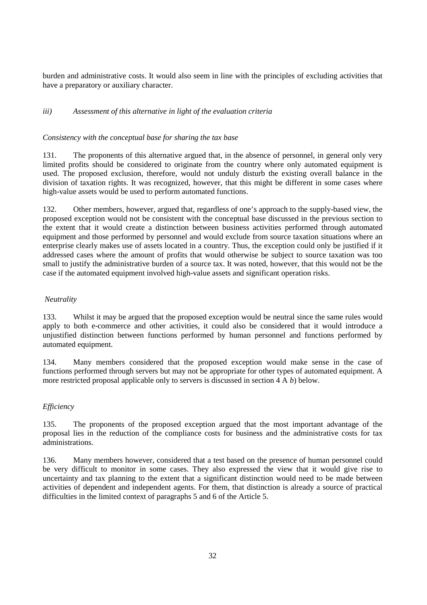burden and administrative costs. It would also seem in line with the principles of excluding activities that have a preparatory or auxiliary character.

### *iii) Assessment of this alternative in light of the evaluation criteria*

### *Consistency with the conceptual base for sharing the tax base*

131. The proponents of this alternative argued that, in the absence of personnel, in general only very limited profits should be considered to originate from the country where only automated equipment is used. The proposed exclusion, therefore, would not unduly disturb the existing overall balance in the division of taxation rights. It was recognized, however, that this might be different in some cases where high-value assets would be used to perform automated functions.

132. Other members, however, argued that, regardless of one's approach to the supply-based view, the proposed exception would not be consistent with the conceptual base discussed in the previous section to the extent that it would create a distinction between business activities performed through automated equipment and those performed by personnel and would exclude from source taxation situations where an enterprise clearly makes use of assets located in a country. Thus, the exception could only be justified if it addressed cases where the amount of profits that would otherwise be subject to source taxation was too small to justify the administrative burden of a source tax. It was noted, however, that this would not be the case if the automated equipment involved high-value assets and significant operation risks.

### *Neutrality*

133. Whilst it may be argued that the proposed exception would be neutral since the same rules would apply to both e-commerce and other activities, it could also be considered that it would introduce a unjustified distinction between functions performed by human personnel and functions performed by automated equipment.

134. Many members considered that the proposed exception would make sense in the case of functions performed through servers but may not be appropriate for other types of automated equipment. A more restricted proposal applicable only to servers is discussed in section 4 A *b*) below.

## *Efficiency*

135. The proponents of the proposed exception argued that the most important advantage of the proposal lies in the reduction of the compliance costs for business and the administrative costs for tax administrations.

136. Many members however, considered that a test based on the presence of human personnel could be very difficult to monitor in some cases. They also expressed the view that it would give rise to uncertainty and tax planning to the extent that a significant distinction would need to be made between activities of dependent and independent agents. For them, that distinction is already a source of practical difficulties in the limited context of paragraphs 5 and 6 of the Article 5.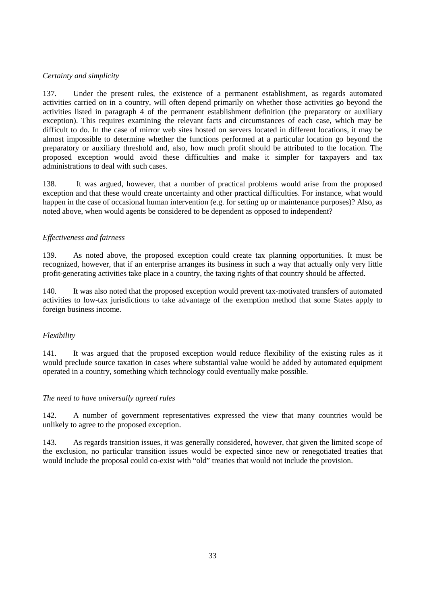## *Certainty and simplicity*

137. Under the present rules, the existence of a permanent establishment, as regards automated activities carried on in a country, will often depend primarily on whether those activities go beyond the activities listed in paragraph 4 of the permanent establishment definition (the preparatory or auxiliary exception). This requires examining the relevant facts and circumstances of each case, which may be difficult to do. In the case of mirror web sites hosted on servers located in different locations, it may be almost impossible to determine whether the functions performed at a particular location go beyond the preparatory or auxiliary threshold and, also, how much profit should be attributed to the location. The proposed exception would avoid these difficulties and make it simpler for taxpayers and tax administrations to deal with such cases.

138. It was argued, however, that a number of practical problems would arise from the proposed exception and that these would create uncertainty and other practical difficulties. For instance, what would happen in the case of occasional human intervention (e.g. for setting up or maintenance purposes)? Also, as noted above, when would agents be considered to be dependent as opposed to independent?

## *Effectiveness and fairness*

139. As noted above, the proposed exception could create tax planning opportunities. It must be recognized, however, that if an enterprise arranges its business in such a way that actually only very little profit-generating activities take place in a country, the taxing rights of that country should be affected.

140. It was also noted that the proposed exception would prevent tax-motivated transfers of automated activities to low-tax jurisdictions to take advantage of the exemption method that some States apply to foreign business income.

# *Flexibility*

141. It was argued that the proposed exception would reduce flexibility of the existing rules as it would preclude source taxation in cases where substantial value would be added by automated equipment operated in a country, something which technology could eventually make possible.

### *The need to have universally agreed rules*

142. A number of government representatives expressed the view that many countries would be unlikely to agree to the proposed exception.

143. As regards transition issues, it was generally considered, however, that given the limited scope of the exclusion, no particular transition issues would be expected since new or renegotiated treaties that would include the proposal could co-exist with "old" treaties that would not include the provision.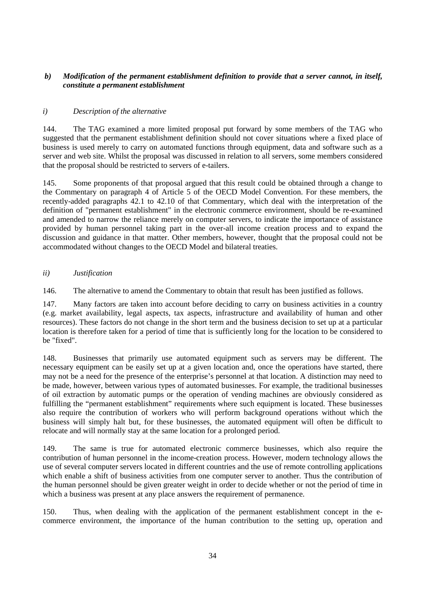## *b) Modification of the permanent establishment definition to provide that a server cannot, in itself, constitute a permanent establishment*

## *i) Description of the alternative*

144. The TAG examined a more limited proposal put forward by some members of the TAG who suggested that the permanent establishment definition should not cover situations where a fixed place of business is used merely to carry on automated functions through equipment, data and software such as a server and web site. Whilst the proposal was discussed in relation to all servers, some members considered that the proposal should be restricted to servers of e-tailers.

145. Some proponents of that proposal argued that this result could be obtained through a change to the Commentary on paragraph 4 of Article 5 of the OECD Model Convention. For these members, the recently-added paragraphs 42.1 to 42.10 of that Commentary, which deal with the interpretation of the definition of "permanent establishment" in the electronic commerce environment, should be re-examined and amended to narrow the reliance merely on computer servers, to indicate the importance of assistance provided by human personnel taking part in the over-all income creation process and to expand the discussion and guidance in that matter. Other members, however, thought that the proposal could not be accommodated without changes to the OECD Model and bilateral treaties.

## *ii) Justification*

146. The alternative to amend the Commentary to obtain that result has been justified as follows.

147. Many factors are taken into account before deciding to carry on business activities in a country (e.g. market availability, legal aspects, tax aspects, infrastructure and availability of human and other resources). These factors do not change in the short term and the business decision to set up at a particular location is therefore taken for a period of time that is sufficiently long for the location to be considered to be "fixed".

148. Businesses that primarily use automated equipment such as servers may be different. The necessary equipment can be easily set up at a given location and, once the operations have started, there may not be a need for the presence of the enterprise's personnel at that location. A distinction may need to be made, however, between various types of automated businesses. For example, the traditional businesses of oil extraction by automatic pumps or the operation of vending machines are obviously considered as fulfilling the "permanent establishment" requirements where such equipment is located. These businesses also require the contribution of workers who will perform background operations without which the business will simply halt but, for these businesses, the automated equipment will often be difficult to relocate and will normally stay at the same location for a prolonged period.

149. The same is true for automated electronic commerce businesses, which also require the contribution of human personnel in the income-creation process. However, modern technology allows the use of several computer servers located in different countries and the use of remote controlling applications which enable a shift of business activities from one computer server to another. Thus the contribution of the human personnel should be given greater weight in order to decide whether or not the period of time in which a business was present at any place answers the requirement of permanence.

150. Thus, when dealing with the application of the permanent establishment concept in the ecommerce environment, the importance of the human contribution to the setting up, operation and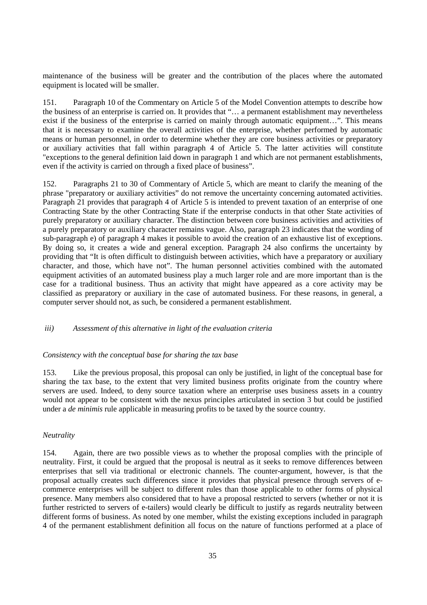maintenance of the business will be greater and the contribution of the places where the automated equipment is located will be smaller.

151. Paragraph 10 of the Commentary on Article 5 of the Model Convention attempts to describe how the business of an enterprise is carried on. It provides that "… a permanent establishment may nevertheless exist if the business of the enterprise is carried on mainly through automatic equipment…". This means that it is necessary to examine the overall activities of the enterprise, whether performed by automatic means or human personnel, in order to determine whether they are core business activities or preparatory or auxiliary activities that fall within paragraph 4 of Article 5. The latter activities will constitute "exceptions to the general definition laid down in paragraph 1 and which are not permanent establishments, even if the activity is carried on through a fixed place of business".

152. Paragraphs 21 to 30 of Commentary of Article 5, which are meant to clarify the meaning of the phrase "preparatory or auxiliary activities" do not remove the uncertainty concerning automated activities. Paragraph 21 provides that paragraph 4 of Article 5 is intended to prevent taxation of an enterprise of one Contracting State by the other Contracting State if the enterprise conducts in that other State activities of purely preparatory or auxiliary character. The distinction between core business activities and activities of a purely preparatory or auxiliary character remains vague. Also, paragraph 23 indicates that the wording of sub-paragraph e) of paragraph 4 makes it possible to avoid the creation of an exhaustive list of exceptions. By doing so, it creates a wide and general exception. Paragraph 24 also confirms the uncertainty by providing that "It is often difficult to distinguish between activities, which have a preparatory or auxiliary character, and those, which have not". The human personnel activities combined with the automated equipment activities of an automated business play a much larger role and are more important than is the case for a traditional business. Thus an activity that might have appeared as a core activity may be classified as preparatory or auxiliary in the case of automated business. For these reasons, in general, a computer server should not, as such, be considered a permanent establishment.

#### *iii) Assessment of this alternative in light of the evaluation criteria*

#### *Consistency with the conceptual base for sharing the tax base*

153. Like the previous proposal, this proposal can only be justified, in light of the conceptual base for sharing the tax base, to the extent that very limited business profits originate from the country where servers are used. Indeed, to deny source taxation where an enterprise uses business assets in a country would not appear to be consistent with the nexus principles articulated in section 3 but could be justified under a *de minimis* rule applicable in measuring profits to be taxed by the source country.

#### *Neutrality*

154. Again, there are two possible views as to whether the proposal complies with the principle of neutrality. First, it could be argued that the proposal is neutral as it seeks to remove differences between enterprises that sell via traditional or electronic channels. The counter-argument, however, is that the proposal actually creates such differences since it provides that physical presence through servers of ecommerce enterprises will be subject to different rules than those applicable to other forms of physical presence. Many members also considered that to have a proposal restricted to servers (whether or not it is further restricted to servers of e-tailers) would clearly be difficult to justify as regards neutrality between different forms of business. As noted by one member, whilst the existing exceptions included in paragraph 4 of the permanent establishment definition all focus on the nature of functions performed at a place of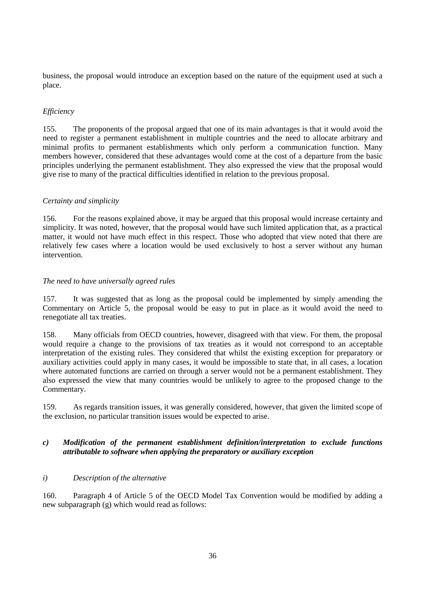business, the proposal would introduce an exception based on the nature of the equipment used at such a place.

## *Efficiency*

155. The proponents of the proposal argued that one of its main advantages is that it would avoid the need to register a permanent establishment in multiple countries and the need to allocate arbitrary and minimal profits to permanent establishments which only perform a communication function. Many members however, considered that these advantages would come at the cost of a departure from the basic principles underlying the permanent establishment. They also expressed the view that the proposal would give rise to many of the practical difficulties identified in relation to the previous proposal.

### *Certainty and simplicity*

156. For the reasons explained above, it may be argued that this proposal would increase certainty and simplicity. It was noted, however, that the proposal would have such limited application that, as a practical matter, it would not have much effect in this respect. Those who adopted that view noted that there are relatively few cases where a location would be used exclusively to host a server without any human intervention.

### *The need to have universally agreed rules*

157. It was suggested that as long as the proposal could be implemented by simply amending the Commentary on Article 5, the proposal would be easy to put in place as it would avoid the need to renegotiate all tax treaties.

158. Many officials from OECD countries, however, disagreed with that view. For them, the proposal would require a change to the provisions of tax treaties as it would not correspond to an acceptable interpretation of the existing rules. They considered that whilst the existing exception for preparatory or auxiliary activities could apply in many cases, it would be impossible to state that, in all cases, a location where automated functions are carried on through a server would not be a permanent establishment. They also expressed the view that many countries would be unlikely to agree to the proposed change to the Commentary.

159. As regards transition issues, it was generally considered, however, that given the limited scope of the exclusion, no particular transition issues would be expected to arise.

### *c) Modification of the permanent establishment definition/interpretation to exclude functions attributable to software when applying the preparatory or auxiliary exception*

### *i) Description of the alternative*

160. Paragraph 4 of Article 5 of the OECD Model Tax Convention would be modified by adding a new subparagraph (g) which would read as follows: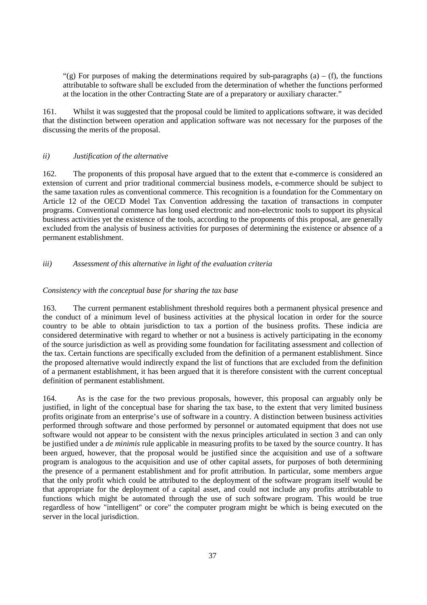"(g) For purposes of making the determinations required by sub-paragraphs (a) – (f), the functions attributable to software shall be excluded from the determination of whether the functions performed at the location in the other Contracting State are of a preparatory or auxiliary character."

161. Whilst it was suggested that the proposal could be limited to applications software, it was decided that the distinction between operation and application software was not necessary for the purposes of the discussing the merits of the proposal.

## *ii) Justification of the alternative*

162. The proponents of this proposal have argued that to the extent that e-commerce is considered an extension of current and prior traditional commercial business models, e-commerce should be subject to the same taxation rules as conventional commerce. This recognition is a foundation for the Commentary on Article 12 of the OECD Model Tax Convention addressing the taxation of transactions in computer programs. Conventional commerce has long used electronic and non-electronic tools to support its physical business activities yet the existence of the tools, according to the proponents of this proposal, are generally excluded from the analysis of business activities for purposes of determining the existence or absence of a permanent establishment.

## *iii) Assessment of this alternative in light of the evaluation criteria*

# *Consistency with the conceptual base for sharing the tax base*

163. The current permanent establishment threshold requires both a permanent physical presence and the conduct of a minimum level of business activities at the physical location in order for the source country to be able to obtain jurisdiction to tax a portion of the business profits. These indicia are considered determinative with regard to whether or not a business is actively participating in the economy of the source jurisdiction as well as providing some foundation for facilitating assessment and collection of the tax. Certain functions are specifically excluded from the definition of a permanent establishment. Since the proposed alternative would indirectly expand the list of functions that are excluded from the definition of a permanent establishment, it has been argued that it is therefore consistent with the current conceptual definition of permanent establishment.

164. As is the case for the two previous proposals, however, this proposal can arguably only be justified, in light of the conceptual base for sharing the tax base, to the extent that very limited business profits originate from an enterprise's use of software in a country. A distinction between business activities performed through software and those performed by personnel or automated equipment that does not use software would not appear to be consistent with the nexus principles articulated in section 3 and can only be justified under a *de minimis* rule applicable in measuring profits to be taxed by the source country. It has been argued, however, that the proposal would be justified since the acquisition and use of a software program is analogous to the acquisition and use of other capital assets, for purposes of both determining the presence of a permanent establishment and for profit attribution. In particular, some members argue that the only profit which could be attributed to the deployment of the software program itself would be that appropriate for the deployment of a capital asset, and could not include any profits attributable to functions which might be automated through the use of such software program. This would be true regardless of how "intelligent" or core" the computer program might be which is being executed on the server in the local jurisdiction.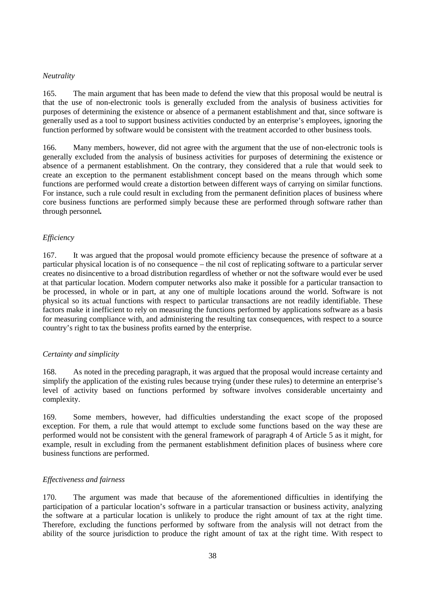#### *Neutrality*

165. The main argument that has been made to defend the view that this proposal would be neutral is that the use of non-electronic tools is generally excluded from the analysis of business activities for purposes of determining the existence or absence of a permanent establishment and that, since software is generally used as a tool to support business activities conducted by an enterprise's employees, ignoring the function performed by software would be consistent with the treatment accorded to other business tools.

166. Many members, however, did not agree with the argument that the use of non-electronic tools is generally excluded from the analysis of business activities for purposes of determining the existence or absence of a permanent establishment. On the contrary, they considered that a rule that would seek to create an exception to the permanent establishment concept based on the means through which some functions are performed would create a distortion between different ways of carrying on similar functions. For instance, such a rule could result in excluding from the permanent definition places of business where core business functions are performed simply because these are performed through software rather than through personnel*.* 

#### *Efficiency*

167. It was argued that the proposal would promote efficiency because the presence of software at a particular physical location is of no consequence – the nil cost of replicating software to a particular server creates no disincentive to a broad distribution regardless of whether or not the software would ever be used at that particular location. Modern computer networks also make it possible for a particular transaction to be processed, in whole or in part, at any one of multiple locations around the world. Software is not physical so its actual functions with respect to particular transactions are not readily identifiable. These factors make it inefficient to rely on measuring the functions performed by applications software as a basis for measuring compliance with, and administering the resulting tax consequences, with respect to a source country's right to tax the business profits earned by the enterprise.

#### *Certainty and simplicity*

168. As noted in the preceding paragraph, it was argued that the proposal would increase certainty and simplify the application of the existing rules because trying (under these rules) to determine an enterprise's level of activity based on functions performed by software involves considerable uncertainty and complexity.

169. Some members, however, had difficulties understanding the exact scope of the proposed exception. For them, a rule that would attempt to exclude some functions based on the way these are performed would not be consistent with the general framework of paragraph 4 of Article 5 as it might, for example, result in excluding from the permanent establishment definition places of business where core business functions are performed.

## *Effectiveness and fairness*

170. The argument was made that because of the aforementioned difficulties in identifying the participation of a particular location's software in a particular transaction or business activity, analyzing the software at a particular location is unlikely to produce the right amount of tax at the right time. Therefore, excluding the functions performed by software from the analysis will not detract from the ability of the source jurisdiction to produce the right amount of tax at the right time. With respect to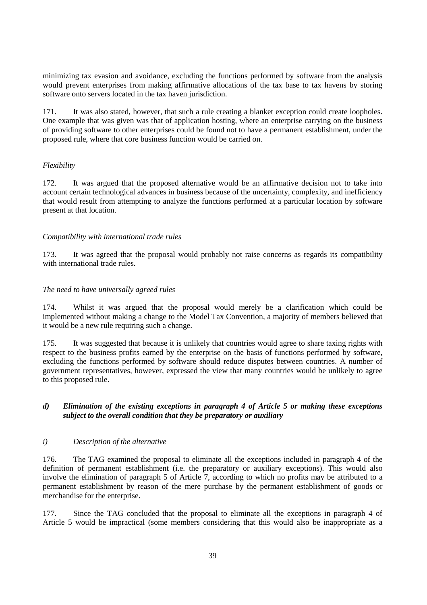minimizing tax evasion and avoidance, excluding the functions performed by software from the analysis would prevent enterprises from making affirmative allocations of the tax base to tax havens by storing software onto servers located in the tax haven jurisdiction.

171. It was also stated, however, that such a rule creating a blanket exception could create loopholes. One example that was given was that of application hosting, where an enterprise carrying on the business of providing software to other enterprises could be found not to have a permanent establishment, under the proposed rule, where that core business function would be carried on.

## *Flexibility*

172. It was argued that the proposed alternative would be an affirmative decision not to take into account certain technological advances in business because of the uncertainty, complexity, and inefficiency that would result from attempting to analyze the functions performed at a particular location by software present at that location.

## *Compatibility with international trade rules*

173. It was agreed that the proposal would probably not raise concerns as regards its compatibility with international trade rules.

## *The need to have universally agreed rules*

174. Whilst it was argued that the proposal would merely be a clarification which could be implemented without making a change to the Model Tax Convention, a majority of members believed that it would be a new rule requiring such a change.

175. It was suggested that because it is unlikely that countries would agree to share taxing rights with respect to the business profits earned by the enterprise on the basis of functions performed by software, excluding the functions performed by software should reduce disputes between countries. A number of government representatives, however, expressed the view that many countries would be unlikely to agree to this proposed rule.

# *d) Elimination of the existing exceptions in paragraph 4 of Article 5 or making these exceptions subject to the overall condition that they be preparatory or auxiliary*

## *i) Description of the alternative*

176. The TAG examined the proposal to eliminate all the exceptions included in paragraph 4 of the definition of permanent establishment (i.e. the preparatory or auxiliary exceptions). This would also involve the elimination of paragraph 5 of Article 7, according to which no profits may be attributed to a permanent establishment by reason of the mere purchase by the permanent establishment of goods or merchandise for the enterprise.

177. Since the TAG concluded that the proposal to eliminate all the exceptions in paragraph 4 of Article 5 would be impractical (some members considering that this would also be inappropriate as a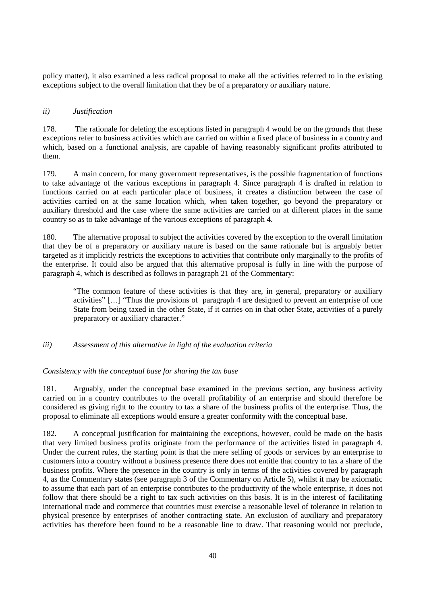policy matter), it also examined a less radical proposal to make all the activities referred to in the existing exceptions subject to the overall limitation that they be of a preparatory or auxiliary nature.

#### *ii) Justification*

178. The rationale for deleting the exceptions listed in paragraph 4 would be on the grounds that these exceptions refer to business activities which are carried on within a fixed place of business in a country and which, based on a functional analysis, are capable of having reasonably significant profits attributed to them.

179. A main concern, for many government representatives, is the possible fragmentation of functions to take advantage of the various exceptions in paragraph 4. Since paragraph 4 is drafted in relation to functions carried on at each particular place of business, it creates a distinction between the case of activities carried on at the same location which, when taken together, go beyond the preparatory or auxiliary threshold and the case where the same activities are carried on at different places in the same country so as to take advantage of the various exceptions of paragraph 4.

180. The alternative proposal to subject the activities covered by the exception to the overall limitation that they be of a preparatory or auxiliary nature is based on the same rationale but is arguably better targeted as it implicitly restricts the exceptions to activities that contribute only marginally to the profits of the enterprise. It could also be argued that this alternative proposal is fully in line with the purpose of paragraph 4, which is described as follows in paragraph 21 of the Commentary:

"The common feature of these activities is that they are, in general, preparatory or auxiliary activities" […] "Thus the provisions of paragraph 4 are designed to prevent an enterprise of one State from being taxed in the other State, if it carries on in that other State, activities of a purely preparatory or auxiliary character."

## *iii) Assessment of this alternative in light of the evaluation criteria*

#### *Consistency with the conceptual base for sharing the tax base*

181. Arguably, under the conceptual base examined in the previous section, any business activity carried on in a country contributes to the overall profitability of an enterprise and should therefore be considered as giving right to the country to tax a share of the business profits of the enterprise. Thus, the proposal to eliminate all exceptions would ensure a greater conformity with the conceptual base.

182. A conceptual justification for maintaining the exceptions, however, could be made on the basis that very limited business profits originate from the performance of the activities listed in paragraph 4. Under the current rules, the starting point is that the mere selling of goods or services by an enterprise to customers into a country without a business presence there does not entitle that country to tax a share of the business profits. Where the presence in the country is only in terms of the activities covered by paragraph 4, as the Commentary states (see paragraph 3 of the Commentary on Article 5), whilst it may be axiomatic to assume that each part of an enterprise contributes to the productivity of the whole enterprise, it does not follow that there should be a right to tax such activities on this basis. It is in the interest of facilitating international trade and commerce that countries must exercise a reasonable level of tolerance in relation to physical presence by enterprises of another contracting state. An exclusion of auxiliary and preparatory activities has therefore been found to be a reasonable line to draw. That reasoning would not preclude,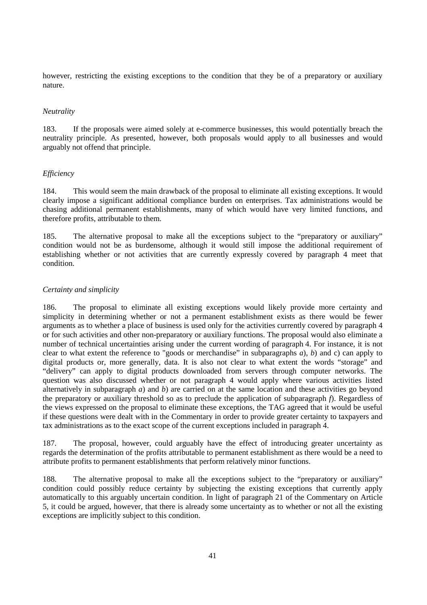however, restricting the existing exceptions to the condition that they be of a preparatory or auxiliary nature.

#### *Neutrality*

183. If the proposals were aimed solely at e-commerce businesses, this would potentially breach the neutrality principle. As presented, however, both proposals would apply to all businesses and would arguably not offend that principle.

#### *Efficiency*

184. This would seem the main drawback of the proposal to eliminate all existing exceptions. It would clearly impose a significant additional compliance burden on enterprises. Tax administrations would be chasing additional permanent establishments, many of which would have very limited functions, and therefore profits, attributable to them.

185. The alternative proposal to make all the exceptions subject to the "preparatory or auxiliary" condition would not be as burdensome, although it would still impose the additional requirement of establishing whether or not activities that are currently expressly covered by paragraph 4 meet that condition.

#### *Certainty and simplicity*

186. The proposal to eliminate all existing exceptions would likely provide more certainty and simplicity in determining whether or not a permanent establishment exists as there would be fewer arguments as to whether a place of business is used only for the activities currently covered by paragraph 4 or for such activities and other non-preparatory or auxiliary functions. The proposal would also eliminate a number of technical uncertainties arising under the current wording of paragraph 4. For instance, it is not clear to what extent the reference to "goods or merchandise" in subparagraphs *a*), *b*) and c) can apply to digital products or, more generally, data. It is also not clear to what extent the words "storage" and "delivery" can apply to digital products downloaded from servers through computer networks. The question was also discussed whether or not paragraph 4 would apply where various activities listed alternatively in subparagraph *a*) and *b*) are carried on at the same location and these activities go beyond the preparatory or auxiliary threshold so as to preclude the application of subparagraph *f*). Regardless of the views expressed on the proposal to eliminate these exceptions, the TAG agreed that it would be useful if these questions were dealt with in the Commentary in order to provide greater certainty to taxpayers and tax administrations as to the exact scope of the current exceptions included in paragraph 4.

187. The proposal, however, could arguably have the effect of introducing greater uncertainty as regards the determination of the profits attributable to permanent establishment as there would be a need to attribute profits to permanent establishments that perform relatively minor functions.

188. The alternative proposal to make all the exceptions subject to the "preparatory or auxiliary" condition could possibly reduce certainty by subjecting the existing exceptions that currently apply automatically to this arguably uncertain condition. In light of paragraph 21 of the Commentary on Article 5, it could be argued, however, that there is already some uncertainty as to whether or not all the existing exceptions are implicitly subject to this condition.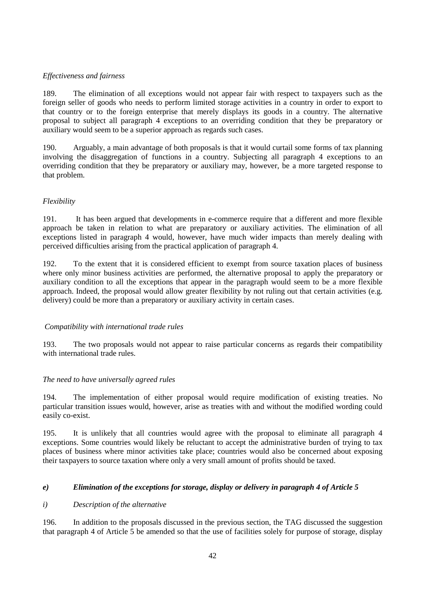## *Effectiveness and fairness*

189. The elimination of all exceptions would not appear fair with respect to taxpayers such as the foreign seller of goods who needs to perform limited storage activities in a country in order to export to that country or to the foreign enterprise that merely displays its goods in a country. The alternative proposal to subject all paragraph 4 exceptions to an overriding condition that they be preparatory or auxiliary would seem to be a superior approach as regards such cases.

190. Arguably, a main advantage of both proposals is that it would curtail some forms of tax planning involving the disaggregation of functions in a country. Subjecting all paragraph 4 exceptions to an overriding condition that they be preparatory or auxiliary may, however, be a more targeted response to that problem.

# *Flexibility*

191. It has been argued that developments in e-commerce require that a different and more flexible approach be taken in relation to what are preparatory or auxiliary activities. The elimination of all exceptions listed in paragraph 4 would, however, have much wider impacts than merely dealing with perceived difficulties arising from the practical application of paragraph 4.

192. To the extent that it is considered efficient to exempt from source taxation places of business where only minor business activities are performed, the alternative proposal to apply the preparatory or auxiliary condition to all the exceptions that appear in the paragraph would seem to be a more flexible approach. Indeed, the proposal would allow greater flexibility by not ruling out that certain activities (e.g. delivery) could be more than a preparatory or auxiliary activity in certain cases.

## *Compatibility with international trade rules*

193. The two proposals would not appear to raise particular concerns as regards their compatibility with international trade rules.

## *The need to have universally agreed rules*

194. The implementation of either proposal would require modification of existing treaties. No particular transition issues would, however, arise as treaties with and without the modified wording could easily co-exist.

195. It is unlikely that all countries would agree with the proposal to eliminate all paragraph 4 exceptions. Some countries would likely be reluctant to accept the administrative burden of trying to tax places of business where minor activities take place; countries would also be concerned about exposing their taxpayers to source taxation where only a very small amount of profits should be taxed.

# *e) Elimination of the exceptions for storage, display or delivery in paragraph 4 of Article 5*

## *i) Description of the alternative*

196. In addition to the proposals discussed in the previous section, the TAG discussed the suggestion that paragraph 4 of Article 5 be amended so that the use of facilities solely for purpose of storage, display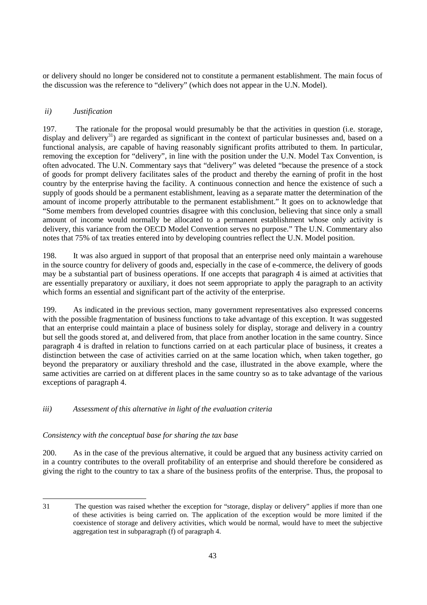or delivery should no longer be considered not to constitute a permanent establishment. The main focus of the discussion was the reference to "delivery" (which does not appear in the U.N. Model).

# *ii) Justification*

197. The rationale for the proposal would presumably be that the activities in question (i.e. storage, display and delivery<sup>31</sup>) are regarded as significant in the context of particular businesses and, based on a functional analysis, are capable of having reasonably significant profits attributed to them. In particular, removing the exception for "delivery", in line with the position under the U.N. Model Tax Convention, is often advocated. The U.N. Commentary says that "delivery" was deleted "because the presence of a stock of goods for prompt delivery facilitates sales of the product and thereby the earning of profit in the host country by the enterprise having the facility. A continuous connection and hence the existence of such a supply of goods should be a permanent establishment, leaving as a separate matter the determination of the amount of income properly attributable to the permanent establishment." It goes on to acknowledge that "Some members from developed countries disagree with this conclusion, believing that since only a small amount of income would normally be allocated to a permanent establishment whose only activity is delivery, this variance from the OECD Model Convention serves no purpose." The U.N. Commentary also notes that 75% of tax treaties entered into by developing countries reflect the U.N. Model position.

198. It was also argued in support of that proposal that an enterprise need only maintain a warehouse in the source country for delivery of goods and, especially in the case of e-commerce, the delivery of goods may be a substantial part of business operations. If one accepts that paragraph 4 is aimed at activities that are essentially preparatory or auxiliary, it does not seem appropriate to apply the paragraph to an activity which forms an essential and significant part of the activity of the enterprise.

199. As indicated in the previous section, many government representatives also expressed concerns with the possible fragmentation of business functions to take advantage of this exception. It was suggested that an enterprise could maintain a place of business solely for display, storage and delivery in a country but sell the goods stored at, and delivered from, that place from another location in the same country. Since paragraph 4 is drafted in relation to functions carried on at each particular place of business, it creates a distinction between the case of activities carried on at the same location which, when taken together, go beyond the preparatory or auxiliary threshold and the case, illustrated in the above example, where the same activities are carried on at different places in the same country so as to take advantage of the various exceptions of paragraph 4.

# *iii) Assessment of this alternative in light of the evaluation criteria*

## *Consistency with the conceptual base for sharing the tax base*

200. As in the case of the previous alternative, it could be argued that any business activity carried on in a country contributes to the overall profitability of an enterprise and should therefore be considered as giving the right to the country to tax a share of the business profits of the enterprise. Thus, the proposal to

 $\overline{a}$ 31 The question was raised whether the exception for "storage, display or delivery" applies if more than one of these activities is being carried on. The application of the exception would be more limited if the coexistence of storage and delivery activities, which would be normal, would have to meet the subjective aggregation test in subparagraph (f) of paragraph 4.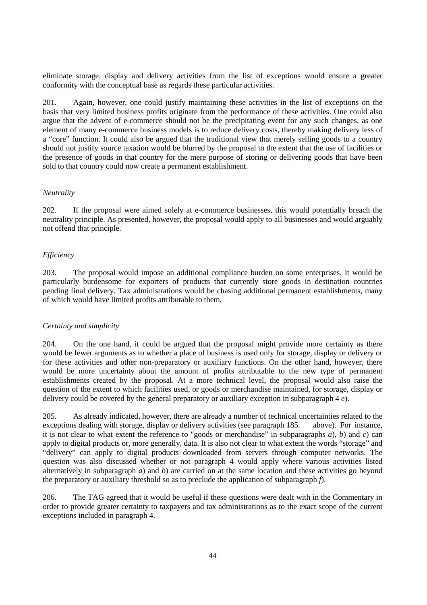eliminate storage, display and delivery activities from the list of exceptions would ensure a greater conformity with the conceptual base as regards these particular activities.

201. Again, however, one could justify maintaining these activities in the list of exceptions on the basis that very limited business profits originate from the performance of these activities. One could also argue that the advent of e-commerce should not be the precipitating event for any such changes, as one element of many e-commerce business models is to reduce delivery costs, thereby making delivery less of a "core" function. It could also be argued that the traditional view that merely selling goods to a country should not justify source taxation would be blurred by the proposal to the extent that the use of facilities or the presence of goods in that country for the mere purpose of storing or delivering goods that have been sold to that country could now create a permanent establishment.

#### *Neutrality*

202. If the proposal were aimed solely at e-commerce businesses, this would potentially breach the neutrality principle. As presented, however, the proposal would apply to all businesses and would arguably not offend that principle.

#### *Efficiency*

203. The proposal would impose an additional compliance burden on some enterprises. It would be particularly burdensome for exporters of products that currently store goods in destination countries pending final delivery. Tax administrations would be chasing additional permanent establishments, many of which would have limited profits attributable to them.

## *Certainty and simplicity*

204. On the one hand, it could be argued that the proposal might provide more certainty as there would be fewer arguments as to whether a place of business is used only for storage, display or delivery or for these activities and other non-preparatory or auxiliary functions. On the other hand, however, there would be more uncertainty about the amount of profits attributable to the new type of permanent establishments created by the proposal. At a more technical level, the proposal would also raise the question of the extent to which facilities used, or goods or merchandise maintained, for storage, display or delivery could be covered by the general preparatory or auxiliary exception in subparagraph 4 *e*).

205. As already indicated, however, there are already a number of technical uncertainties related to the exceptions dealing with storage, display or delivery activities (see paragraph 185. above). For instance, it is not clear to what extent the reference to "goods or merchandise" in subparagraphs *a*), *b*) and *c*) can apply to digital products or, more generally, data. It is also not clear to what extent the words "storage" and "delivery" can apply to digital products downloaded from servers through computer networks. The question was also discussed whether or not paragraph 4 would apply where various activities listed alternatively in subparagraph *a*) and *b*) are carried on at the same location and these activities go beyond the preparatory or auxiliary threshold so as to preclude the application of subparagraph *f*).

206. The TAG agreed that it would be useful if these questions were dealt with in the Commentary in order to provide greater certainty to taxpayers and tax administrations as to the exact scope of the current exceptions included in paragraph 4.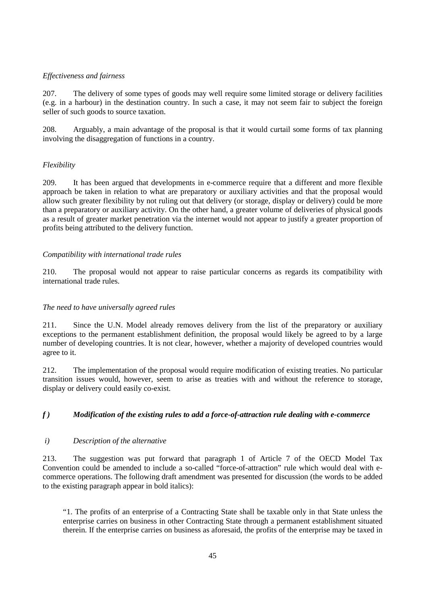# *Effectiveness and fairness*

207. The delivery of some types of goods may well require some limited storage or delivery facilities (e.g. in a harbour) in the destination country. In such a case, it may not seem fair to subject the foreign seller of such goods to source taxation.

208. Arguably, a main advantage of the proposal is that it would curtail some forms of tax planning involving the disaggregation of functions in a country.

# *Flexibility*

209. It has been argued that developments in e-commerce require that a different and more flexible approach be taken in relation to what are preparatory or auxiliary activities and that the proposal would allow such greater flexibility by not ruling out that delivery (or storage, display or delivery) could be more than a preparatory or auxiliary activity. On the other hand, a greater volume of deliveries of physical goods as a result of greater market penetration via the internet would not appear to justify a greater proportion of profits being attributed to the delivery function.

## *Compatibility with international trade rules*

210. The proposal would not appear to raise particular concerns as regards its compatibility with international trade rules.

## *The need to have universally agreed rules*

211. Since the U.N. Model already removes delivery from the list of the preparatory or auxiliary exceptions to the permanent establishment definition, the proposal would likely be agreed to by a large number of developing countries. It is not clear, however, whether a majority of developed countries would agree to it.

212. The implementation of the proposal would require modification of existing treaties. No particular transition issues would, however, seem to arise as treaties with and without the reference to storage, display or delivery could easily co-exist.

## *f ) Modification of the existing rules to add a force-of-attraction rule dealing with e-commerce*

## *i) Description of the alternative*

213. The suggestion was put forward that paragraph 1 of Article 7 of the OECD Model Tax Convention could be amended to include a so-called "force-of-attraction" rule which would deal with ecommerce operations. The following draft amendment was presented for discussion (the words to be added to the existing paragraph appear in bold italics):

"1. The profits of an enterprise of a Contracting State shall be taxable only in that State unless the enterprise carries on business in other Contracting State through a permanent establishment situated therein. If the enterprise carries on business as aforesaid, the profits of the enterprise may be taxed in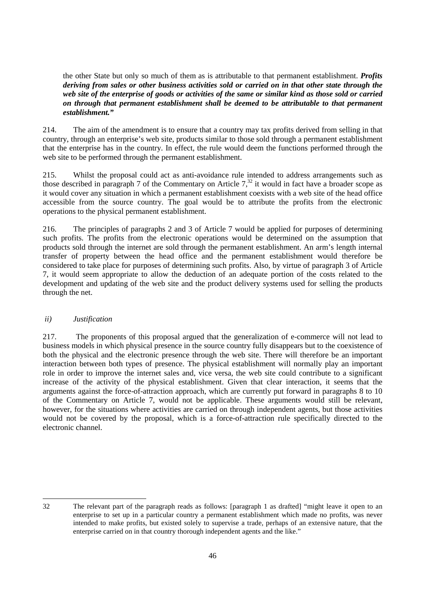the other State but only so much of them as is attributable to that permanent establishment. *Profits deriving from sales or other business activities sold or carried on in that other state through the web site of the enterprise of goods or activities of the same or similar kind as those sold or carried on through that permanent establishment shall be deemed to be attributable to that permanent establishment."* 

214. The aim of the amendment is to ensure that a country may tax profits derived from selling in that country, through an enterprise's web site, products similar to those sold through a permanent establishment that the enterprise has in the country. In effect, the rule would deem the functions performed through the web site to be performed through the permanent establishment.

215. Whilst the proposal could act as anti-avoidance rule intended to address arrangements such as those described in paragraph 7 of the Commentary on Article  $7<sup>32</sup>$  it would in fact have a broader scope as it would cover any situation in which a permanent establishment coexists with a web site of the head office accessible from the source country. The goal would be to attribute the profits from the electronic operations to the physical permanent establishment.

216. The principles of paragraphs 2 and 3 of Article 7 would be applied for purposes of determining such profits. The profits from the electronic operations would be determined on the assumption that products sold through the internet are sold through the permanent establishment. An arm's length internal transfer of property between the head office and the permanent establishment would therefore be considered to take place for purposes of determining such profits. Also, by virtue of paragraph 3 of Article 7, it would seem appropriate to allow the deduction of an adequate portion of the costs related to the development and updating of the web site and the product delivery systems used for selling the products through the net.

## *ii) Justification*

217. The proponents of this proposal argued that the generalization of e-commerce will not lead to business models in which physical presence in the source country fully disappears but to the coexistence of both the physical and the electronic presence through the web site. There will therefore be an important interaction between both types of presence. The physical establishment will normally play an important role in order to improve the internet sales and, vice versa, the web site could contribute to a significant increase of the activity of the physical establishment. Given that clear interaction, it seems that the arguments against the force-of-attraction approach, which are currently put forward in paragraphs 8 to 10 of the Commentary on Article 7, would not be applicable. These arguments would still be relevant, however, for the situations where activities are carried on through independent agents, but those activities would not be covered by the proposal, which is a force-of-attraction rule specifically directed to the electronic channel.

 $\overline{a}$ 32 The relevant part of the paragraph reads as follows: [paragraph 1 as drafted] "might leave it open to an enterprise to set up in a particular country a permanent establishment which made no profits, was never intended to make profits, but existed solely to supervise a trade, perhaps of an extensive nature, that the enterprise carried on in that country thorough independent agents and the like."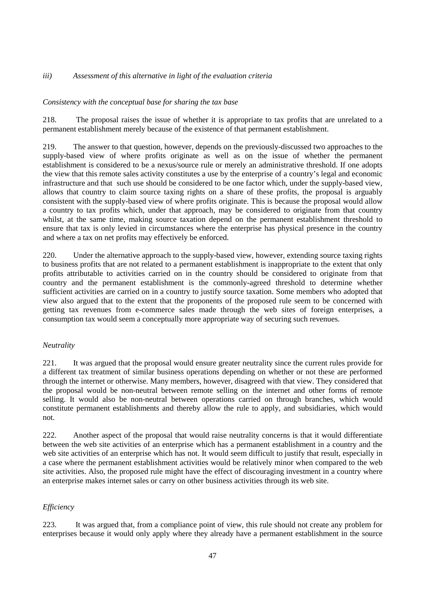## *iii) Assessment of this alternative in light of the evaluation criteria*

#### *Consistency with the conceptual base for sharing the tax base*

218. The proposal raises the issue of whether it is appropriate to tax profits that are unrelated to a permanent establishment merely because of the existence of that permanent establishment.

219. The answer to that question, however, depends on the previously-discussed two approaches to the supply-based view of where profits originate as well as on the issue of whether the permanent establishment is considered to be a nexus/source rule or merely an administrative threshold. If one adopts the view that this remote sales activity constitutes a use by the enterprise of a country's legal and economic infrastructure and that such use should be considered to be one factor which, under the supply-based view, allows that country to claim source taxing rights on a share of these profits, the proposal is arguably consistent with the supply-based view of where profits originate. This is because the proposal would allow a country to tax profits which, under that approach, may be considered to originate from that country whilst, at the same time, making source taxation depend on the permanent establishment threshold to ensure that tax is only levied in circumstances where the enterprise has physical presence in the country and where a tax on net profits may effectively be enforced.

220. Under the alternative approach to the supply-based view, however, extending source taxing rights to business profits that are not related to a permanent establishment is inappropriate to the extent that only profits attributable to activities carried on in the country should be considered to originate from that country and the permanent establishment is the commonly-agreed threshold to determine whether sufficient activities are carried on in a country to justify source taxation. Some members who adopted that view also argued that to the extent that the proponents of the proposed rule seem to be concerned with getting tax revenues from e-commerce sales made through the web sites of foreign enterprises, a consumption tax would seem a conceptually more appropriate way of securing such revenues.

#### *Neutrality*

221. It was argued that the proposal would ensure greater neutrality since the current rules provide for a different tax treatment of similar business operations depending on whether or not these are performed through the internet or otherwise. Many members, however, disagreed with that view. They considered that the proposal would be non-neutral between remote selling on the internet and other forms of remote selling. It would also be non-neutral between operations carried on through branches, which would constitute permanent establishments and thereby allow the rule to apply, and subsidiaries, which would not.

222. Another aspect of the proposal that would raise neutrality concerns is that it would differentiate between the web site activities of an enterprise which has a permanent establishment in a country and the web site activities of an enterprise which has not. It would seem difficult to justify that result, especially in a case where the permanent establishment activities would be relatively minor when compared to the web site activities. Also, the proposed rule might have the effect of discouraging investment in a country where an enterprise makes internet sales or carry on other business activities through its web site.

## *Efficiency*

223. It was argued that, from a compliance point of view, this rule should not create any problem for enterprises because it would only apply where they already have a permanent establishment in the source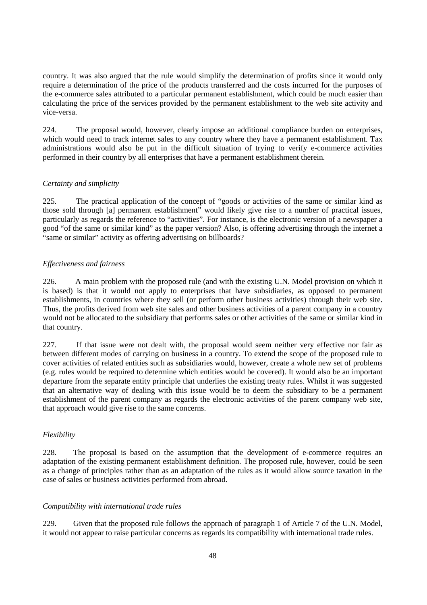country. It was also argued that the rule would simplify the determination of profits since it would only require a determination of the price of the products transferred and the costs incurred for the purposes of the e-commerce sales attributed to a particular permanent establishment, which could be much easier than calculating the price of the services provided by the permanent establishment to the web site activity and vice-versa.

224. The proposal would, however, clearly impose an additional compliance burden on enterprises, which would need to track internet sales to any country where they have a permanent establishment. Tax administrations would also be put in the difficult situation of trying to verify e-commerce activities performed in their country by all enterprises that have a permanent establishment therein.

## *Certainty and simplicity*

225. The practical application of the concept of "goods or activities of the same or similar kind as those sold through [a] permanent establishment" would likely give rise to a number of practical issues, particularly as regards the reference to "activities". For instance, is the electronic version of a newspaper a good "of the same or similar kind" as the paper version? Also, is offering advertising through the internet a "same or similar" activity as offering advertising on billboards?

# *Effectiveness and fairness*

226. A main problem with the proposed rule (and with the existing U.N. Model provision on which it is based) is that it would not apply to enterprises that have subsidiaries, as opposed to permanent establishments, in countries where they sell (or perform other business activities) through their web site. Thus, the profits derived from web site sales and other business activities of a parent company in a country would not be allocated to the subsidiary that performs sales or other activities of the same or similar kind in that country.

227. If that issue were not dealt with, the proposal would seem neither very effective nor fair as between different modes of carrying on business in a country. To extend the scope of the proposed rule to cover activities of related entities such as subsidiaries would, however, create a whole new set of problems (e.g. rules would be required to determine which entities would be covered). It would also be an important departure from the separate entity principle that underlies the existing treaty rules. Whilst it was suggested that an alternative way of dealing with this issue would be to deem the subsidiary to be a permanent establishment of the parent company as regards the electronic activities of the parent company web site, that approach would give rise to the same concerns.

## *Flexibility*

228. The proposal is based on the assumption that the development of e-commerce requires an adaptation of the existing permanent establishment definition. The proposed rule, however, could be seen as a change of principles rather than as an adaptation of the rules as it would allow source taxation in the case of sales or business activities performed from abroad.

## *Compatibility with international trade rules*

229. Given that the proposed rule follows the approach of paragraph 1 of Article 7 of the U.N. Model, it would not appear to raise particular concerns as regards its compatibility with international trade rules.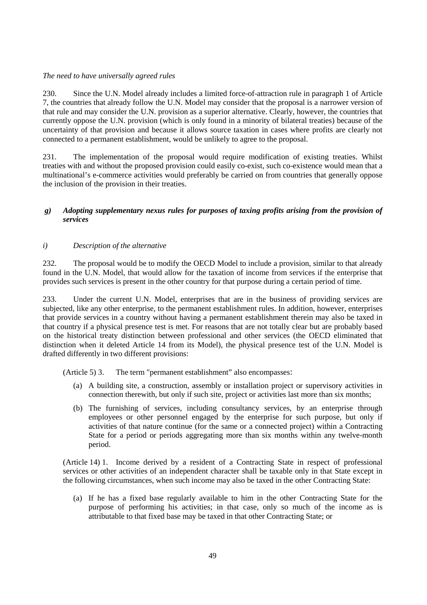## *The need to have universally agreed rules*

230. Since the U.N. Model already includes a limited force-of-attraction rule in paragraph 1 of Article 7, the countries that already follow the U.N. Model may consider that the proposal is a narrower version of that rule and may consider the U.N. provision as a superior alternative. Clearly, however, the countries that currently oppose the U.N. provision (which is only found in a minority of bilateral treaties) because of the uncertainty of that provision and because it allows source taxation in cases where profits are clearly not connected to a permanent establishment, would be unlikely to agree to the proposal.

231. The implementation of the proposal would require modification of existing treaties. Whilst treaties with and without the proposed provision could easily co-exist, such co-existence would mean that a multinational's e-commerce activities would preferably be carried on from countries that generally oppose the inclusion of the provision in their treaties.

#### *g) Adopting supplementary nexus rules for purposes of taxing profits arising from the provision of services*

#### *i) Description of the alternative*

232. The proposal would be to modify the OECD Model to include a provision, similar to that already found in the U.N. Model, that would allow for the taxation of income from services if the enterprise that provides such services is present in the other country for that purpose during a certain period of time.

233. Under the current U.N. Model, enterprises that are in the business of providing services are subjected, like any other enterprise, to the permanent establishment rules. In addition, however, enterprises that provide services in a country without having a permanent establishment therein may also be taxed in that country if a physical presence test is met. For reasons that are not totally clear but are probably based on the historical treaty distinction between professional and other services (the OECD eliminated that distinction when it deleted Article 14 from its Model), the physical presence test of the U.N. Model is drafted differently in two different provisions:

(Article 5) 3. The term "permanent establishment" also encompasses:

- (a) A building site, a construction, assembly or installation project or supervisory activities in connection therewith, but only if such site, project or activities last more than six months;
- (b) The furnishing of services, including consultancy services, by an enterprise through employees or other personnel engaged by the enterprise for such purpose, but only if activities of that nature continue (for the same or a connected project) within a Contracting State for a period or periods aggregating more than six months within any twelve-month period.

(Article 14) 1. Income derived by a resident of a Contracting State in respect of professional services or other activities of an independent character shall be taxable only in that State except in the following circumstances, when such income may also be taxed in the other Contracting State:

(a) If he has a fixed base regularly available to him in the other Contracting State for the purpose of performing his activities; in that case, only so much of the income as is attributable to that fixed base may be taxed in that other Contracting State; or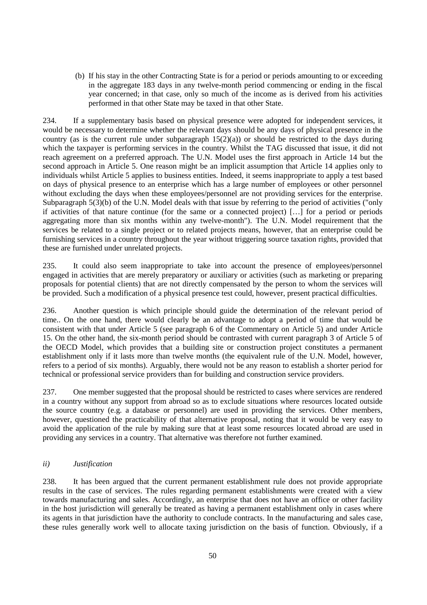(b) If his stay in the other Contracting State is for a period or periods amounting to or exceeding in the aggregate 183 days in any twelve-month period commencing or ending in the fiscal year concerned; in that case, only so much of the income as is derived from his activities performed in that other State may be taxed in that other State.

234. If a supplementary basis based on physical presence were adopted for independent services, it would be necessary to determine whether the relevant days should be any days of physical presence in the country (as is the current rule under subparagraph  $15(2)(a)$ ) or should be restricted to the days during which the taxpayer is performing services in the country. Whilst the TAG discussed that issue, it did not reach agreement on a preferred approach. The U.N. Model uses the first approach in Article 14 but the second approach in Article 5. One reason might be an implicit assumption that Article 14 applies only to individuals whilst Article 5 applies to business entities. Indeed, it seems inappropriate to apply a test based on days of physical presence to an enterprise which has a large number of employees or other personnel without excluding the days when these employees/personnel are not providing services for the enterprise. Subparagraph 5(3)(b) of the U.N. Model deals with that issue by referring to the period of activities ("only if activities of that nature continue (for the same or a connected project) […] for a period or periods aggregating more than six months within any twelve-month"). The U.N. Model requirement that the services be related to a single project or to related projects means, however, that an enterprise could be furnishing services in a country throughout the year without triggering source taxation rights, provided that these are furnished under unrelated projects.

235. It could also seem inappropriate to take into account the presence of employees/personnel engaged in activities that are merely preparatory or auxiliary or activities (such as marketing or preparing proposals for potential clients) that are not directly compensated by the person to whom the services will be provided. Such a modification of a physical presence test could, however, present practical difficulties.

236. Another question is which principle should guide the determination of the relevant period of time.. On the one hand, there would clearly be an advantage to adopt a period of time that would be consistent with that under Article 5 (see paragraph 6 of the Commentary on Article 5) and under Article 15. On the other hand, the six-month period should be contrasted with current paragraph 3 of Article 5 of the OECD Model, which provides that a building site or construction project constitutes a permanent establishment only if it lasts more than twelve months (the equivalent rule of the U.N. Model, however, refers to a period of six months). Arguably, there would not be any reason to establish a shorter period for technical or professional service providers than for building and construction service providers.

237. One member suggested that the proposal should be restricted to cases where services are rendered in a country without any support from abroad so as to exclude situations where resources located outside the source country (e.g. a database or personnel) are used in providing the services. Other members, however, questioned the practicability of that alternative proposal, noting that it would be very easy to avoid the application of the rule by making sure that at least some resources located abroad are used in providing any services in a country. That alternative was therefore not further examined.

## *ii) Justification*

238. It has been argued that the current permanent establishment rule does not provide appropriate results in the case of services. The rules regarding permanent establishments were created with a view towards manufacturing and sales. Accordingly, an enterprise that does not have an office or other facility in the host jurisdiction will generally be treated as having a permanent establishment only in cases where its agents in that jurisdiction have the authority to conclude contracts. In the manufacturing and sales case, these rules generally work well to allocate taxing jurisdiction on the basis of function. Obviously, if a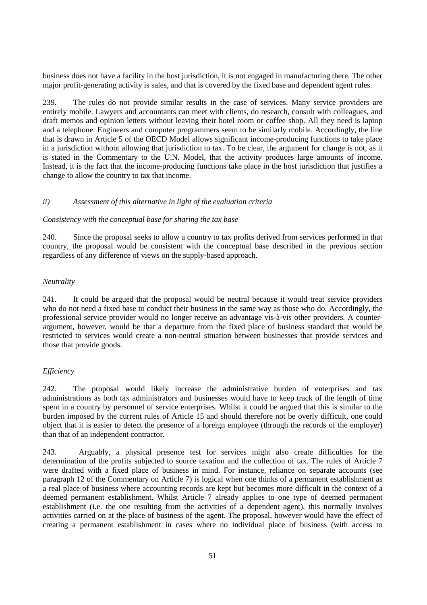business does not have a facility in the host jurisdiction, it is not engaged in manufacturing there. The other major profit-generating activity is sales, and that is covered by the fixed base and dependent agent rules.

239. The rules do not provide similar results in the case of services. Many service providers are entirely mobile. Lawyers and accountants can meet with clients, do research, consult with colleagues, and draft memos and opinion letters without leaving their hotel room or coffee shop. All they need is laptop and a telephone. Engineers and computer programmers seem to be similarly mobile. Accordingly, the line that is drawn in Article 5 of the OECD Model allows significant income-producing functions to take place in a jurisdiction without allowing that jurisdiction to tax. To be clear, the argument for change is not, as it is stated in the Commentary to the U.N. Model, that the activity produces large amounts of income. Instead, it is the fact that the income-producing functions take place in the host jurisdiction that justifies a change to allow the country to tax that income.

#### *ii) Assessment of this alternative in light of the evaluation criteria*

#### *Consistency with the conceptual base for sharing the tax base*

240. Since the proposal seeks to allow a country to tax profits derived from services performed in that country, the proposal would be consistent with the conceptual base described in the previous section regardless of any difference of views on the supply-based approach.

#### *Neutrality*

241. It could be argued that the proposal would be neutral because it would treat service providers who do not need a fixed base to conduct their business in the same way as those who do. Accordingly, the professional service provider would no longer receive an advantage vis-à-vis other providers. A counterargument, however, would be that a departure from the fixed place of business standard that would be restricted to services would create a non-neutral situation between businesses that provide services and those that provide goods.

## *Efficiency*

242. The proposal would likely increase the administrative burden of enterprises and tax administrations as both tax administrators and businesses would have to keep track of the length of time spent in a country by personnel of service enterprises. Whilst it could be argued that this is similar to the burden imposed by the current rules of Article 15 and should therefore not be overly difficult, one could object that it is easier to detect the presence of a foreign employee (through the records of the employer) than that of an independent contractor.

243. Arguably, a physical presence test for services might also create difficulties for the determination of the profits subjected to source taxation and the collection of tax. The rules of Article 7 were drafted with a fixed place of business in mind. For instance, reliance on separate accounts (see paragraph 12 of the Commentary on Article 7) is logical when one thinks of a permanent establishment as a real place of business where accounting records are kept but becomes more difficult in the context of a deemed permanent establishment. Whilst Article 7 already applies to one type of deemed permanent establishment (i.e. the one resulting from the activities of a dependent agent), this normally involves activities carried on at the place of business of the agent. The proposal, however would have the effect of creating a permanent establishment in cases where no individual place of business (with access to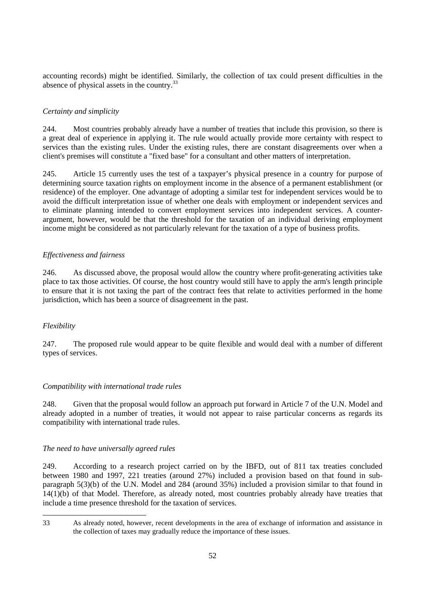accounting records) might be identified. Similarly, the collection of tax could present difficulties in the absence of physical assets in the country.<sup>33</sup>

## *Certainty and simplicity*

244. Most countries probably already have a number of treaties that include this provision, so there is a great deal of experience in applying it. The rule would actually provide more certainty with respect to services than the existing rules. Under the existing rules, there are constant disagreements over when a client's premises will constitute a "fixed base" for a consultant and other matters of interpretation.

245. Article 15 currently uses the test of a taxpayer's physical presence in a country for purpose of determining source taxation rights on employment income in the absence of a permanent establishment (or residence) of the employer. One advantage of adopting a similar test for independent services would be to avoid the difficult interpretation issue of whether one deals with employment or independent services and to eliminate planning intended to convert employment services into independent services. A counterargument, however, would be that the threshold for the taxation of an individual deriving employment income might be considered as not particularly relevant for the taxation of a type of business profits.

# *Effectiveness and fairness*

246. As discussed above, the proposal would allow the country where profit-generating activities take place to tax those activities. Of course, the host country would still have to apply the arm's length principle to ensure that it is not taxing the part of the contract fees that relate to activities performed in the home jurisdiction, which has been a source of disagreement in the past.

# *Flexibility*

247. The proposed rule would appear to be quite flexible and would deal with a number of different types of services.

## *Compatibility with international trade rules*

248. Given that the proposal would follow an approach put forward in Article 7 of the U.N. Model and already adopted in a number of treaties, it would not appear to raise particular concerns as regards its compatibility with international trade rules.

## *The need to have universally agreed rules*

249. According to a research project carried on by the IBFD, out of 811 tax treaties concluded between 1980 and 1997, 221 treaties (around 27%) included a provision based on that found in subparagraph 5(3)(b) of the U.N. Model and 284 (around 35%) included a provision similar to that found in 14(1)(b) of that Model. Therefore, as already noted, most countries probably already have treaties that include a time presence threshold for the taxation of services.

 33 As already noted, however, recent developments in the area of exchange of information and assistance in the collection of taxes may gradually reduce the importance of these issues.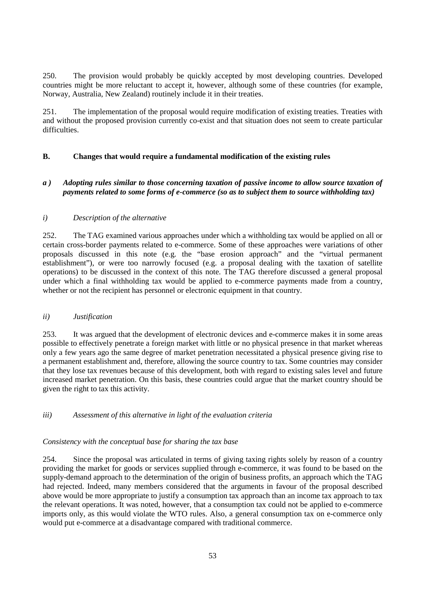250. The provision would probably be quickly accepted by most developing countries. Developed countries might be more reluctant to accept it, however, although some of these countries (for example, Norway, Australia, New Zealand) routinely include it in their treaties.

251. The implementation of the proposal would require modification of existing treaties. Treaties with and without the proposed provision currently co-exist and that situation does not seem to create particular difficulties.

## **B. Changes that would require a fundamental modification of the existing rules**

# *a ) Adopting rules similar to those concerning taxation of passive income to allow source taxation of payments related to some forms of e-commerce (so as to subject them to source withholding tax)*

#### *i) Description of the alternative*

252. The TAG examined various approaches under which a withholding tax would be applied on all or certain cross-border payments related to e-commerce. Some of these approaches were variations of other proposals discussed in this note (e.g. the "base erosion approach" and the "virtual permanent establishment"), or were too narrowly focused (e.g. a proposal dealing with the taxation of satellite operations) to be discussed in the context of this note. The TAG therefore discussed a general proposal under which a final withholding tax would be applied to e-commerce payments made from a country, whether or not the recipient has personnel or electronic equipment in that country.

#### *ii) Justification*

253. It was argued that the development of electronic devices and e-commerce makes it in some areas possible to effectively penetrate a foreign market with little or no physical presence in that market whereas only a few years ago the same degree of market penetration necessitated a physical presence giving rise to a permanent establishment and, therefore, allowing the source country to tax. Some countries may consider that they lose tax revenues because of this development, both with regard to existing sales level and future increased market penetration. On this basis, these countries could argue that the market country should be given the right to tax this activity.

#### *iii) Assessment of this alternative in light of the evaluation criteria*

#### *Consistency with the conceptual base for sharing the tax base*

254. Since the proposal was articulated in terms of giving taxing rights solely by reason of a country providing the market for goods or services supplied through e-commerce, it was found to be based on the supply-demand approach to the determination of the origin of business profits, an approach which the TAG had rejected. Indeed, many members considered that the arguments in favour of the proposal described above would be more appropriate to justify a consumption tax approach than an income tax approach to tax the relevant operations. It was noted, however, that a consumption tax could not be applied to e-commerce imports only, as this would violate the WTO rules. Also, a general consumption tax on e-commerce only would put e-commerce at a disadvantage compared with traditional commerce.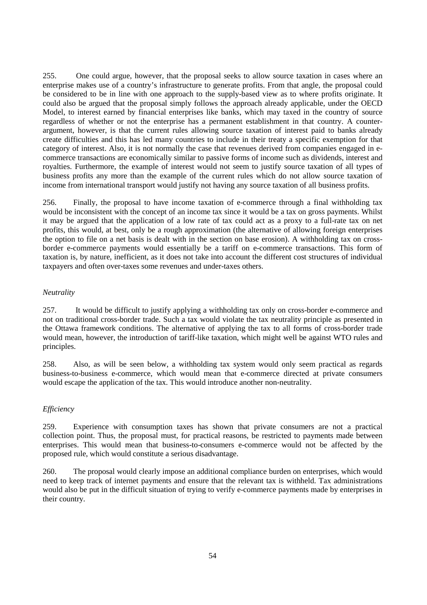255. One could argue, however, that the proposal seeks to allow source taxation in cases where an enterprise makes use of a country's infrastructure to generate profits. From that angle, the proposal could be considered to be in line with one approach to the supply-based view as to where profits originate. It could also be argued that the proposal simply follows the approach already applicable, under the OECD Model, to interest earned by financial enterprises like banks, which may taxed in the country of source regardless of whether or not the enterprise has a permanent establishment in that country. A counterargument, however, is that the current rules allowing source taxation of interest paid to banks already create difficulties and this has led many countries to include in their treaty a specific exemption for that category of interest. Also, it is not normally the case that revenues derived from companies engaged in ecommerce transactions are economically similar to passive forms of income such as dividends, interest and royalties. Furthermore, the example of interest would not seem to justify source taxation of all types of business profits any more than the example of the current rules which do not allow source taxation of income from international transport would justify not having any source taxation of all business profits.

256. Finally, the proposal to have income taxation of e-commerce through a final withholding tax would be inconsistent with the concept of an income tax since it would be a tax on gross payments. Whilst it may be argued that the application of a low rate of tax could act as a proxy to a full-rate tax on net profits, this would, at best, only be a rough approximation (the alternative of allowing foreign enterprises the option to file on a net basis is dealt with in the section on base erosion). A withholding tax on crossborder e-commerce payments would essentially be a tariff on e-commerce transactions. This form of taxation is, by nature, inefficient, as it does not take into account the different cost structures of individual taxpayers and often over-taxes some revenues and under-taxes others.

#### *Neutrality*

257. It would be difficult to justify applying a withholding tax only on cross-border e-commerce and not on traditional cross-border trade. Such a tax would violate the tax neutrality principle as presented in the Ottawa framework conditions. The alternative of applying the tax to all forms of cross-border trade would mean, however, the introduction of tariff-like taxation, which might well be against WTO rules and principles.

258. Also, as will be seen below, a withholding tax system would only seem practical as regards business-to-business e-commerce, which would mean that e-commerce directed at private consumers would escape the application of the tax. This would introduce another non-neutrality.

#### *Efficiency*

259. Experience with consumption taxes has shown that private consumers are not a practical collection point. Thus, the proposal must, for practical reasons, be restricted to payments made between enterprises. This would mean that business-to-consumers e-commerce would not be affected by the proposed rule, which would constitute a serious disadvantage.

260. The proposal would clearly impose an additional compliance burden on enterprises, which would need to keep track of internet payments and ensure that the relevant tax is withheld. Tax administrations would also be put in the difficult situation of trying to verify e-commerce payments made by enterprises in their country.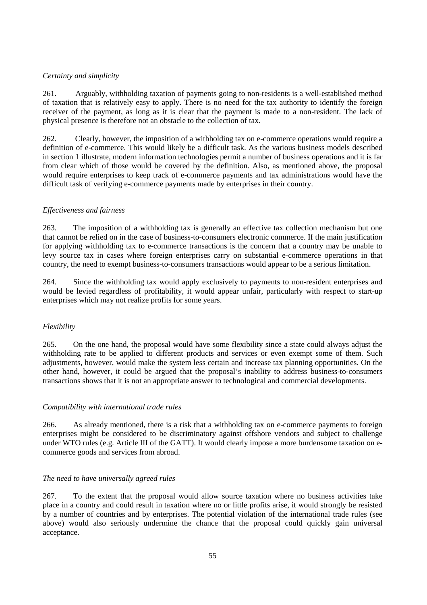# *Certainty and simplicity*

261. Arguably, withholding taxation of payments going to non-residents is a well-established method of taxation that is relatively easy to apply. There is no need for the tax authority to identify the foreign receiver of the payment, as long as it is clear that the payment is made to a non-resident. The lack of physical presence is therefore not an obstacle to the collection of tax.

262. Clearly, however, the imposition of a withholding tax on e-commerce operations would require a definition of e-commerce. This would likely be a difficult task. As the various business models described in section 1 illustrate, modern information technologies permit a number of business operations and it is far from clear which of those would be covered by the definition. Also, as mentioned above, the proposal would require enterprises to keep track of e-commerce payments and tax administrations would have the difficult task of verifying e-commerce payments made by enterprises in their country.

# *Effectiveness and fairness*

263. The imposition of a withholding tax is generally an effective tax collection mechanism but one that cannot be relied on in the case of business-to-consumers electronic commerce. If the main justification for applying withholding tax to e-commerce transactions is the concern that a country may be unable to levy source tax in cases where foreign enterprises carry on substantial e-commerce operations in that country, the need to exempt business-to-consumers transactions would appear to be a serious limitation.

264. Since the withholding tax would apply exclusively to payments to non-resident enterprises and would be levied regardless of profitability, it would appear unfair, particularly with respect to start-up enterprises which may not realize profits for some years.

## *Flexibility*

265. On the one hand, the proposal would have some flexibility since a state could always adjust the withholding rate to be applied to different products and services or even exempt some of them. Such adjustments, however, would make the system less certain and increase tax planning opportunities. On the other hand, however, it could be argued that the proposal's inability to address business-to-consumers transactions shows that it is not an appropriate answer to technological and commercial developments.

## *Compatibility with international trade rules*

266. As already mentioned, there is a risk that a withholding tax on e-commerce payments to foreign enterprises might be considered to be discriminatory against offshore vendors and subject to challenge under WTO rules (e.g. Article III of the GATT). It would clearly impose a more burdensome taxation on ecommerce goods and services from abroad.

## *The need to have universally agreed rules*

267. To the extent that the proposal would allow source taxation where no business activities take place in a country and could result in taxation where no or little profits arise, it would strongly be resisted by a number of countries and by enterprises. The potential violation of the international trade rules (see above) would also seriously undermine the chance that the proposal could quickly gain universal acceptance.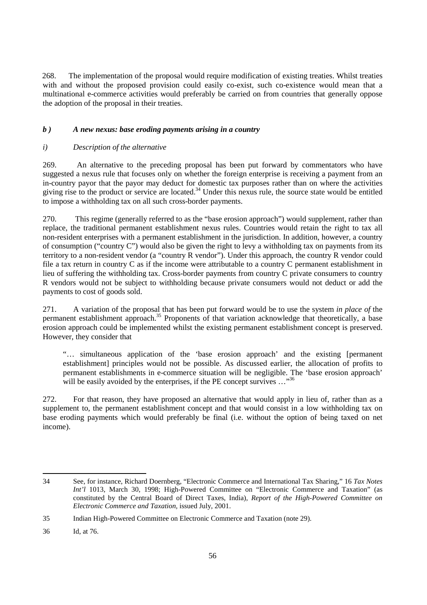268. The implementation of the proposal would require modification of existing treaties. Whilst treaties with and without the proposed provision could easily co-exist, such co-existence would mean that a multinational e-commerce activities would preferably be carried on from countries that generally oppose the adoption of the proposal in their treaties.

# *b ) A new nexus: base eroding payments arising in a country*

# *i) Description of the alternative*

269. An alternative to the preceding proposal has been put forward by commentators who have suggested a nexus rule that focuses only on whether the foreign enterprise is receiving a payment from an in-country payor that the payor may deduct for domestic tax purposes rather than on where the activities giving rise to the product or service are located.<sup>34</sup> Under this nexus rule, the source state would be entitled to impose a withholding tax on all such cross-border payments.

270. This regime (generally referred to as the "base erosion approach") would supplement, rather than replace, the traditional permanent establishment nexus rules. Countries would retain the right to tax all non-resident enterprises with a permanent establishment in the jurisdiction. In addition, however, a country of consumption ("country C") would also be given the right to levy a withholding tax on payments from its territory to a non-resident vendor (a "country R vendor"). Under this approach, the country R vendor could file a tax return in country C as if the income were attributable to a country C permanent establishment in lieu of suffering the withholding tax. Cross-border payments from country C private consumers to country R vendors would not be subject to withholding because private consumers would not deduct or add the payments to cost of goods sold.

271. A variation of the proposal that has been put forward would be to use the system *in place of* the permanent establishment approach.<sup>35</sup> Proponents of that variation acknowledge that theoretically, a base erosion approach could be implemented whilst the existing permanent establishment concept is preserved. However, they consider that

"… simultaneous application of the 'base erosion approach' and the existing [permanent establishment] principles would not be possible. As discussed earlier, the allocation of profits to permanent establishments in e-commerce situation will be negligible. The 'base erosion approach' will be easily avoided by the enterprises, if the PE concept survives ..."<sup>36</sup>

272. For that reason, they have proposed an alternative that would apply in lieu of, rather than as a supplement to, the permanent establishment concept and that would consist in a low withholding tax on base eroding payments which would preferably be final (i.e. without the option of being taxed on net income).

 $\overline{a}$ 34 See, for instance, Richard Doernberg, "Electronic Commerce and International Tax Sharing," 16 *Tax Notes Int'l* 1013, March 30, 1998; High-Powered Committee on "Electronic Commerce and Taxation" (as constituted by the Central Board of Direct Taxes, India)*, Report of the High-Powered Committee on Electronic Commerce and Taxation,* issued July, 2001.

<sup>35</sup> Indian High-Powered Committee on Electronic Commerce and Taxation (note 29).

<sup>36</sup> Id, at 76.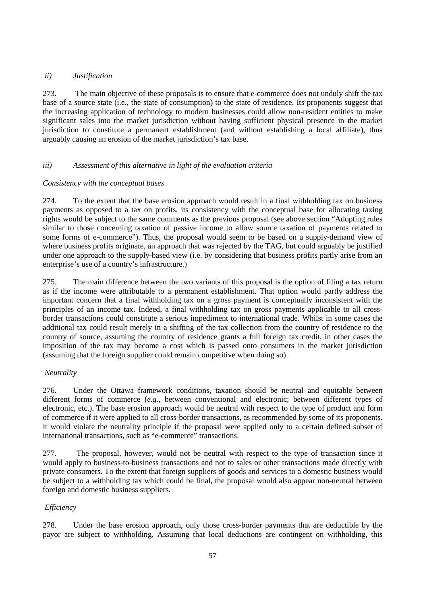# *ii) Justification*

273. The main objective of these proposals is to ensure that e-commerce does not unduly shift the tax base of a source state (i.e., the state of consumption) to the state of residence. Its proponents suggest that the increasing application of technology to modern businesses could allow non-resident entities to make significant sales into the market jurisdiction without having sufficient physical presence in the market jurisdiction to constitute a permanent establishment (and without establishing a local affiliate), thus arguably causing an erosion of the market jurisdiction's tax base.

# *iii) Assessment of this alternative in light of the evaluation criteria*

## *Consistency with the conceptual bases*

274. To the extent that the base erosion approach would result in a final withholding tax on business payments as opposed to a tax on profits, its consistency with the conceptual base for allocating taxing rights would be subject to the same comments as the previous proposal (see above section "Adopting rules similar to those concerning taxation of passive income to allow source taxation of payments related to some forms of e-commerce"). Thus, the proposal would seem to be based on a supply-demand view of where business profits originate, an approach that was rejected by the TAG, but could arguably be justified under one approach to the supply-based view (i.e. by considering that business profits partly arise from an enterprise's use of a country's infrastructure.)

275. The main difference between the two variants of this proposal is the option of filing a tax return as if the income were attributable to a permanent establishment. That option would partly address the important concern that a final withholding tax on a gross payment is conceptually inconsistent with the principles of an income tax. Indeed, a final withholding tax on gross payments applicable to all crossborder transactions could constitute a serious impediment to international trade. Whilst in some cases the additional tax could result merely in a shifting of the tax collection from the country of residence to the country of source, assuming the country of residence grants a full foreign tax credit, in other cases the imposition of the tax may become a cost which is passed onto consumers in the market jurisdiction (assuming that the foreign supplier could remain competitive when doing so).

## *Neutrality*

276. Under the Ottawa framework conditions, taxation should be neutral and equitable between different forms of commerce (*e.g.,* between conventional and electronic; between different types of electronic, etc.). The base erosion approach would be neutral with respect to the type of product and form of commerce if it were applied to all cross-border transactions, as recommended by some of its proponents. It would violate the neutrality principle if the proposal were applied only to a certain defined subset of international transactions, such as "e-commerce" transactions.

277. The proposal, however, would not be neutral with respect to the type of transaction since it would apply to business-to-business transactions and not to sales or other transactions made directly with private consumers. To the extent that foreign suppliers of goods and services to a domestic business would be subject to a withholding tax which could be final, the proposal would also appear non-neutral between foreign and domestic business suppliers.

# *Efficiency*

278. Under the base erosion approach, only those cross-border payments that are deductible by the payor are subject to withholding. Assuming that local deductions are contingent on withholding, this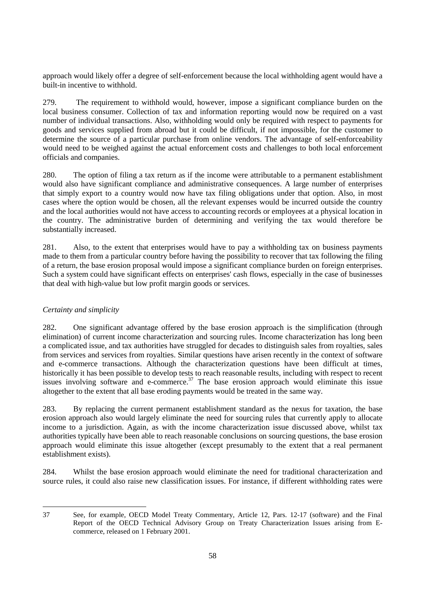approach would likely offer a degree of self-enforcement because the local withholding agent would have a built-in incentive to withhold.

279. The requirement to withhold would, however, impose a significant compliance burden on the local business consumer. Collection of tax and information reporting would now be required on a vast number of individual transactions. Also, withholding would only be required with respect to payments for goods and services supplied from abroad but it could be difficult, if not impossible, for the customer to determine the source of a particular purchase from online vendors. The advantage of self-enforceability would need to be weighed against the actual enforcement costs and challenges to both local enforcement officials and companies.

280. The option of filing a tax return as if the income were attributable to a permanent establishment would also have significant compliance and administrative consequences. A large number of enterprises that simply export to a country would now have tax filing obligations under that option. Also, in most cases where the option would be chosen, all the relevant expenses would be incurred outside the country and the local authorities would not have access to accounting records or employees at a physical location in the country. The administrative burden of determining and verifying the tax would therefore be substantially increased.

281. Also, to the extent that enterprises would have to pay a withholding tax on business payments made to them from a particular country before having the possibility to recover that tax following the filing of a return, the base erosion proposal would impose a significant compliance burden on foreign enterprises. Such a system could have significant effects on enterprises' cash flows, especially in the case of businesses that deal with high-value but low profit margin goods or services.

## *Certainty and simplicity*

282. One significant advantage offered by the base erosion approach is the simplification (through elimination) of current income characterization and sourcing rules. Income characterization has long been a complicated issue, and tax authorities have struggled for decades to distinguish sales from royalties, sales from services and services from royalties. Similar questions have arisen recently in the context of software and e-commerce transactions. Although the characterization questions have been difficult at times, historically it has been possible to develop tests to reach reasonable results, including with respect to recent issues involving software and e-commerce.<sup>37</sup> The base erosion approach would eliminate this issue altogether to the extent that all base eroding payments would be treated in the same way.

283. By replacing the current permanent establishment standard as the nexus for taxation, the base erosion approach also would largely eliminate the need for sourcing rules that currently apply to allocate income to a jurisdiction. Again, as with the income characterization issue discussed above, whilst tax authorities typically have been able to reach reasonable conclusions on sourcing questions, the base erosion approach would eliminate this issue altogether (except presumably to the extent that a real permanent establishment exists).

284. Whilst the base erosion approach would eliminate the need for traditional characterization and source rules, it could also raise new classification issues. For instance, if different withholding rates were

 $\overline{a}$ 37 See, for example, OECD Model Treaty Commentary, Article 12, Pars. 12-17 (software) and the Final Report of the OECD Technical Advisory Group on Treaty Characterization Issues arising from Ecommerce, released on 1 February 2001.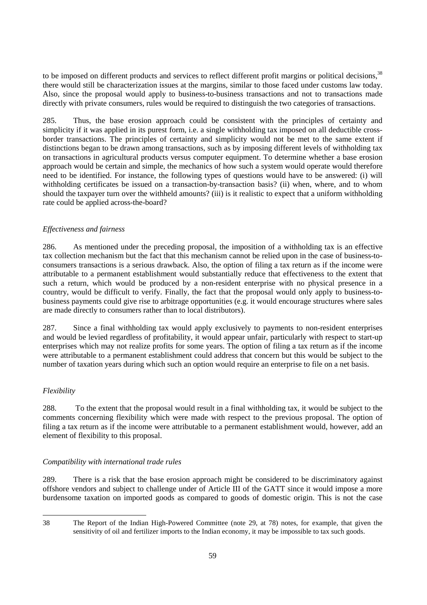to be imposed on different products and services to reflect different profit margins or political decisions,<sup>38</sup> there would still be characterization issues at the margins, similar to those faced under customs law today. Also, since the proposal would apply to business-to-business transactions and not to transactions made directly with private consumers, rules would be required to distinguish the two categories of transactions.

285. Thus, the base erosion approach could be consistent with the principles of certainty and simplicity if it was applied in its purest form, i.e. a single withholding tax imposed on all deductible crossborder transactions. The principles of certainty and simplicity would not be met to the same extent if distinctions began to be drawn among transactions, such as by imposing different levels of withholding tax on transactions in agricultural products versus computer equipment. To determine whether a base erosion approach would be certain and simple, the mechanics of how such a system would operate would therefore need to be identified. For instance, the following types of questions would have to be answered: (i) will withholding certificates be issued on a transaction-by-transaction basis? (ii) when, where, and to whom should the taxpayer turn over the withheld amounts? (iii) is it realistic to expect that a uniform withholding rate could be applied across-the-board?

#### *Effectiveness and fairness*

286. As mentioned under the preceding proposal, the imposition of a withholding tax is an effective tax collection mechanism but the fact that this mechanism cannot be relied upon in the case of business-toconsumers transactions is a serious drawback. Also, the option of filing a tax return as if the income were attributable to a permanent establishment would substantially reduce that effectiveness to the extent that such a return, which would be produced by a non-resident enterprise with no physical presence in a country, would be difficult to verify. Finally, the fact that the proposal would only apply to business-tobusiness payments could give rise to arbitrage opportunities (e.g. it would encourage structures where sales are made directly to consumers rather than to local distributors).

287. Since a final withholding tax would apply exclusively to payments to non-resident enterprises and would be levied regardless of profitability, it would appear unfair, particularly with respect to start-up enterprises which may not realize profits for some years. The option of filing a tax return as if the income were attributable to a permanent establishment could address that concern but this would be subject to the number of taxation years during which such an option would require an enterprise to file on a net basis.

## *Flexibility*

288. To the extent that the proposal would result in a final withholding tax, it would be subject to the comments concerning flexibility which were made with respect to the previous proposal. The option of filing a tax return as if the income were attributable to a permanent establishment would, however, add an element of flexibility to this proposal.

## *Compatibility with international trade rules*

289. There is a risk that the base erosion approach might be considered to be discriminatory against offshore vendors and subject to challenge under of Article III of the GATT since it would impose a more burdensome taxation on imported goods as compared to goods of domestic origin. This is not the case

 38 The Report of the Indian High-Powered Committee (note 29, at 78) notes, for example, that given the sensitivity of oil and fertilizer imports to the Indian economy, it may be impossible to tax such goods.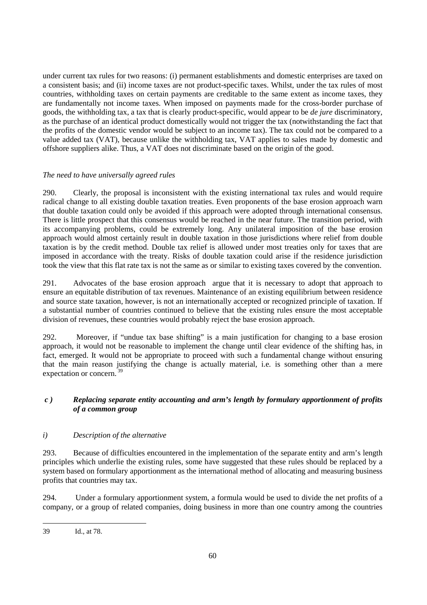under current tax rules for two reasons: (i) permanent establishments and domestic enterprises are taxed on a consistent basis; and (ii) income taxes are not product-specific taxes. Whilst, under the tax rules of most countries, withholding taxes on certain payments are creditable to the same extent as income taxes, they are fundamentally not income taxes. When imposed on payments made for the cross-border purchase of goods, the withholding tax, a tax that is clearly product-specific, would appear to be *de jure* discriminatory, as the purchase of an identical product domestically would not trigger the tax (notwithstanding the fact that the profits of the domestic vendor would be subject to an income tax). The tax could not be compared to a value added tax (VAT), because unlike the withholding tax, VAT applies to sales made by domestic and offshore suppliers alike. Thus, a VAT does not discriminate based on the origin of the good.

# *The need to have universally agreed rules*

290. Clearly, the proposal is inconsistent with the existing international tax rules and would require radical change to all existing double taxation treaties. Even proponents of the base erosion approach warn that double taxation could only be avoided if this approach were adopted through international consensus. There is little prospect that this consensus would be reached in the near future. The transition period, with its accompanying problems, could be extremely long. Any unilateral imposition of the base erosion approach would almost certainly result in double taxation in those jurisdictions where relief from double taxation is by the credit method. Double tax relief is allowed under most treaties only for taxes that are imposed in accordance with the treaty. Risks of double taxation could arise if the residence jurisdiction took the view that this flat rate tax is not the same as or similar to existing taxes covered by the convention.

291. Advocates of the base erosion approach argue that it is necessary to adopt that approach to ensure an equitable distribution of tax revenues. Maintenance of an existing equilibrium between residence and source state taxation, however, is not an internationally accepted or recognized principle of taxation. If a substantial number of countries continued to believe that the existing rules ensure the most acceptable division of revenues, these countries would probably reject the base erosion approach.

292. Moreover, if "undue tax base shifting" is a main justification for changing to a base erosion approach, it would not be reasonable to implement the change until clear evidence of the shifting has, in fact, emerged. It would not be appropriate to proceed with such a fundamental change without ensuring that the main reason justifying the change is actually material, i.e*.* is something other than a mere expectation or concern.<sup>39</sup>

# *c ) Replacing separate entity accounting and arm's length by formulary apportionment of profits of a common group*

# *i) Description of the alternative*

293. Because of difficulties encountered in the implementation of the separate entity and arm's length principles which underlie the existing rules, some have suggested that these rules should be replaced by a system based on formulary apportionment as the international method of allocating and measuring business profits that countries may tax.

294. Under a formulary apportionment system, a formula would be used to divide the net profits of a company, or a group of related companies, doing business in more than one country among the countries

 $\overline{a}$ 

<sup>39</sup> Id., at 78.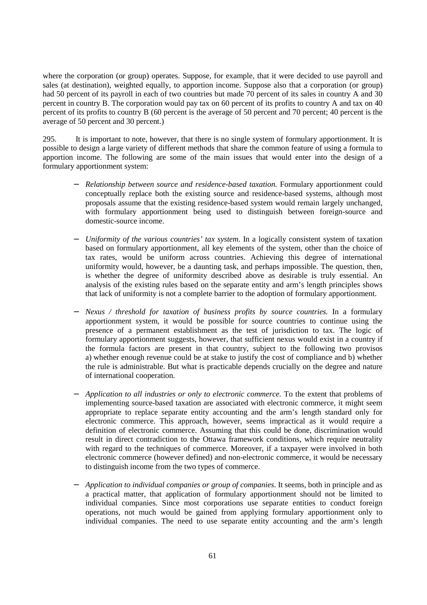where the corporation (or group) operates. Suppose, for example, that it were decided to use payroll and sales (at destination), weighted equally, to apportion income. Suppose also that a corporation (or group) had 50 percent of its payroll in each of two countries but made 70 percent of its sales in country A and 30 percent in country B. The corporation would pay tax on 60 percent of its profits to country A and tax on 40 percent of its profits to country B (60 percent is the average of 50 percent and 70 percent; 40 percent is the average of 50 percent and 30 percent.)

295. It is important to note, however, that there is no single system of formulary apportionment. It is possible to design a large variety of different methods that share the common feature of using a formula to apportion income. The following are some of the main issues that would enter into the design of a formulary apportionment system:

- − *Relationship between source and residence-based taxation.* Formulary apportionment could conceptually replace both the existing source and residence-based systems, although most proposals assume that the existing residence-based system would remain largely unchanged, with formulary apportionment being used to distinguish between foreign-source and domestic-source income.
- *Uniformity of the various countries' tax system*. In a logically consistent system of taxation based on formulary apportionment, all key elements of the system, other than the choice of tax rates, would be uniform across countries. Achieving this degree of international uniformity would, however, be a daunting task, and perhaps impossible. The question, then, is whether the degree of uniformity described above as desirable is truly essential. An analysis of the existing rules based on the separate entity and arm's length principles shows that lack of uniformity is not a complete barrier to the adoption of formulary apportionment.
- − *Nexus / threshold for taxation of business profits by source countries.* In a formulary apportionment system, it would be possible for source countries to continue using the presence of a permanent establishment as the test of jurisdiction to tax. The logic of formulary apportionment suggests, however, that sufficient nexus would exist in a country if the formula factors are present in that country, subject to the following two provisos a) whether enough revenue could be at stake to justify the cost of compliance and b) whether the rule is administrable. But what is practicable depends crucially on the degree and nature of international cooperation.
- *Application to all industries or only to electronic commerce.* To the extent that problems of implementing source-based taxation are associated with electronic commerce, it might seem appropriate to replace separate entity accounting and the arm's length standard only for electronic commerce. This approach, however, seems impractical as it would require a definition of electronic commerce. Assuming that this could be done, discrimination would result in direct contradiction to the Ottawa framework conditions, which require neutrality with regard to the techniques of commerce. Moreover, if a taxpayer were involved in both electronic commerce (however defined) and non-electronic commerce, it would be necessary to distinguish income from the two types of commerce.
- − *Application to individual companies or group of companies*. It seems, both in principle and as a practical matter, that application of formulary apportionment should not be limited to individual companies. Since most corporations use separate entities to conduct foreign operations, not much would be gained from applying formulary apportionment only to individual companies. The need to use separate entity accounting and the arm's length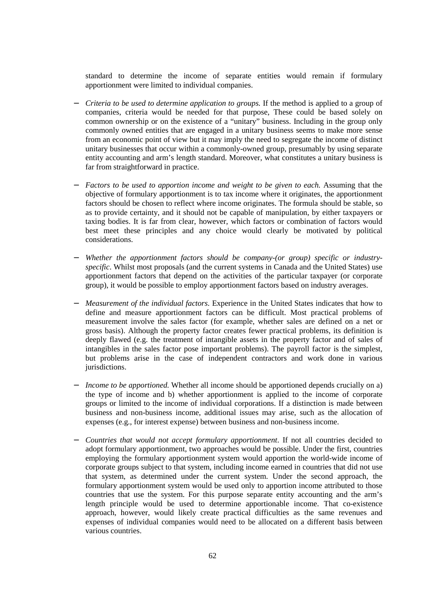standard to determine the income of separate entities would remain if formulary apportionment were limited to individual companies.

- *Criteria to be used to determine application to groups.* If the method is applied to a group of companies, criteria would be needed for that purpose, These could be based solely on common ownership or on the existence of a "unitary" business. Including in the group only commonly owned entities that are engaged in a unitary business seems to make more sense from an economic point of view but it may imply the need to segregate the income of distinct unitary businesses that occur within a commonly-owned group, presumably by using separate entity accounting and arm's length standard. Moreover, what constitutes a unitary business is far from straightforward in practice.
- − *Factors to be used to apportion income and weight to be given to each.* Assuming that the objective of formulary apportionment is to tax income where it originates, the apportionment factors should be chosen to reflect where income originates. The formula should be stable, so as to provide certainty, and it should not be capable of manipulation, by either taxpayers or taxing bodies. It is far from clear, however, which factors or combination of factors would best meet these principles and any choice would clearly be motivated by political considerations.
- Whether the apportionment factors should be company-(or group) specific or industry*specific*. Whilst most proposals (and the current systems in Canada and the United States) use apportionment factors that depend on the activities of the particular taxpayer (or corporate group), it would be possible to employ apportionment factors based on industry averages.
- *Measurement of the individual factors*. Experience in the United States indicates that how to define and measure apportionment factors can be difficult. Most practical problems of measurement involve the sales factor (for example, whether sales are defined on a net or gross basis). Although the property factor creates fewer practical problems, its definition is deeply flawed (e.g. the treatment of intangible assets in the property factor and of sales of intangibles in the sales factor pose important problems). The payroll factor is the simplest, but problems arise in the case of independent contractors and work done in various jurisdictions.
- *Income to be apportioned*. Whether all income should be apportioned depends crucially on a) the type of income and b) whether apportionment is applied to the income of corporate groups or limited to the income of individual corporations. If a distinction is made between business and non-business income, additional issues may arise, such as the allocation of expenses (e.g., for interest expense) between business and non-business income.
- − *Countries that would not accept formulary apportionment*. If not all countries decided to adopt formulary apportionment, two approaches would be possible. Under the first, countries employing the formulary apportionment system would apportion the world-wide income of corporate groups subject to that system, including income earned in countries that did not use that system, as determined under the current system. Under the second approach, the formulary apportionment system would be used only to apportion income attributed to those countries that use the system. For this purpose separate entity accounting and the arm's length principle would be used to determine apportionable income. That co-existence approach, however, would likely create practical difficulties as the same revenues and expenses of individual companies would need to be allocated on a different basis between various countries.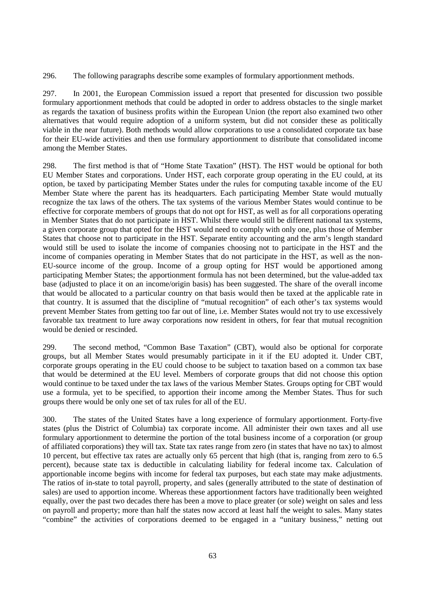296. The following paragraphs describe some examples of formulary apportionment methods.

297. In 2001, the European Commission issued a report that presented for discussion two possible formulary apportionment methods that could be adopted in order to address obstacles to the single market as regards the taxation of business profits within the European Union (the report also examined two other alternatives that would require adoption of a uniform system, but did not consider these as politically viable in the near future). Both methods would allow corporations to use a consolidated corporate tax base for their EU-wide activities and then use formulary apportionment to distribute that consolidated income among the Member States.

298. The first method is that of "Home State Taxation" (HST). The HST would be optional for both EU Member States and corporations. Under HST, each corporate group operating in the EU could, at its option, be taxed by participating Member States under the rules for computing taxable income of the EU Member State where the parent has its headquarters. Each participating Member State would mutually recognize the tax laws of the others. The tax systems of the various Member States would continue to be effective for corporate members of groups that do not opt for HST, as well as for all corporations operating in Member States that do not participate in HST. Whilst there would still be different national tax systems, a given corporate group that opted for the HST would need to comply with only one, plus those of Member States that choose not to participate in the HST. Separate entity accounting and the arm's length standard would still be used to isolate the income of companies choosing not to participate in the HST and the income of companies operating in Member States that do not participate in the HST, as well as the non-EU-source income of the group. Income of a group opting for HST would be apportioned among participating Member States; the apportionment formula has not been determined, but the value-added tax base (adjusted to place it on an income/origin basis) has been suggested. The share of the overall income that would be allocated to a particular country on that basis would then be taxed at the applicable rate in that country. It is assumed that the discipline of "mutual recognition" of each other's tax systems would prevent Member States from getting too far out of line, i.e. Member States would not try to use excessively favorable tax treatment to lure away corporations now resident in others, for fear that mutual recognition would be denied or rescinded.

299. The second method, "Common Base Taxation" (CBT), would also be optional for corporate groups, but all Member States would presumably participate in it if the EU adopted it. Under CBT, corporate groups operating in the EU could choose to be subject to taxation based on a common tax base that would be determined at the EU level. Members of corporate groups that did not choose this option would continue to be taxed under the tax laws of the various Member States. Groups opting for CBT would use a formula, yet to be specified, to apportion their income among the Member States. Thus for such groups there would be only one set of tax rules for all of the EU.

300. The states of the United States have a long experience of formulary apportionment. Forty-five states (plus the District of Columbia) tax corporate income. All administer their own taxes and all use formulary apportionment to determine the portion of the total business income of a corporation (or group of affiliated corporations) they will tax. State tax rates range from zero (in states that have no tax) to almost 10 percent, but effective tax rates are actually only 65 percent that high (that is, ranging from zero to 6.5 percent), because state tax is deductible in calculating liability for federal income tax. Calculation of apportionable income begins with income for federal tax purposes, but each state may make adjustments. The ratios of in-state to total payroll, property, and sales (generally attributed to the state of destination of sales) are used to apportion income. Whereas these apportionment factors have traditionally been weighted equally, over the past two decades there has been a move to place greater (or sole) weight on sales and less on payroll and property; more than half the states now accord at least half the weight to sales. Many states "combine" the activities of corporations deemed to be engaged in a "unitary business," netting out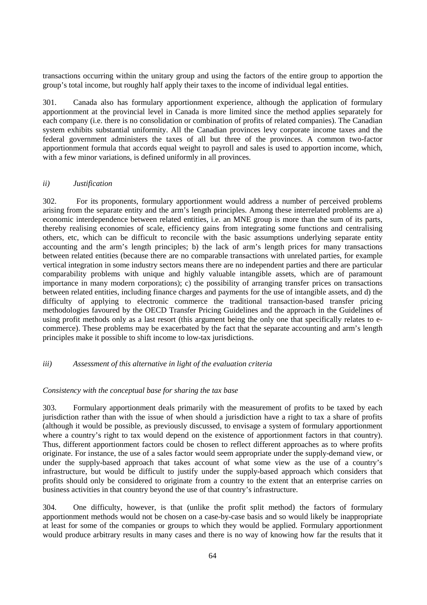transactions occurring within the unitary group and using the factors of the entire group to apportion the group's total income, but roughly half apply their taxes to the income of individual legal entities.

301. Canada also has formulary apportionment experience, although the application of formulary apportionment at the provincial level in Canada is more limited since the method applies separately for each company (i.e. there is no consolidation or combination of profits of related companies). The Canadian system exhibits substantial uniformity. All the Canadian provinces levy corporate income taxes and the federal government administers the taxes of all but three of the provinces. A common two-factor apportionment formula that accords equal weight to payroll and sales is used to apportion income, which, with a few minor variations, is defined uniformly in all provinces.

#### *ii) Justification*

302. For its proponents, formulary apportionment would address a number of perceived problems arising from the separate entity and the arm's length principles. Among these interrelated problems are a) economic interdependence between related entities, i.e. an MNE group is more than the sum of its parts, thereby realising economies of scale, efficiency gains from integrating some functions and centralising others, etc, which can be difficult to reconcile with the basic assumptions underlying separate entity accounting and the arm's length principles; b) the lack of arm's length prices for many transactions between related entities (because there are no comparable transactions with unrelated parties, for example vertical integration in some industry sectors means there are no independent parties and there are particular comparability problems with unique and highly valuable intangible assets, which are of paramount importance in many modern corporations); c) the possibility of arranging transfer prices on transactions between related entities, including finance charges and payments for the use of intangible assets, and d) the difficulty of applying to electronic commerce the traditional transaction-based transfer pricing methodologies favoured by the OECD Transfer Pricing Guidelines and the approach in the Guidelines of using profit methods only as a last resort (this argument being the only one that specifically relates to ecommerce). These problems may be exacerbated by the fact that the separate accounting and arm's length principles make it possible to shift income to low-tax jurisdictions.

#### *iii) Assessment of this alternative in light of the evaluation criteria*

## *Consistency with the conceptual base for sharing the tax base*

303. Formulary apportionment deals primarily with the measurement of profits to be taxed by each jurisdiction rather than with the issue of when should a jurisdiction have a right to tax a share of profits (although it would be possible, as previously discussed, to envisage a system of formulary apportionment where a country's right to tax would depend on the existence of apportionment factors in that country). Thus, different apportionment factors could be chosen to reflect different approaches as to where profits originate. For instance, the use of a sales factor would seem appropriate under the supply-demand view, or under the supply-based approach that takes account of what some view as the use of a country's infrastructure, but would be difficult to justify under the supply-based approach which considers that profits should only be considered to originate from a country to the extent that an enterprise carries on business activities in that country beyond the use of that country's infrastructure.

304. One difficulty, however, is that (unlike the profit split method) the factors of formulary apportionment methods would not be chosen on a case-by-case basis and so would likely be inappropriate at least for some of the companies or groups to which they would be applied. Formulary apportionment would produce arbitrary results in many cases and there is no way of knowing how far the results that it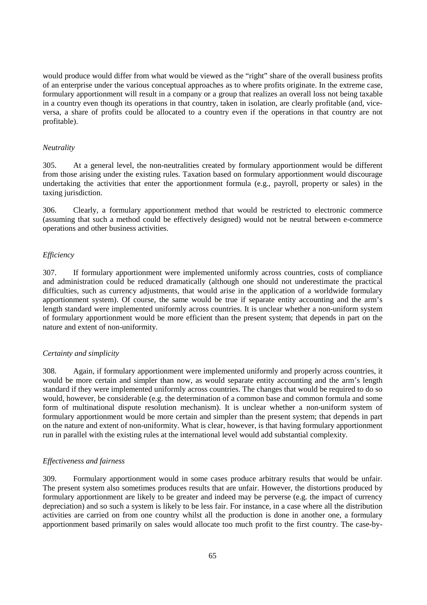would produce would differ from what would be viewed as the "right" share of the overall business profits of an enterprise under the various conceptual approaches as to where profits originate. In the extreme case, formulary apportionment will result in a company or a group that realizes an overall loss not being taxable in a country even though its operations in that country, taken in isolation, are clearly profitable (and, viceversa, a share of profits could be allocated to a country even if the operations in that country are not profitable).

#### *Neutrality*

305. At a general level, the non-neutralities created by formulary apportionment would be different from those arising under the existing rules. Taxation based on formulary apportionment would discourage undertaking the activities that enter the apportionment formula (e.g., payroll, property or sales) in the taxing jurisdiction.

306. Clearly, a formulary apportionment method that would be restricted to electronic commerce (assuming that such a method could be effectively designed) would not be neutral between e-commerce operations and other business activities.

#### *Efficiency*

307. If formulary apportionment were implemented uniformly across countries, costs of compliance and administration could be reduced dramatically (although one should not underestimate the practical difficulties, such as currency adjustments, that would arise in the application of a worldwide formulary apportionment system). Of course, the same would be true if separate entity accounting and the arm's length standard were implemented uniformly across countries. It is unclear whether a non-uniform system of formulary apportionment would be more efficient than the present system; that depends in part on the nature and extent of non-uniformity.

#### *Certainty and simplicity*

308. Again, if formulary apportionment were implemented uniformly and properly across countries, it would be more certain and simpler than now, as would separate entity accounting and the arm's length standard if they were implemented uniformly across countries. The changes that would be required to do so would, however, be considerable (e.g. the determination of a common base and common formula and some form of multinational dispute resolution mechanism). It is unclear whether a non-uniform system of formulary apportionment would be more certain and simpler than the present system; that depends in part on the nature and extent of non-uniformity. What is clear, however, is that having formulary apportionment run in parallel with the existing rules at the international level would add substantial complexity.

#### *Effectiveness and fairness*

309. Formulary apportionment would in some cases produce arbitrary results that would be unfair. The present system also sometimes produces results that are unfair. However, the distortions produced by formulary apportionment are likely to be greater and indeed may be perverse (e.g. the impact of currency depreciation) and so such a system is likely to be less fair. For instance, in a case where all the distribution activities are carried on from one country whilst all the production is done in another one, a formulary apportionment based primarily on sales would allocate too much profit to the first country. The case-by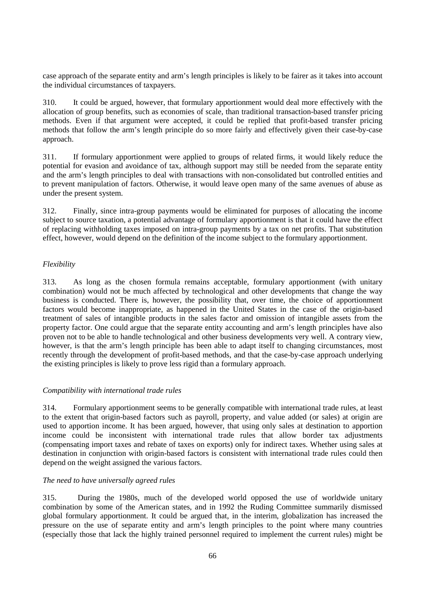case approach of the separate entity and arm's length principles is likely to be fairer as it takes into account the individual circumstances of taxpayers.

310. It could be argued, however, that formulary apportionment would deal more effectively with the allocation of group benefits, such as economies of scale, than traditional transaction-based transfer pricing methods. Even if that argument were accepted, it could be replied that profit-based transfer pricing methods that follow the arm's length principle do so more fairly and effectively given their case-by-case approach.

311. If formulary apportionment were applied to groups of related firms, it would likely reduce the potential for evasion and avoidance of tax, although support may still be needed from the separate entity and the arm's length principles to deal with transactions with non-consolidated but controlled entities and to prevent manipulation of factors. Otherwise, it would leave open many of the same avenues of abuse as under the present system.

312. Finally, since intra-group payments would be eliminated for purposes of allocating the income subject to source taxation, a potential advantage of formulary apportionment is that it could have the effect of replacing withholding taxes imposed on intra-group payments by a tax on net profits. That substitution effect, however, would depend on the definition of the income subject to the formulary apportionment.

## *Flexibility*

313. As long as the chosen formula remains acceptable, formulary apportionment (with unitary combination) would not be much affected by technological and other developments that change the way business is conducted. There is, however, the possibility that, over time, the choice of apportionment factors would become inappropriate, as happened in the United States in the case of the origin-based treatment of sales of intangible products in the sales factor and omission of intangible assets from the property factor. One could argue that the separate entity accounting and arm's length principles have also proven not to be able to handle technological and other business developments very well. A contrary view, however, is that the arm's length principle has been able to adapt itself to changing circumstances, most recently through the development of profit-based methods, and that the case-by-case approach underlying the existing principles is likely to prove less rigid than a formulary approach.

## *Compatibility with international trade rules*

314. Formulary apportionment seems to be generally compatible with international trade rules, at least to the extent that origin-based factors such as payroll, property, and value added (or sales) at origin are used to apportion income. It has been argued, however, that using only sales at destination to apportion income could be inconsistent with international trade rules that allow border tax adjustments (compensating import taxes and rebate of taxes on exports) only for indirect taxes. Whether using sales at destination in conjunction with origin-based factors is consistent with international trade rules could then depend on the weight assigned the various factors.

## *The need to have universally agreed rules*

315. During the 1980s, much of the developed world opposed the use of worldwide unitary combination by some of the American states, and in 1992 the Ruding Committee summarily dismissed global formulary apportionment. It could be argued that, in the interim, globalization has increased the pressure on the use of separate entity and arm's length principles to the point where many countries (especially those that lack the highly trained personnel required to implement the current rules) might be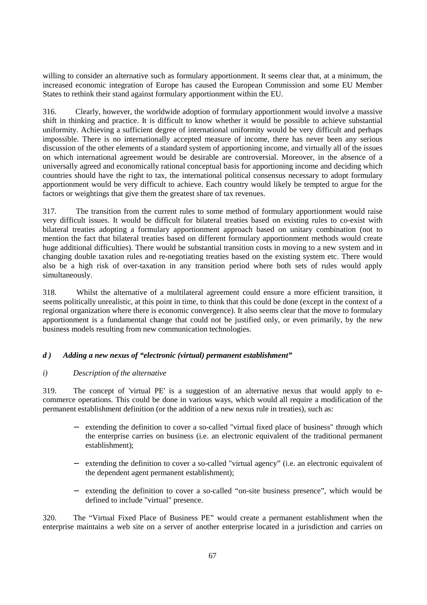willing to consider an alternative such as formulary apportionment. It seems clear that, at a minimum, the increased economic integration of Europe has caused the European Commission and some EU Member States to rethink their stand against formulary apportionment within the EU.

316. Clearly, however, the worldwide adoption of formulary apportionment would involve a massive shift in thinking and practice. It is difficult to know whether it would be possible to achieve substantial uniformity. Achieving a sufficient degree of international uniformity would be very difficult and perhaps impossible. There is no internationally accepted measure of income, there has never been any serious discussion of the other elements of a standard system of apportioning income, and virtually all of the issues on which international agreement would be desirable are controversial. Moreover, in the absence of a universally agreed and economically rational conceptual basis for apportioning income and deciding which countries should have the right to tax, the international political consensus necessary to adopt formulary apportionment would be very difficult to achieve. Each country would likely be tempted to argue for the factors or weightings that give them the greatest share of tax revenues.

317. The transition from the current rules to some method of formulary apportionment would raise very difficult issues. It would be difficult for bilateral treaties based on existing rules to co-exist with bilateral treaties adopting a formulary apportionment approach based on unitary combination (not to mention the fact that bilateral treaties based on different formulary apportionment methods would create huge additional difficulties). There would be substantial transition costs in moving to a new system and in changing double taxation rules and re-negotiating treaties based on the existing system etc. There would also be a high risk of over-taxation in any transition period where both sets of rules would apply simultaneously.

318. Whilst the alternative of a multilateral agreement could ensure a more efficient transition, it seems politically unrealistic, at this point in time, to think that this could be done (except in the context of a regional organization where there is economic convergence). It also seems clear that the move to formulary apportionment is a fundamental change that could not be justified only, or even primarily, by the new business models resulting from new communication technologies.

## *d ) Adding a new nexus of "electronic (virtual) permanent establishment"*

#### *i) Description of the alternative*

319. The concept of 'virtual PE' is a suggestion of an alternative nexus that would apply to ecommerce operations. This could be done in various ways, which would all require a modification of the permanent establishment definition (or the addition of a new nexus rule in treaties), such as:

- extending the definition to cover a so-called "virtual fixed place of business" through which the enterprise carries on business (i.e. an electronic equivalent of the traditional permanent establishment);
- extending the definition to cover a so-called "virtual agency" (i.e. an electronic equivalent of the dependent agent permanent establishment);
- extending the definition to cover a so-called "on-site business presence", which would be defined to include "virtual" presence.

320. The "Virtual Fixed Place of Business PE" would create a permanent establishment when the enterprise maintains a web site on a server of another enterprise located in a jurisdiction and carries on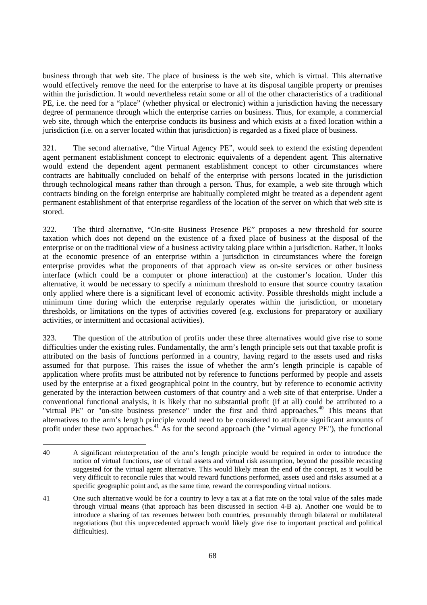business through that web site. The place of business is the web site, which is virtual. This alternative would effectively remove the need for the enterprise to have at its disposal tangible property or premises within the jurisdiction. It would nevertheless retain some or all of the other characteristics of a traditional PE, i.e. the need for a "place" (whether physical or electronic) within a jurisdiction having the necessary degree of permanence through which the enterprise carries on business. Thus, for example, a commercial web site, through which the enterprise conducts its business and which exists at a fixed location within a jurisdiction (i.e. on a server located within that jurisdiction) is regarded as a fixed place of business.

321. The second alternative, "the Virtual Agency PE", would seek to extend the existing dependent agent permanent establishment concept to electronic equivalents of a dependent agent. This alternative would extend the dependent agent permanent establishment concept to other circumstances where contracts are habitually concluded on behalf of the enterprise with persons located in the jurisdiction through technological means rather than through a person. Thus, for example, a web site through which contracts binding on the foreign enterprise are habitually completed might be treated as a dependent agent permanent establishment of that enterprise regardless of the location of the server on which that web site is stored.

322. The third alternative, "On-site Business Presence PE" proposes a new threshold for source taxation which does not depend on the existence of a fixed place of business at the disposal of the enterprise or on the traditional view of a business activity taking place within a jurisdiction. Rather, it looks at the economic presence of an enterprise within a jurisdiction in circumstances where the foreign enterprise provides what the proponents of that approach view as on-site services or other business interface (which could be a computer or phone interaction) at the customer's location. Under this alternative, it would be necessary to specify a minimum threshold to ensure that source country taxation only applied where there is a significant level of economic activity. Possible thresholds might include a minimum time during which the enterprise regularly operates within the jurisdiction, or monetary thresholds, or limitations on the types of activities covered (e.g. exclusions for preparatory or auxiliary activities, or intermittent and occasional activities).

323. The question of the attribution of profits under these three alternatives would give rise to some difficulties under the existing rules. Fundamentally, the arm's length principle sets out that taxable profit is attributed on the basis of functions performed in a country, having regard to the assets used and risks assumed for that purpose. This raises the issue of whether the arm's length principle is capable of application where profits must be attributed not by reference to functions performed by people and assets used by the enterprise at a fixed geographical point in the country, but by reference to economic activity generated by the interaction between customers of that country and a web site of that enterprise. Under a conventional functional analysis, it is likely that no substantial profit (if at all) could be attributed to a "virtual PE" or "on-site business presence" under the first and third approaches.<sup>40</sup> This means that alternatives to the arm's length principle would need to be considered to attribute significant amounts of profit under these two approaches.<sup>41</sup> As for the second approach (the "virtual agency  $PE$ "), the functional

 $\overline{a}$ 

<sup>40</sup> A significant reinterpretation of the arm's length principle would be required in order to introduce the notion of virtual functions, use of virtual assets and virtual risk assumption, beyond the possible recasting suggested for the virtual agent alternative. This would likely mean the end of the concept, as it would be very difficult to reconcile rules that would reward functions performed, assets used and risks assumed at a specific geographic point and, as the same time, reward the corresponding virtual notions.

<sup>41</sup> One such alternative would be for a country to levy a tax at a flat rate on the total value of the sales made through virtual means (that approach has been discussed in section 4-B a). Another one would be to introduce a sharing of tax revenues between both countries, presumably through bilateral or multilateral negotiations (but this unprecedented approach would likely give rise to important practical and political difficulties).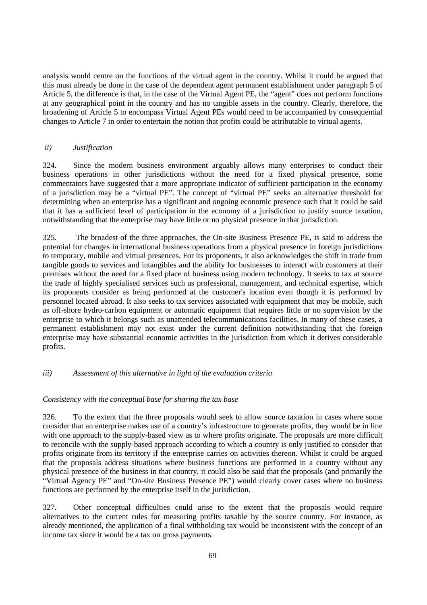analysis would centre on the functions of the virtual agent in the country. Whilst it could be argued that this must already be done in the case of the dependent agent permanent establishment under paragraph 5 of Article 5, the difference is that, in the case of the Virtual Agent PE, the "agent" does not perform functions at any geographical point in the country and has no tangible assets in the country. Clearly, therefore, the broadening of Article 5 to encompass Virtual Agent PEs would need to be accompanied by consequential changes to Article 7 in order to entertain the notion that profits could be attributable to virtual agents.

#### *ii) Justification*

324. Since the modern business environment arguably allows many enterprises to conduct their business operations in other jurisdictions without the need for a fixed physical presence, some commentators have suggested that a more appropriate indicator of sufficient participation in the economy of a jurisdiction may be a "virtual PE". The concept of "virtual PE" seeks an alternative threshold for determining when an enterprise has a significant and ongoing economic presence such that it could be said that it has a sufficient level of participation in the economy of a jurisdiction to justify source taxation, notwithstanding that the enterprise may have little or no physical presence in that jurisdiction.

325. The broadest of the three approaches, the On-site Business Presence PE, is said to address the potential for changes in international business operations from a physical presence in foreign jurisdictions to temporary, mobile and virtual presences. For its proponents, it also acknowledges the shift in trade from tangible goods to services and intangibles and the ability for businesses to interact with customers at their premises without the need for a fixed place of business using modern technology. It seeks to tax at source the trade of highly specialised services such as professional, management, and technical expertise, which its proponents consider as being performed at the customer's location even though it is performed by personnel located abroad. It also seeks to tax services associated with equipment that may be mobile, such as off-shore hydro-carbon equipment or automatic equipment that requires little or no supervision by the enterprise to which it belongs such as unattended telecommunications facilities. In many of these cases, a permanent establishment may not exist under the current definition notwithstanding that the foreign enterprise may have substantial economic activities in the jurisdiction from which it derives considerable profits.

## *iii) Assessment of this alternative in light of the evaluation criteria*

#### *Consistency with the conceptual base for sharing the tax base*

326. To the extent that the three proposals would seek to allow source taxation in cases where some consider that an enterprise makes use of a country's infrastructure to generate profits, they would be in line with one approach to the supply-based view as to where profits originate. The proposals are more difficult to reconcile with the supply-based approach according to which a country is only justified to consider that profits originate from its territory if the enterprise carries on activities thereon. Whilst it could be argued that the proposals address situations where business functions are performed in a country without any physical presence of the business in that country, it could also be said that the proposals (and primarily the "Virtual Agency PE" and "On-site Business Presence PE") would clearly cover cases where no business functions are performed by the enterprise itself in the jurisdiction.

327. Other conceptual difficulties could arise to the extent that the proposals would require alternatives to the current rules for measuring profits taxable by the source country. For instance, as already mentioned, the application of a final withholding tax would be inconsistent with the concept of an income tax since it would be a tax on gross payments.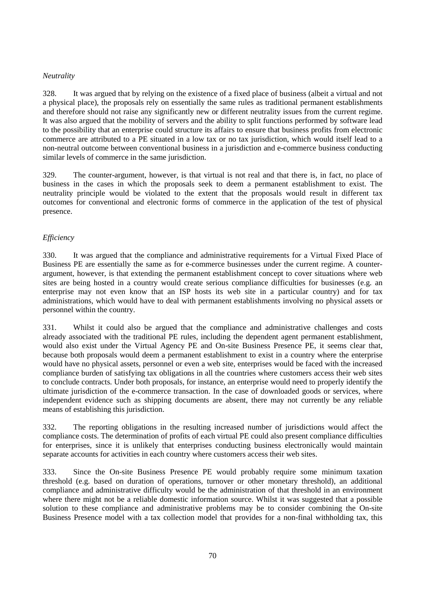## *Neutrality*

328. It was argued that by relying on the existence of a fixed place of business (albeit a virtual and not a physical place), the proposals rely on essentially the same rules as traditional permanent establishments and therefore should not raise any significantly new or different neutrality issues from the current regime. It was also argued that the mobility of servers and the ability to split functions performed by software lead to the possibility that an enterprise could structure its affairs to ensure that business profits from electronic commerce are attributed to a PE situated in a low tax or no tax jurisdiction, which would itself lead to a non-neutral outcome between conventional business in a jurisdiction and e-commerce business conducting similar levels of commerce in the same jurisdiction.

329. The counter-argument, however, is that virtual is not real and that there is, in fact, no place of business in the cases in which the proposals seek to deem a permanent establishment to exist. The neutrality principle would be violated to the extent that the proposals would result in different tax outcomes for conventional and electronic forms of commerce in the application of the test of physical presence.

# *Efficiency*

330. It was argued that the compliance and administrative requirements for a Virtual Fixed Place of Business PE are essentially the same as for e-commerce businesses under the current regime. A counterargument, however, is that extending the permanent establishment concept to cover situations where web sites are being hosted in a country would create serious compliance difficulties for businesses (e.g. an enterprise may not even know that an ISP hosts its web site in a particular country) and for tax administrations, which would have to deal with permanent establishments involving no physical assets or personnel within the country.

331. Whilst it could also be argued that the compliance and administrative challenges and costs already associated with the traditional PE rules, including the dependent agent permanent establishment, would also exist under the Virtual Agency PE and On-site Business Presence PE, it seems clear that, because both proposals would deem a permanent establishment to exist in a country where the enterprise would have no physical assets, personnel or even a web site, enterprises would be faced with the increased compliance burden of satisfying tax obligations in all the countries where customers access their web sites to conclude contracts. Under both proposals, for instance, an enterprise would need to properly identify the ultimate jurisdiction of the e-commerce transaction. In the case of downloaded goods or services, where independent evidence such as shipping documents are absent, there may not currently be any reliable means of establishing this jurisdiction.

332. The reporting obligations in the resulting increased number of jurisdictions would affect the compliance costs. The determination of profits of each virtual PE could also present compliance difficulties for enterprises, since it is unlikely that enterprises conducting business electronically would maintain separate accounts for activities in each country where customers access their web sites.

333. Since the On-site Business Presence PE would probably require some minimum taxation threshold (e.g. based on duration of operations, turnover or other monetary threshold), an additional compliance and administrative difficulty would be the administration of that threshold in an environment where there might not be a reliable domestic information source. Whilst it was suggested that a possible solution to these compliance and administrative problems may be to consider combining the On-site Business Presence model with a tax collection model that provides for a non-final withholding tax, this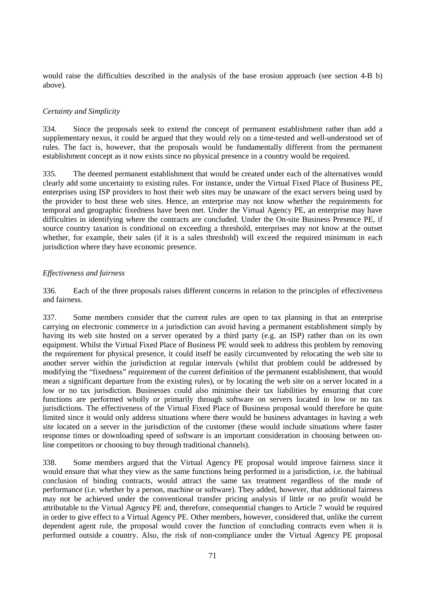would raise the difficulties described in the analysis of the base erosion approach (see section 4-B b) above).

#### *Certainty and Simplicity*

334. Since the proposals seek to extend the concept of permanent establishment rather than add a supplementary nexus, it could be argued that they would rely on a time-tested and well-understood set of rules. The fact is, however, that the proposals would be fundamentally different from the permanent establishment concept as it now exists since no physical presence in a country would be required.

335. The deemed permanent establishment that would be created under each of the alternatives would clearly add some uncertainty to existing rules. For instance, under the Virtual Fixed Place of Business PE, enterprises using ISP providers to host their web sites may be unaware of the exact servers being used by the provider to host these web sites. Hence, an enterprise may not know whether the requirements for temporal and geographic fixedness have been met. Under the Virtual Agency PE, an enterprise may have difficulties in identifying where the contracts are concluded. Under the On-site Business Presence PE, if source country taxation is conditional on exceeding a threshold, enterprises may not know at the outset whether, for example, their sales (if it is a sales threshold) will exceed the required minimum in each jurisdiction where they have economic presence.

#### *Effectiveness and fairness*

336. Each of the three proposals raises different concerns in relation to the principles of effectiveness and fairness.

337. Some members consider that the current rules are open to tax planning in that an enterprise carrying on electronic commerce in a jurisdiction can avoid having a permanent establishment simply by having its web site hosted on a server operated by a third party (e.g. an ISP) rather than on its own equipment. Whilst the Virtual Fixed Place of Business PE would seek to address this problem by removing the requirement for physical presence, it could itself be easily circumvented by relocating the web site to another server within the jurisdiction at regular intervals (whilst that problem could be addressed by modifying the "fixedness" requirement of the current definition of the permanent establishment, that would mean a significant departure from the existing rules), or by locating the web site on a server located in a low or no tax jurisdiction. Businesses could also minimise their tax liabilities by ensuring that core functions are performed wholly or primarily through software on servers located in low or no tax jurisdictions. The effectiveness of the Virtual Fixed Place of Business proposal would therefore be quite limited since it would only address situations where there would be business advantages in having a web site located on a server in the jurisdiction of the customer (these would include situations where faster response times or downloading speed of software is an important consideration in choosing between online competitors or choosing to buy through traditional channels).

338. Some members argued that the Virtual Agency PE proposal would improve fairness since it would ensure that what they view as the same functions being performed in a jurisdiction, i.e. the habitual conclusion of binding contracts, would attract the same tax treatment regardless of the mode of performance (i.e. whether by a person, machine or software). They added, however, that additional fairness may not be achieved under the conventional transfer pricing analysis if little or no profit would be attributable to the Virtual Agency PE and, therefore, consequential changes to Article 7 would be required in order to give effect to a Virtual Agency PE. Other members, however, considered that, unlike the current dependent agent rule, the proposal would cover the function of concluding contracts even when it is performed outside a country. Also, the risk of non-compliance under the Virtual Agency PE proposal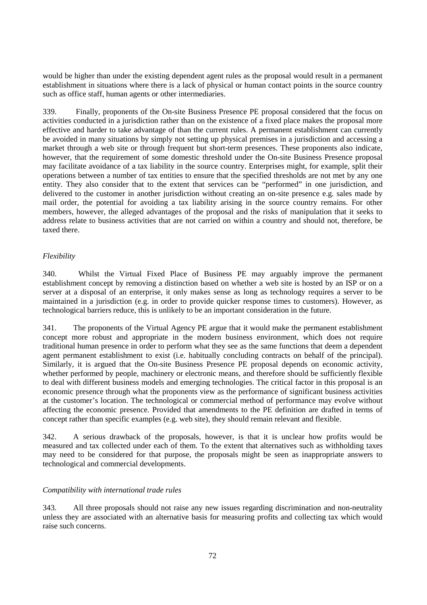would be higher than under the existing dependent agent rules as the proposal would result in a permanent establishment in situations where there is a lack of physical or human contact points in the source country such as office staff, human agents or other intermediaries.

339. Finally, proponents of the On-site Business Presence PE proposal considered that the focus on activities conducted in a jurisdiction rather than on the existence of a fixed place makes the proposal more effective and harder to take advantage of than the current rules. A permanent establishment can currently be avoided in many situations by simply not setting up physical premises in a jurisdiction and accessing a market through a web site or through frequent but short-term presences. These proponents also indicate, however, that the requirement of some domestic threshold under the On-site Business Presence proposal may facilitate avoidance of a tax liability in the source country. Enterprises might, for example, split their operations between a number of tax entities to ensure that the specified thresholds are not met by any one entity. They also consider that to the extent that services can be "performed" in one jurisdiction, and delivered to the customer in another jurisdiction without creating an on-site presence e.g. sales made by mail order, the potential for avoiding a tax liability arising in the source country remains. For other members, however, the alleged advantages of the proposal and the risks of manipulation that it seeks to address relate to business activities that are not carried on within a country and should not, therefore, be taxed there.

## *Flexibility*

340. Whilst the Virtual Fixed Place of Business PE may arguably improve the permanent establishment concept by removing a distinction based on whether a web site is hosted by an ISP or on a server at a disposal of an enterprise, it only makes sense as long as technology requires a server to be maintained in a jurisdiction (e.g. in order to provide quicker response times to customers). However, as technological barriers reduce, this is unlikely to be an important consideration in the future.

341. The proponents of the Virtual Agency PE argue that it would make the permanent establishment concept more robust and appropriate in the modern business environment, which does not require traditional human presence in order to perform what they see as the same functions that deem a dependent agent permanent establishment to exist (i.e. habitually concluding contracts on behalf of the principal). Similarly, it is argued that the On-site Business Presence PE proposal depends on economic activity, whether performed by people, machinery or electronic means, and therefore should be sufficiently flexible to deal with different business models and emerging technologies. The critical factor in this proposal is an economic presence through what the proponents view as the performance of significant business activities at the customer's location. The technological or commercial method of performance may evolve without affecting the economic presence. Provided that amendments to the PE definition are drafted in terms of concept rather than specific examples (e.g. web site), they should remain relevant and flexible.

342. A serious drawback of the proposals, however, is that it is unclear how profits would be measured and tax collected under each of them. To the extent that alternatives such as withholding taxes may need to be considered for that purpose, the proposals might be seen as inappropriate answers to technological and commercial developments.

#### *Compatibility with international trade rules*

343. All three proposals should not raise any new issues regarding discrimination and non-neutrality unless they are associated with an alternative basis for measuring profits and collecting tax which would raise such concerns.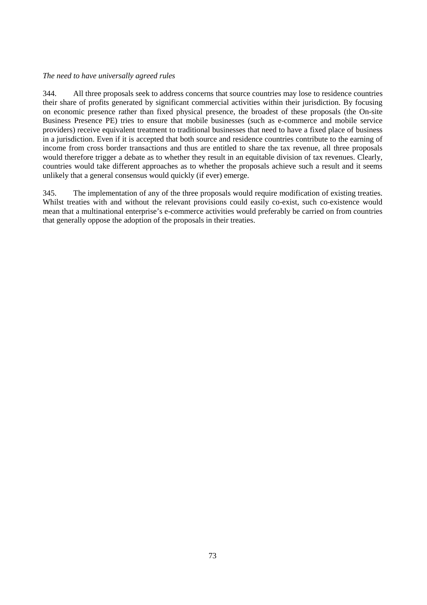## *The need to have universally agreed rules*

344. All three proposals seek to address concerns that source countries may lose to residence countries their share of profits generated by significant commercial activities within their jurisdiction. By focusing on economic presence rather than fixed physical presence, the broadest of these proposals (the On-site Business Presence PE) tries to ensure that mobile businesses (such as e-commerce and mobile service providers) receive equivalent treatment to traditional businesses that need to have a fixed place of business in a jurisdiction. Even if it is accepted that both source and residence countries contribute to the earning of income from cross border transactions and thus are entitled to share the tax revenue, all three proposals would therefore trigger a debate as to whether they result in an equitable division of tax revenues. Clearly, countries would take different approaches as to whether the proposals achieve such a result and it seems unlikely that a general consensus would quickly (if ever) emerge.

345. The implementation of any of the three proposals would require modification of existing treaties. Whilst treaties with and without the relevant provisions could easily co-exist, such co-existence would mean that a multinational enterprise's e-commerce activities would preferably be carried on from countries that generally oppose the adoption of the proposals in their treaties.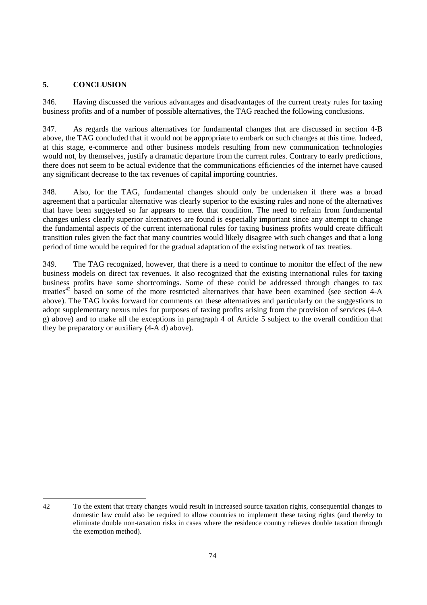## **5. CONCLUSION**

346. Having discussed the various advantages and disadvantages of the current treaty rules for taxing business profits and of a number of possible alternatives, the TAG reached the following conclusions.

347. As regards the various alternatives for fundamental changes that are discussed in section 4-B above, the TAG concluded that it would not be appropriate to embark on such changes at this time. Indeed, at this stage, e-commerce and other business models resulting from new communication technologies would not, by themselves, justify a dramatic departure from the current rules. Contrary to early predictions, there does not seem to be actual evidence that the communications efficiencies of the internet have caused any significant decrease to the tax revenues of capital importing countries.

348. Also, for the TAG, fundamental changes should only be undertaken if there was a broad agreement that a particular alternative was clearly superior to the existing rules and none of the alternatives that have been suggested so far appears to meet that condition. The need to refrain from fundamental changes unless clearly superior alternatives are found is especially important since any attempt to change the fundamental aspects of the current international rules for taxing business profits would create difficult transition rules given the fact that many countries would likely disagree with such changes and that a long period of time would be required for the gradual adaptation of the existing network of tax treaties.

349. The TAG recognized, however, that there is a need to continue to monitor the effect of the new business models on direct tax revenues. It also recognized that the existing international rules for taxing business profits have some shortcomings. Some of these could be addressed through changes to tax treaties<sup>42</sup> based on some of the more restricted alternatives that have been examined (see section 4-A above). The TAG looks forward for comments on these alternatives and particularly on the suggestions to adopt supplementary nexus rules for purposes of taxing profits arising from the provision of services (4-A g) above) and to make all the exceptions in paragraph 4 of Article 5 subject to the overall condition that they be preparatory or auxiliary (4-A d) above).

 $\overline{a}$ 42 To the extent that treaty changes would result in increased source taxation rights, consequential changes to domestic law could also be required to allow countries to implement these taxing rights (and thereby to eliminate double non-taxation risks in cases where the residence country relieves double taxation through the exemption method).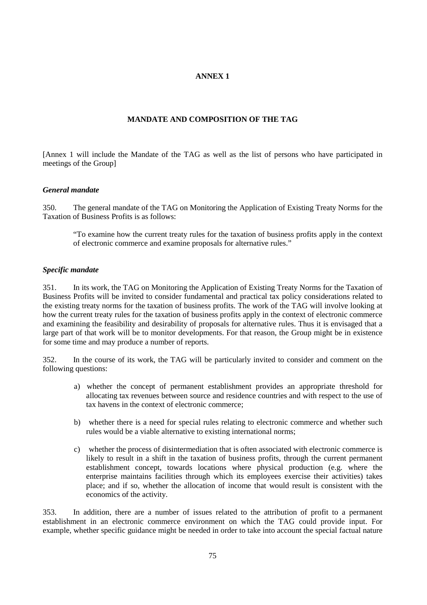# **ANNEX 1**

## **MANDATE AND COMPOSITION OF THE TAG**

[Annex 1 will include the Mandate of the TAG as well as the list of persons who have participated in meetings of the Group]

## *General mandate*

350. The general mandate of the TAG on Monitoring the Application of Existing Treaty Norms for the Taxation of Business Profits is as follows:

"To examine how the current treaty rules for the taxation of business profits apply in the context of electronic commerce and examine proposals for alternative rules."

## *Specific mandate*

351. In its work, the TAG on Monitoring the Application of Existing Treaty Norms for the Taxation of Business Profits will be invited to consider fundamental and practical tax policy considerations related to the existing treaty norms for the taxation of business profits. The work of the TAG will involve looking at how the current treaty rules for the taxation of business profits apply in the context of electronic commerce and examining the feasibility and desirability of proposals for alternative rules. Thus it is envisaged that a large part of that work will be to monitor developments. For that reason, the Group might be in existence for some time and may produce a number of reports.

352. In the course of its work, the TAG will be particularly invited to consider and comment on the following questions:

- a) whether the concept of permanent establishment provides an appropriate threshold for allocating tax revenues between source and residence countries and with respect to the use of tax havens in the context of electronic commerce;
- b) whether there is a need for special rules relating to electronic commerce and whether such rules would be a viable alternative to existing international norms;
- c) whether the process of disintermediation that is often associated with electronic commerce is likely to result in a shift in the taxation of business profits, through the current permanent establishment concept, towards locations where physical production (e.g. where the enterprise maintains facilities through which its employees exercise their activities) takes place; and if so, whether the allocation of income that would result is consistent with the economics of the activity.

353. In addition, there are a number of issues related to the attribution of profit to a permanent establishment in an electronic commerce environment on which the TAG could provide input. For example, whether specific guidance might be needed in order to take into account the special factual nature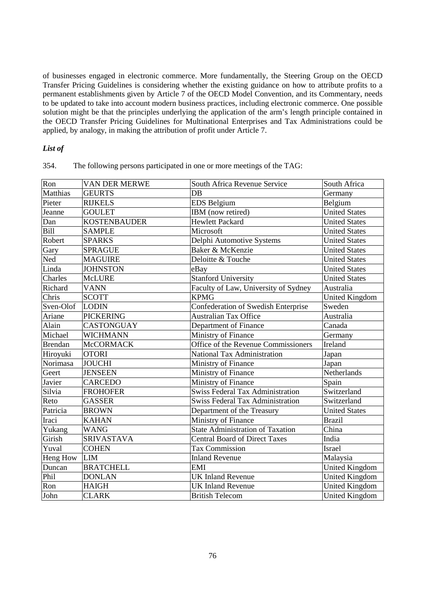of businesses engaged in electronic commerce. More fundamentally, the Steering Group on the OECD Transfer Pricing Guidelines is considering whether the existing guidance on how to attribute profits to a permanent establishments given by Article 7 of the OECD Model Convention, and its Commentary, needs to be updated to take into account modern business practices, including electronic commerce. One possible solution might be that the principles underlying the application of the arm's length principle contained in the OECD Transfer Pricing Guidelines for Multinational Enterprises and Tax Administrations could be applied, by analogy, in making the attribution of profit under Article 7.

## *List of*

| $\text{Ron}$    | VAN DER MERWE       | South Africa Revenue Service            | South Africa          |
|-----------------|---------------------|-----------------------------------------|-----------------------|
| <b>Matthias</b> | <b>GEURTS</b>       | DB                                      | Germany               |
| Pieter          | <b>RIJKELS</b>      | <b>EDS Belgium</b>                      | Belgium               |
| Jeanne          | <b>GOULET</b>       | IBM (now retired)                       | <b>United States</b>  |
| Dan             | <b>KOSTENBAUDER</b> | <b>Hewlett Packard</b>                  | <b>United States</b>  |
| <b>Bill</b>     | <b>SAMPLE</b>       | Microsoft                               | <b>United States</b>  |
| Robert          | <b>SPARKS</b>       | Delphi Automotive Systems               | <b>United States</b>  |
| Gary            | <b>SPRAGUE</b>      | Baker & McKenzie                        | <b>United States</b>  |
| Ned             | <b>MAGUIRE</b>      | Deloitte & Touche                       | <b>United States</b>  |
| Linda           | <b>JOHNSTON</b>     | eBay                                    | <b>United States</b>  |
| Charles         | <b>McLURE</b>       | <b>Stanford University</b>              | <b>United States</b>  |
| Richard         | <b>VANN</b>         | Faculty of Law, University of Sydney    | Australia             |
| Chris           | <b>SCOTT</b>        | <b>KPMG</b>                             | <b>United Kingdom</b> |
| Sven-Olof       | <b>LODIN</b>        | Confederation of Swedish Enterprise     | Sweden                |
| Ariane          | <b>PICKERING</b>    | <b>Australian Tax Office</b>            | Australia             |
| Alain           | <b>CASTONGUAY</b>   | Department of Finance                   | Canada                |
| Michael         | <b>WICHMANN</b>     | Ministry of Finance                     | Germany               |
| Brendan         | <b>McCORMACK</b>    | Office of the Revenue Commissioners     | Ireland               |
| Hiroyuki        | <b>OTORI</b>        | <b>National Tax Administration</b>      | Japan                 |
| Norimasa        | <b>JOUCHI</b>       | Ministry of Finance                     | Japan                 |
| Geert           | <b>JENSEEN</b>      | Ministry of Finance                     | Netherlands           |
| Javier          | <b>CARCEDO</b>      | Ministry of Finance                     | Spain                 |
| Silvia          | <b>FROHOFER</b>     | <b>Swiss Federal Tax Administration</b> | Switzerland           |
| Reto            | <b>GASSER</b>       | <b>Swiss Federal Tax Administration</b> | Switzerland           |
| Patricia        | <b>BROWN</b>        | Department of the Treasury              | <b>United States</b>  |
| Iraci           | <b>KAHAN</b>        | Ministry of Finance                     | <b>Brazil</b>         |
| Yukang          | WANG                | State Administration of Taxation        | China                 |
| Girish          | <b>SRIVASTAVA</b>   | <b>Central Board of Direct Taxes</b>    | India                 |
| Yuval           | <b>COHEN</b>        | Tax Commission                          | <b>Israel</b>         |
| Heng How        | <b>LIM</b>          | <b>Inland Revenue</b>                   | Malaysia              |
| Duncan          | <b>BRATCHELL</b>    | <b>EMI</b>                              | <b>United Kingdom</b> |
| Phil            | <b>DONLAN</b>       | <b>UK Inland Revenue</b>                | <b>United Kingdom</b> |
| Ron             | <b>HAIGH</b>        | <b>UK Inland Revenue</b>                | <b>United Kingdom</b> |
| John            | <b>CLARK</b>        | <b>British Telecom</b>                  | <b>United Kingdom</b> |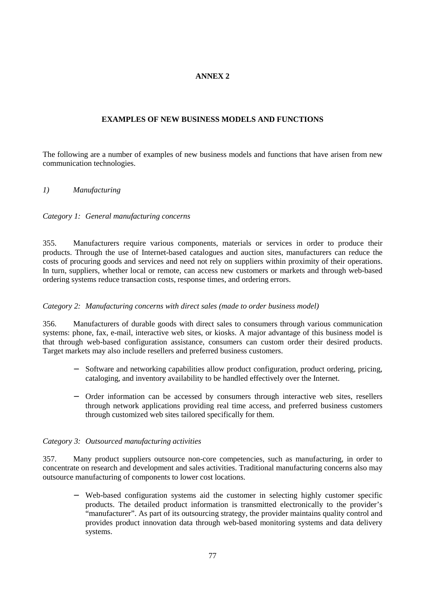# **ANNEX 2**

## **EXAMPLES OF NEW BUSINESS MODELS AND FUNCTIONS**

The following are a number of examples of new business models and functions that have arisen from new communication technologies.

## *1) Manufacturing*

## *Category 1: General manufacturing concerns*

355. Manufacturers require various components, materials or services in order to produce their products. Through the use of Internet-based catalogues and auction sites, manufacturers can reduce the costs of procuring goods and services and need not rely on suppliers within proximity of their operations. In turn, suppliers, whether local or remote, can access new customers or markets and through web-based ordering systems reduce transaction costs, response times, and ordering errors.

## *Category 2: Manufacturing concerns with direct sales (made to order business model)*

356. Manufacturers of durable goods with direct sales to consumers through various communication systems: phone, fax, e-mail, interactive web sites, or kiosks. A major advantage of this business model is that through web-based configuration assistance, consumers can custom order their desired products. Target markets may also include resellers and preferred business customers.

- Software and networking capabilities allow product configuration, product ordering, pricing, cataloging, and inventory availability to be handled effectively over the Internet.
- − Order information can be accessed by consumers through interactive web sites, resellers through network applications providing real time access, and preferred business customers through customized web sites tailored specifically for them.

### *Category 3: Outsourced manufacturing activities*

357. Many product suppliers outsource non-core competencies, such as manufacturing, in order to concentrate on research and development and sales activities. Traditional manufacturing concerns also may outsource manufacturing of components to lower cost locations.

− Web-based configuration systems aid the customer in selecting highly customer specific products. The detailed product information is transmitted electronically to the provider's "manufacturer". As part of its outsourcing strategy, the provider maintains quality control and provides product innovation data through web-based monitoring systems and data delivery systems.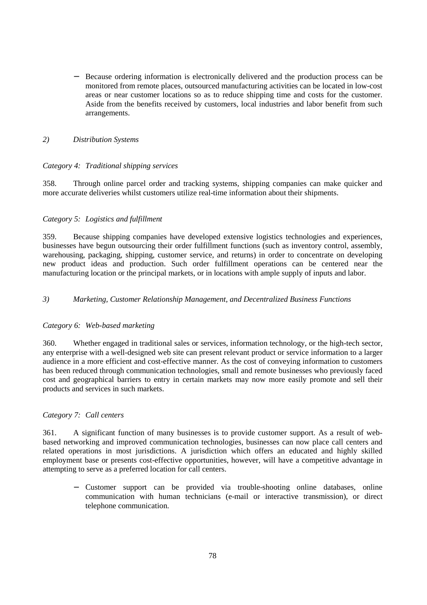− Because ordering information is electronically delivered and the production process can be monitored from remote places, outsourced manufacturing activities can be located in low-cost areas or near customer locations so as to reduce shipping time and costs for the customer. Aside from the benefits received by customers, local industries and labor benefit from such arrangements.

## *2) Distribution Systems*

## *Category 4: Traditional shipping services*

358. Through online parcel order and tracking systems, shipping companies can make quicker and more accurate deliveries whilst customers utilize real-time information about their shipments.

## *Category 5: Logistics and fulfillment*

359. Because shipping companies have developed extensive logistics technologies and experiences, businesses have begun outsourcing their order fulfillment functions (such as inventory control, assembly, warehousing, packaging, shipping, customer service, and returns) in order to concentrate on developing new product ideas and production. Such order fulfillment operations can be centered near the manufacturing location or the principal markets, or in locations with ample supply of inputs and labor.

## *3) Marketing, Customer Relationship Management, and Decentralized Business Functions*

### *Category 6: Web-based marketing*

360. Whether engaged in traditional sales or services, information technology, or the high-tech sector, any enterprise with a well-designed web site can present relevant product or service information to a larger audience in a more efficient and cost-effective manner. As the cost of conveying information to customers has been reduced through communication technologies, small and remote businesses who previously faced cost and geographical barriers to entry in certain markets may now more easily promote and sell their products and services in such markets.

## *Category 7: Call centers*

361. A significant function of many businesses is to provide customer support. As a result of webbased networking and improved communication technologies, businesses can now place call centers and related operations in most jurisdictions. A jurisdiction which offers an educated and highly skilled employment base or presents cost-effective opportunities, however, will have a competitive advantage in attempting to serve as a preferred location for call centers.

− Customer support can be provided via trouble-shooting online databases, online communication with human technicians (e-mail or interactive transmission), or direct telephone communication.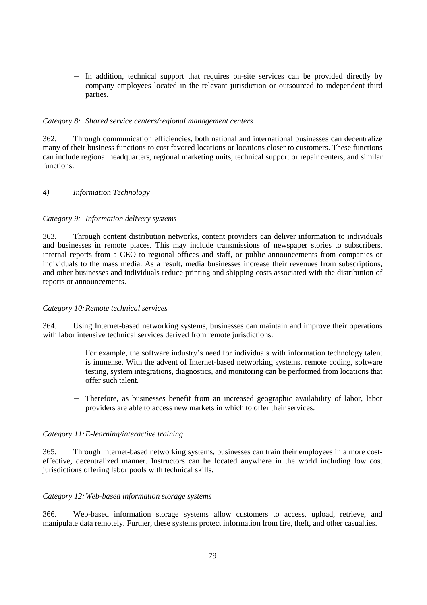In addition, technical support that requires on-site services can be provided directly by company employees located in the relevant jurisdiction or outsourced to independent third parties.

### *Category 8: Shared service centers/regional management centers*

362. Through communication efficiencies, both national and international businesses can decentralize many of their business functions to cost favored locations or locations closer to customers. These functions can include regional headquarters, regional marketing units, technical support or repair centers, and similar functions.

## *4) Information Technology*

## *Category 9: Information delivery systems*

363. Through content distribution networks, content providers can deliver information to individuals and businesses in remote places. This may include transmissions of newspaper stories to subscribers, internal reports from a CEO to regional offices and staff, or public announcements from companies or individuals to the mass media. As a result, media businesses increase their revenues from subscriptions, and other businesses and individuals reduce printing and shipping costs associated with the distribution of reports or announcements.

### *Category 10: Remote technical services*

364. Using Internet-based networking systems, businesses can maintain and improve their operations with labor intensive technical services derived from remote jurisdictions.

- For example, the software industry's need for individuals with information technology talent is immense. With the advent of Internet-based networking systems, remote coding, software testing, system integrations, diagnostics, and monitoring can be performed from locations that offer such talent.
- Therefore, as businesses benefit from an increased geographic availability of labor, labor providers are able to access new markets in which to offer their services.

### *Category 11: E-learning/interactive training*

365. Through Internet-based networking systems, businesses can train their employees in a more costeffective, decentralized manner. Instructors can be located anywhere in the world including low cost jurisdictions offering labor pools with technical skills.

### *Category 12: Web-based information storage systems*

366. Web-based information storage systems allow customers to access, upload, retrieve, and manipulate data remotely. Further, these systems protect information from fire, theft, and other casualties.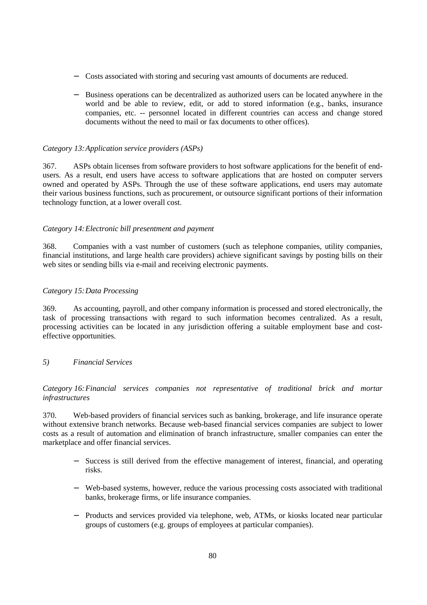- − Costs associated with storing and securing vast amounts of documents are reduced.
- − Business operations can be decentralized as authorized users can be located anywhere in the world and be able to review, edit, or add to stored information (e.g., banks, insurance companies, etc. -- personnel located in different countries can access and change stored documents without the need to mail or fax documents to other offices).

## *Category 13: Application service providers (ASPs)*

367. ASPs obtain licenses from software providers to host software applications for the benefit of endusers. As a result, end users have access to software applications that are hosted on computer servers owned and operated by ASPs. Through the use of these software applications, end users may automate their various business functions, such as procurement, or outsource significant portions of their information technology function, at a lower overall cost.

## *Category 14: Electronic bill presentment and payment*

368. Companies with a vast number of customers (such as telephone companies, utility companies, financial institutions, and large health care providers) achieve significant savings by posting bills on their web sites or sending bills via e-mail and receiving electronic payments.

## *Category 15: Data Processing*

369. As accounting, payroll, and other company information is processed and stored electronically, the task of processing transactions with regard to such information becomes centralized. As a result, processing activities can be located in any jurisdiction offering a suitable employment base and costeffective opportunities.

# *5) Financial Services*

*Category 16: Financial services companies not representative of traditional brick and mortar infrastructures* 

370. Web-based providers of financial services such as banking, brokerage, and life insurance operate without extensive branch networks. Because web-based financial services companies are subject to lower costs as a result of automation and elimination of branch infrastructure, smaller companies can enter the marketplace and offer financial services.

- − Success is still derived from the effective management of interest, financial, and operating risks.
- − Web-based systems, however, reduce the various processing costs associated with traditional banks, brokerage firms, or life insurance companies.
- − Products and services provided via telephone, web, ATMs, or kiosks located near particular groups of customers (e.g. groups of employees at particular companies).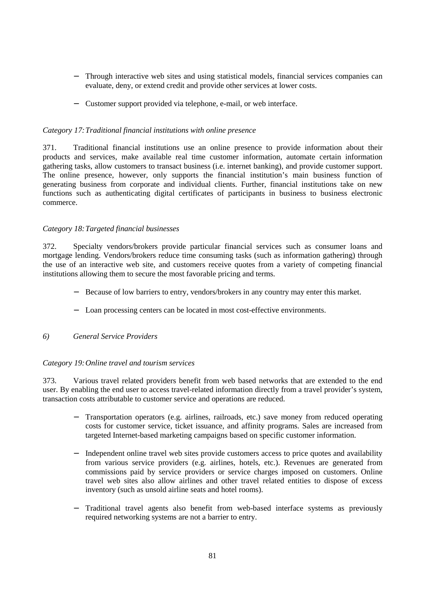- − Through interactive web sites and using statistical models, financial services companies can evaluate, deny, or extend credit and provide other services at lower costs.
- − Customer support provided via telephone, e-mail, or web interface.

### *Category 17: Traditional financial institutions with online presence*

371. Traditional financial institutions use an online presence to provide information about their products and services, make available real time customer information, automate certain information gathering tasks, allow customers to transact business (i.e. internet banking), and provide customer support. The online presence, however, only supports the financial institution's main business function of generating business from corporate and individual clients. Further, financial institutions take on new functions such as authenticating digital certificates of participants in business to business electronic commerce.

### *Category 18: Targeted financial businesses*

372. Specialty vendors/brokers provide particular financial services such as consumer loans and mortgage lending. Vendors/brokers reduce time consuming tasks (such as information gathering) through the use of an interactive web site, and customers receive quotes from a variety of competing financial institutions allowing them to secure the most favorable pricing and terms.

- − Because of low barriers to entry, vendors/brokers in any country may enter this market.
- − Loan processing centers can be located in most cost-effective environments.

## *6) General Service Providers*

### *Category 19: Online travel and tourism services*

373. Various travel related providers benefit from web based networks that are extended to the end user. By enabling the end user to access travel-related information directly from a travel provider's system, transaction costs attributable to customer service and operations are reduced.

- Transportation operators (e.g. airlines, railroads, etc.) save money from reduced operating costs for customer service, ticket issuance, and affinity programs. Sales are increased from targeted Internet-based marketing campaigns based on specific customer information.
- Independent online travel web sites provide customers access to price quotes and availability from various service providers (e.g. airlines, hotels, etc.). Revenues are generated from commissions paid by service providers or service charges imposed on customers. Online travel web sites also allow airlines and other travel related entities to dispose of excess inventory (such as unsold airline seats and hotel rooms).
- Traditional travel agents also benefit from web-based interface systems as previously required networking systems are not a barrier to entry.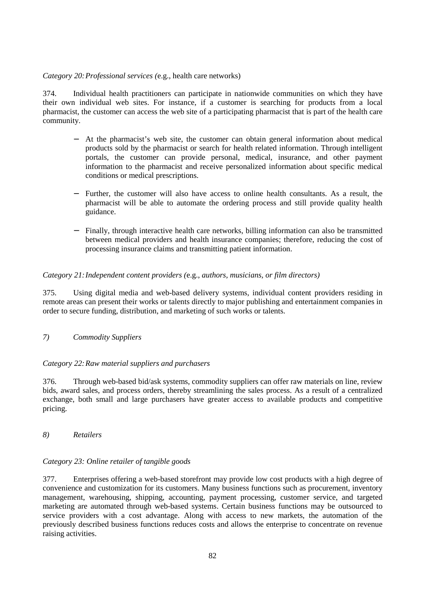## *Category 20: Professional services (*e.g., health care networks)

374. Individual health practitioners can participate in nationwide communities on which they have their own individual web sites. For instance, if a customer is searching for products from a local pharmacist, the customer can access the web site of a participating pharmacist that is part of the health care community.

- − At the pharmacist's web site, the customer can obtain general information about medical products sold by the pharmacist or search for health related information. Through intelligent portals, the customer can provide personal, medical, insurance, and other payment information to the pharmacist and receive personalized information about specific medical conditions or medical prescriptions.
- Further, the customer will also have access to online health consultants. As a result, the pharmacist will be able to automate the ordering process and still provide quality health guidance.
- − Finally, through interactive health care networks, billing information can also be transmitted between medical providers and health insurance companies; therefore, reducing the cost of processing insurance claims and transmitting patient information.

## *Category 21: Independent content providers (*e.g., *authors, musicians, or film directors)*

375. Using digital media and web-based delivery systems, individual content providers residing in remote areas can present their works or talents directly to major publishing and entertainment companies in order to secure funding, distribution, and marketing of such works or talents.

*7) Commodity Suppliers* 

## *Category 22: Raw material suppliers and purchasers*

376. Through web-based bid/ask systems, commodity suppliers can offer raw materials on line, review bids, award sales, and process orders, thereby streamlining the sales process. As a result of a centralized exchange, both small and large purchasers have greater access to available products and competitive pricing.

*8) Retailers* 

### *Category 23: Online retailer of tangible goods*

377. Enterprises offering a web-based storefront may provide low cost products with a high degree of convenience and customization for its customers. Many business functions such as procurement, inventory management, warehousing, shipping, accounting, payment processing, customer service, and targeted marketing are automated through web-based systems. Certain business functions may be outsourced to service providers with a cost advantage. Along with access to new markets, the automation of the previously described business functions reduces costs and allows the enterprise to concentrate on revenue raising activities.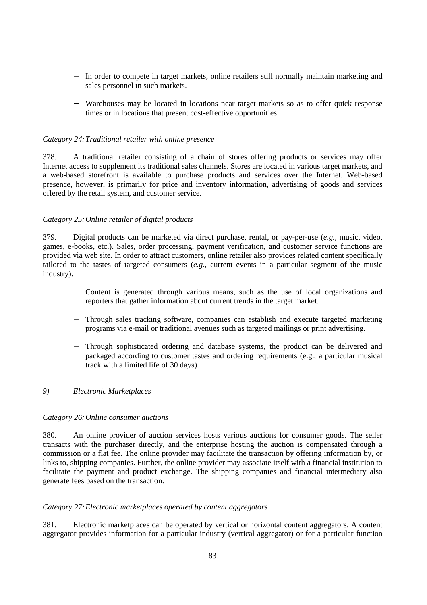- − In order to compete in target markets, online retailers still normally maintain marketing and sales personnel in such markets.
- − Warehouses may be located in locations near target markets so as to offer quick response times or in locations that present cost-effective opportunities.

### *Category 24: Traditional retailer with online presence*

378. A traditional retailer consisting of a chain of stores offering products or services may offer Internet access to supplement its traditional sales channels. Stores are located in various target markets, and a web-based storefront is available to purchase products and services over the Internet. Web-based presence, however, is primarily for price and inventory information, advertising of goods and services offered by the retail system, and customer service.

### *Category 25: Online retailer of digital products*

379. Digital products can be marketed via direct purchase, rental, or pay-per-use (*e.g.,* music, video, games, e-books, etc.). Sales, order processing, payment verification, and customer service functions are provided via web site. In order to attract customers, online retailer also provides related content specifically tailored to the tastes of targeted consumers (*e.g.,* current events in a particular segment of the music industry).

- − Content is generated through various means, such as the use of local organizations and reporters that gather information about current trends in the target market.
- − Through sales tracking software, companies can establish and execute targeted marketing programs via e-mail or traditional avenues such as targeted mailings or print advertising.
- Through sophisticated ordering and database systems, the product can be delivered and packaged according to customer tastes and ordering requirements (e.g., a particular musical track with a limited life of 30 days).

## *9) Electronic Marketplaces*

#### *Category 26: Online consumer auctions*

380. An online provider of auction services hosts various auctions for consumer goods. The seller transacts with the purchaser directly, and the enterprise hosting the auction is compensated through a commission or a flat fee. The online provider may facilitate the transaction by offering information by, or links to, shipping companies. Further, the online provider may associate itself with a financial institution to facilitate the payment and product exchange. The shipping companies and financial intermediary also generate fees based on the transaction.

#### *Category 27: Electronic marketplaces operated by content aggregators*

381. Electronic marketplaces can be operated by vertical or horizontal content aggregators. A content aggregator provides information for a particular industry (vertical aggregator) or for a particular function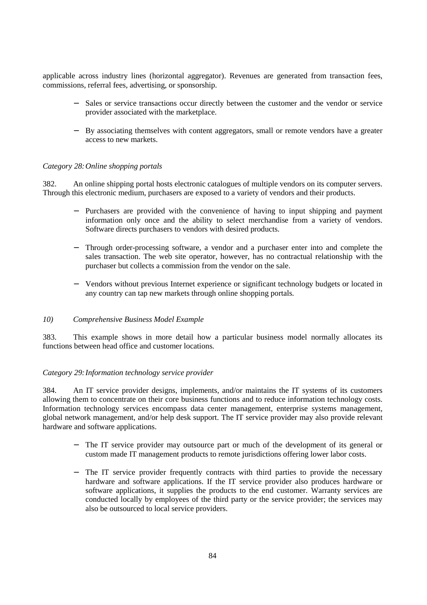applicable across industry lines (horizontal aggregator). Revenues are generated from transaction fees, commissions, referral fees, advertising, or sponsorship.

- Sales or service transactions occur directly between the customer and the vendor or service provider associated with the marketplace.
- − By associating themselves with content aggregators, small or remote vendors have a greater access to new markets.

### *Category 28: Online shopping portals*

382. An online shipping portal hosts electronic catalogues of multiple vendors on its computer servers. Through this electronic medium, purchasers are exposed to a variety of vendors and their products.

- − Purchasers are provided with the convenience of having to input shipping and payment information only once and the ability to select merchandise from a variety of vendors. Software directs purchasers to vendors with desired products.
- − Through order-processing software, a vendor and a purchaser enter into and complete the sales transaction. The web site operator, however, has no contractual relationship with the purchaser but collects a commission from the vendor on the sale.
- − Vendors without previous Internet experience or significant technology budgets or located in any country can tap new markets through online shopping portals.

### *10) Comprehensive Business Model Example*

383. This example shows in more detail how a particular business model normally allocates its functions between head office and customer locations.

#### *Category 29: Information technology service provider*

384. An IT service provider designs, implements, and/or maintains the IT systems of its customers allowing them to concentrate on their core business functions and to reduce information technology costs. Information technology services encompass data center management, enterprise systems management, global network management, and/or help desk support. The IT service provider may also provide relevant hardware and software applications.

- − The IT service provider may outsource part or much of the development of its general or custom made IT management products to remote jurisdictions offering lower labor costs.
- − The IT service provider frequently contracts with third parties to provide the necessary hardware and software applications. If the IT service provider also produces hardware or software applications, it supplies the products to the end customer. Warranty services are conducted locally by employees of the third party or the service provider; the services may also be outsourced to local service providers.